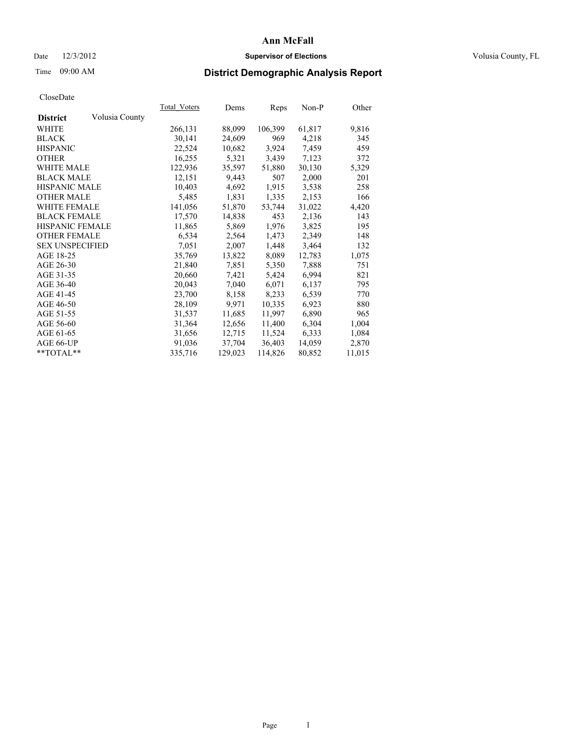### Date  $12/3/2012$  **Supervisor of Elections Supervisor of Elections** Volusia County, FL

# Time 09:00 AM **District Demographic Analysis Report**

|                        |                | Total Voters | Dems    | <b>Reps</b> | Non-P  | Other  |
|------------------------|----------------|--------------|---------|-------------|--------|--------|
| <b>District</b>        | Volusia County |              |         |             |        |        |
| WHITE                  |                | 266,131      | 88,099  | 106,399     | 61,817 | 9,816  |
| <b>BLACK</b>           |                | 30,141       | 24,609  | 969         | 4,218  | 345    |
| <b>HISPANIC</b>        |                | 22,524       | 10,682  | 3,924       | 7,459  | 459    |
| <b>OTHER</b>           |                | 16,255       | 5,321   | 3,439       | 7,123  | 372    |
| <b>WHITE MALE</b>      |                | 122,936      | 35,597  | 51,880      | 30,130 | 5,329  |
| <b>BLACK MALE</b>      |                | 12,151       | 9,443   | 507         | 2,000  | 201    |
| <b>HISPANIC MALE</b>   |                | 10,403       | 4,692   | 1,915       | 3,538  | 258    |
| <b>OTHER MALE</b>      |                | 5,485        | 1,831   | 1,335       | 2,153  | 166    |
| <b>WHITE FEMALE</b>    |                | 141,056      | 51,870  | 53,744      | 31,022 | 4,420  |
| <b>BLACK FEMALE</b>    |                | 17,570       | 14,838  | 453         | 2,136  | 143    |
| HISPANIC FEMALE        |                | 11,865       | 5,869   | 1,976       | 3,825  | 195    |
| <b>OTHER FEMALE</b>    |                | 6,534        | 2,564   | 1,473       | 2,349  | 148    |
| <b>SEX UNSPECIFIED</b> |                | 7,051        | 2,007   | 1,448       | 3,464  | 132    |
| AGE 18-25              |                | 35,769       | 13,822  | 8,089       | 12,783 | 1,075  |
| AGE 26-30              |                | 21,840       | 7,851   | 5,350       | 7,888  | 751    |
| AGE 31-35              |                | 20,660       | 7,421   | 5,424       | 6,994  | 821    |
| AGE 36-40              |                | 20,043       | 7,040   | 6,071       | 6,137  | 795    |
| AGE 41-45              |                | 23,700       | 8,158   | 8,233       | 6,539  | 770    |
| AGE 46-50              |                | 28,109       | 9,971   | 10,335      | 6,923  | 880    |
| AGE 51-55              |                | 31,537       | 11,685  | 11,997      | 6,890  | 965    |
| AGE 56-60              |                | 31,364       | 12,656  | 11,400      | 6,304  | 1,004  |
| AGE 61-65              |                | 31,656       | 12,715  | 11,524      | 6,333  | 1,084  |
| AGE 66-UP              |                | 91,036       | 37,704  | 36,403      | 14,059 | 2,870  |
| $*$ TOTAL $*$          |                | 335,716      | 129,023 | 114,826     | 80,852 | 11,015 |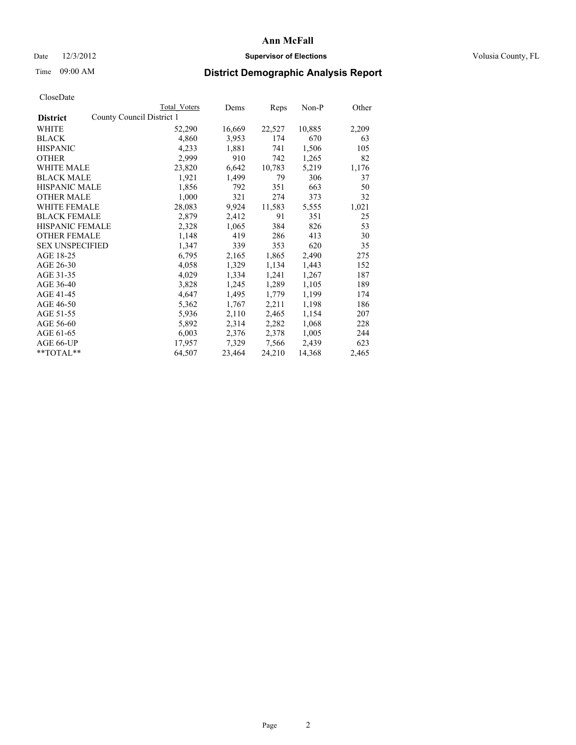### Date  $12/3/2012$  **Supervisor of Elections Supervisor of Elections** Volusia County, FL

# Time 09:00 AM **District Demographic Analysis Report**

|                        |                           | <b>Total Voters</b> | Dems   | Reps   | Non-P  | Other |
|------------------------|---------------------------|---------------------|--------|--------|--------|-------|
| <b>District</b>        | County Council District 1 |                     |        |        |        |       |
| WHITE                  |                           | 52,290              | 16,669 | 22,527 | 10,885 | 2,209 |
| <b>BLACK</b>           |                           | 4,860               | 3,953  | 174    | 670    | 63    |
| <b>HISPANIC</b>        |                           | 4,233               | 1,881  | 741    | 1,506  | 105   |
| <b>OTHER</b>           |                           | 2,999               | 910    | 742    | 1,265  | 82    |
| WHITE MALE             |                           | 23,820              | 6,642  | 10,783 | 5,219  | 1,176 |
| <b>BLACK MALE</b>      |                           | 1,921               | 1,499  | 79     | 306    | 37    |
| <b>HISPANIC MALE</b>   |                           | 1,856               | 792    | 351    | 663    | 50    |
| <b>OTHER MALE</b>      |                           | 1,000               | 321    | 274    | 373    | 32    |
| <b>WHITE FEMALE</b>    |                           | 28,083              | 9,924  | 11,583 | 5,555  | 1,021 |
| <b>BLACK FEMALE</b>    |                           | 2,879               | 2,412  | 91     | 351    | 25    |
| <b>HISPANIC FEMALE</b> |                           | 2,328               | 1,065  | 384    | 826    | 53    |
| <b>OTHER FEMALE</b>    |                           | 1,148               | 419    | 286    | 413    | 30    |
| <b>SEX UNSPECIFIED</b> |                           | 1,347               | 339    | 353    | 620    | 35    |
| AGE 18-25              |                           | 6,795               | 2,165  | 1,865  | 2,490  | 275   |
| AGE 26-30              |                           | 4,058               | 1,329  | 1,134  | 1,443  | 152   |
| AGE 31-35              |                           | 4,029               | 1,334  | 1,241  | 1,267  | 187   |
| AGE 36-40              |                           | 3,828               | 1,245  | 1,289  | 1,105  | 189   |
| AGE 41-45              |                           | 4,647               | 1,495  | 1,779  | 1,199  | 174   |
| AGE 46-50              |                           | 5,362               | 1,767  | 2,211  | 1,198  | 186   |
| AGE 51-55              |                           | 5,936               | 2,110  | 2,465  | 1,154  | 207   |
| AGE 56-60              |                           | 5,892               | 2,314  | 2,282  | 1,068  | 228   |
| AGE 61-65              |                           | 6,003               | 2,376  | 2,378  | 1,005  | 244   |
| AGE 66-UP              |                           | 17,957              | 7,329  | 7,566  | 2,439  | 623   |
| **TOTAL**              |                           | 64,507              | 23,464 | 24,210 | 14,368 | 2,465 |
|                        |                           |                     |        |        |        |       |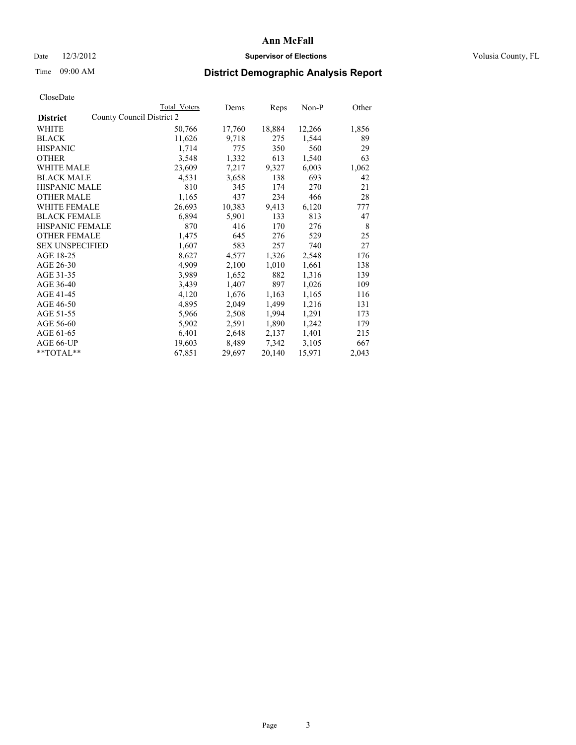### Date  $12/3/2012$  **Supervisor of Elections Supervisor of Elections** Volusia County, FL

# Time 09:00 AM **District Demographic Analysis Report**

|                                              | <b>Total Voters</b> | Dems   | Reps   | Non-P  | Other |
|----------------------------------------------|---------------------|--------|--------|--------|-------|
| County Council District 2<br><b>District</b> |                     |        |        |        |       |
| WHITE                                        | 50,766              | 17,760 | 18,884 | 12,266 | 1,856 |
| <b>BLACK</b>                                 | 11,626              | 9,718  | 275    | 1,544  | 89    |
| <b>HISPANIC</b>                              | 1,714               | 775    | 350    | 560    | 29    |
| <b>OTHER</b>                                 | 3,548               | 1,332  | 613    | 1,540  | 63    |
| WHITE MALE                                   | 23,609              | 7,217  | 9,327  | 6,003  | 1,062 |
| <b>BLACK MALE</b>                            | 4,531               | 3,658  | 138    | 693    | 42    |
| <b>HISPANIC MALE</b>                         | 810                 | 345    | 174    | 270    | 21    |
| <b>OTHER MALE</b>                            | 1,165               | 437    | 234    | 466    | 28    |
| <b>WHITE FEMALE</b>                          | 26,693              | 10,383 | 9,413  | 6,120  | 777   |
| <b>BLACK FEMALE</b>                          | 6,894               | 5,901  | 133    | 813    | 47    |
| <b>HISPANIC FEMALE</b>                       | 870                 | 416    | 170    | 276    | 8     |
| <b>OTHER FEMALE</b>                          | 1,475               | 645    | 276    | 529    | 25    |
| <b>SEX UNSPECIFIED</b>                       | 1,607               | 583    | 257    | 740    | 27    |
| AGE 18-25                                    | 8,627               | 4,577  | 1,326  | 2,548  | 176   |
| AGE 26-30                                    | 4,909               | 2,100  | 1,010  | 1,661  | 138   |
| AGE 31-35                                    | 3,989               | 1,652  | 882    | 1,316  | 139   |
| AGE 36-40                                    | 3,439               | 1,407  | 897    | 1,026  | 109   |
| AGE 41-45                                    | 4,120               | 1,676  | 1,163  | 1,165  | 116   |
| AGE 46-50                                    | 4,895               | 2,049  | 1,499  | 1,216  | 131   |
| AGE 51-55                                    | 5,966               | 2,508  | 1,994  | 1,291  | 173   |
| AGE 56-60                                    | 5,902               | 2,591  | 1,890  | 1,242  | 179   |
| AGE 61-65                                    | 6,401               | 2,648  | 2,137  | 1,401  | 215   |
| AGE 66-UP                                    | 19,603              | 8,489  | 7,342  | 3,105  | 667   |
| **TOTAL**                                    | 67,851              | 29,697 | 20,140 | 15,971 | 2,043 |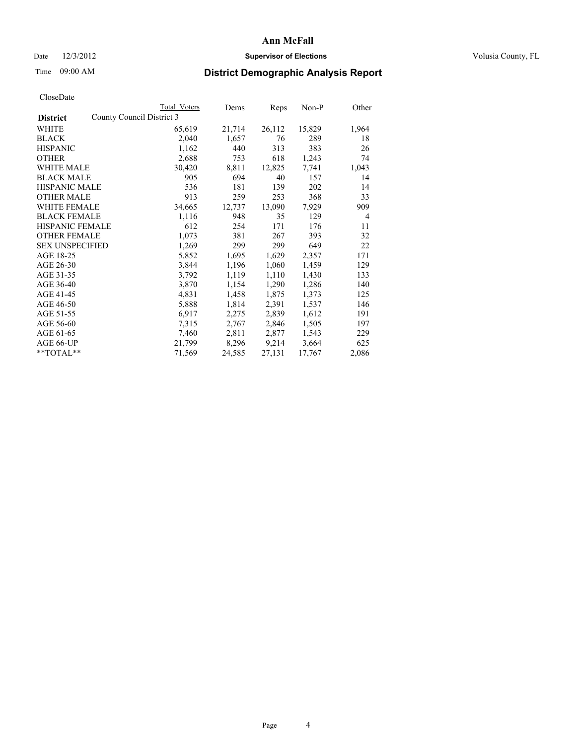### Date  $12/3/2012$  **Supervisor of Elections Supervisor of Elections** Volusia County, FL

## Time 09:00 AM **District Demographic Analysis Report**

| <b>Total Voters</b> | Dems                      | Reps   | Non-P  | Other          |
|---------------------|---------------------------|--------|--------|----------------|
|                     |                           |        |        |                |
| 65,619              | 21,714                    | 26,112 | 15,829 | 1,964          |
| 2,040               | 1,657                     | 76     | 289    | 18             |
| 1,162               | 440                       | 313    | 383    | 26             |
| 2,688               | 753                       | 618    | 1,243  | 74             |
| 30,420              | 8,811                     | 12,825 | 7,741  | 1,043          |
| 905                 | 694                       | 40     | 157    | 14             |
| 536                 | 181                       | 139    | 202    | 14             |
| 913                 | 259                       | 253    | 368    | 33             |
| 34,665              | 12,737                    | 13,090 | 7,929  | 909            |
| 1,116               | 948                       | 35     | 129    | $\overline{4}$ |
| 612                 | 254                       | 171    | 176    | 11             |
| 1,073               | 381                       | 267    | 393    | 32             |
| 1,269               | 299                       | 299    | 649    | 22             |
| 5,852               | 1,695                     | 1,629  | 2,357  | 171            |
| 3,844               | 1,196                     | 1,060  | 1,459  | 129            |
| 3,792               | 1,119                     | 1,110  | 1,430  | 133            |
| 3,870               | 1,154                     | 1,290  | 1,286  | 140            |
| 4,831               | 1,458                     | 1,875  | 1,373  | 125            |
| 5,888               | 1,814                     | 2,391  | 1,537  | 146            |
| 6,917               | 2,275                     | 2,839  | 1,612  | 191            |
| 7,315               | 2,767                     | 2,846  | 1,505  | 197            |
| 7,460               | 2,811                     | 2,877  | 1,543  | 229            |
| 21,799              | 8,296                     | 9,214  | 3,664  | 625            |
| 71,569              | 24,585                    | 27,131 | 17,767 | 2,086          |
|                     | County Council District 3 |        |        |                |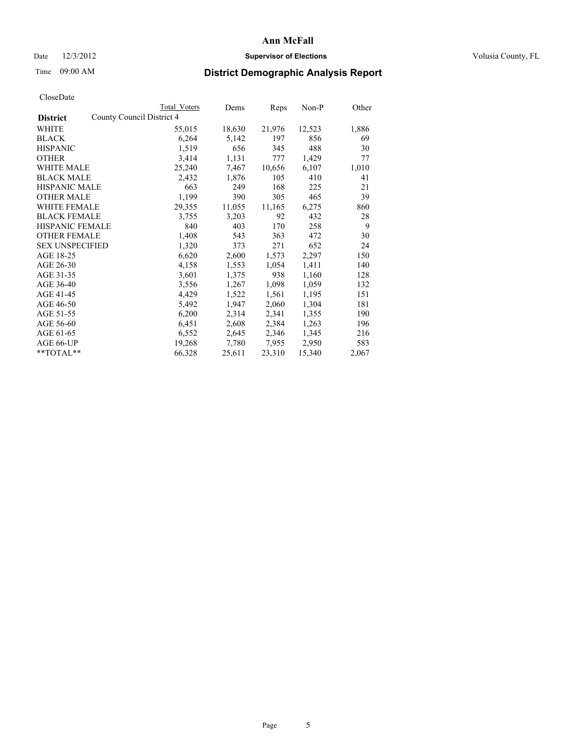### Date  $12/3/2012$  **Supervisor of Elections Supervisor of Elections** Volusia County, FL

# Time 09:00 AM **District Demographic Analysis Report**

| County Council District 4<br><b>District</b><br>WHITE<br>21,976<br>12,523<br>55,015<br>18,630<br><b>BLACK</b><br>6,264<br>5,142<br>856<br>197<br>1,519<br>656<br>488<br><b>HISPANIC</b><br>345<br>3,414<br>1,131<br>777<br>1,429<br><b>OTHER</b><br><b>WHITE MALE</b><br>25,240<br>7,467<br>10,656<br>6,107<br><b>BLACK MALE</b><br>2,432<br>105<br>410<br>1,876 |       |
|------------------------------------------------------------------------------------------------------------------------------------------------------------------------------------------------------------------------------------------------------------------------------------------------------------------------------------------------------------------|-------|
|                                                                                                                                                                                                                                                                                                                                                                  |       |
|                                                                                                                                                                                                                                                                                                                                                                  | 1,886 |
|                                                                                                                                                                                                                                                                                                                                                                  | 69    |
|                                                                                                                                                                                                                                                                                                                                                                  | 30    |
|                                                                                                                                                                                                                                                                                                                                                                  | 77    |
|                                                                                                                                                                                                                                                                                                                                                                  | 1,010 |
|                                                                                                                                                                                                                                                                                                                                                                  | 41    |
| <b>HISPANIC MALE</b><br>663<br>168<br>249<br>225                                                                                                                                                                                                                                                                                                                 | 21    |
| <b>OTHER MALE</b><br>1,199<br>305<br>465<br>390                                                                                                                                                                                                                                                                                                                  | 39    |
| 29,355<br>11,055<br>11,165<br>6,275<br><b>WHITE FEMALE</b>                                                                                                                                                                                                                                                                                                       | 860   |
| <b>BLACK FEMALE</b><br>3,203<br>92<br>432<br>3,755                                                                                                                                                                                                                                                                                                               | 28    |
| <b>HISPANIC FEMALE</b><br>840<br>403<br>170<br>258                                                                                                                                                                                                                                                                                                               | 9     |
| <b>OTHER FEMALE</b><br>1,408<br>543<br>363<br>472                                                                                                                                                                                                                                                                                                                | 30    |
| <b>SEX UNSPECIFIED</b><br>1,320<br>271<br>652<br>373                                                                                                                                                                                                                                                                                                             | 24    |
| AGE 18-25<br>6,620<br>2,600<br>1,573<br>2,297                                                                                                                                                                                                                                                                                                                    | 150   |
| AGE 26-30<br>4,158<br>1,553<br>1,411<br>1,054                                                                                                                                                                                                                                                                                                                    | 140   |
| AGE 31-35<br>938<br>3,601<br>1,375<br>1,160                                                                                                                                                                                                                                                                                                                      | 128   |
| AGE 36-40<br>3,556<br>1,267<br>1,098<br>1,059                                                                                                                                                                                                                                                                                                                    | 132   |
| AGE 41-45<br>1,522<br>4,429<br>1,561<br>1,195                                                                                                                                                                                                                                                                                                                    | 151   |
| AGE 46-50<br>1,947<br>2,060<br>1,304<br>5,492                                                                                                                                                                                                                                                                                                                    | 181   |
| AGE 51-55<br>2,314<br>6,200<br>2,341<br>1,355                                                                                                                                                                                                                                                                                                                    | 190   |
| AGE 56-60<br>2,608<br>2,384<br>1,263<br>6,451                                                                                                                                                                                                                                                                                                                    | 196   |
| AGE 61-65<br>6,552<br>2,645<br>2,346<br>1,345                                                                                                                                                                                                                                                                                                                    | 216   |
| AGE 66-UP<br>19,268<br>2,950<br>7,780<br>7,955                                                                                                                                                                                                                                                                                                                   | 583   |
| 23,310<br>66,328<br>25,611<br>15,340<br>$*$ $TOTAL**$                                                                                                                                                                                                                                                                                                            | 2,067 |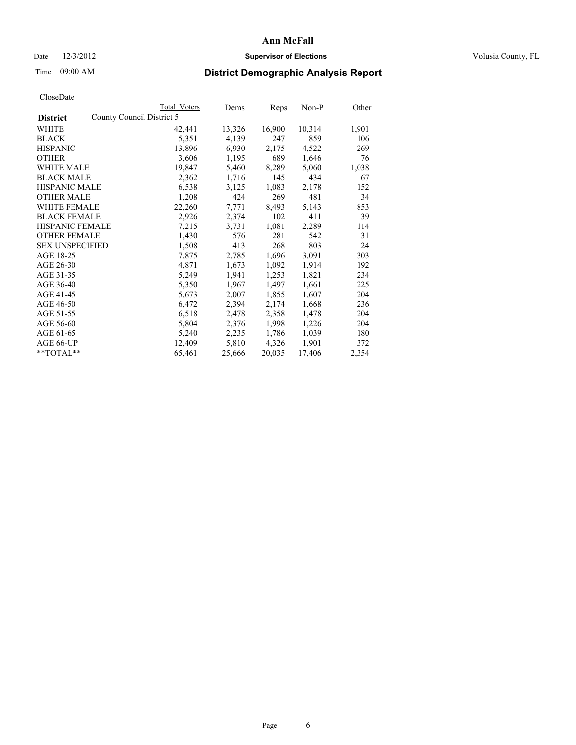### Date  $12/3/2012$  **Supervisor of Elections Supervisor of Elections** Volusia County, FL

## Time 09:00 AM **District Demographic Analysis Report**

|                        |                           | Total Voters | Dems   | <b>Reps</b> | Non-P  | Other |
|------------------------|---------------------------|--------------|--------|-------------|--------|-------|
| <b>District</b>        | County Council District 5 |              |        |             |        |       |
| WHITE                  |                           | 42,441       | 13,326 | 16,900      | 10,314 | 1,901 |
| <b>BLACK</b>           |                           | 5,351        | 4,139  | 247         | 859    | 106   |
| <b>HISPANIC</b>        |                           | 13,896       | 6,930  | 2,175       | 4,522  | 269   |
| <b>OTHER</b>           |                           | 3,606        | 1,195  | 689         | 1,646  | 76    |
| WHITE MALE             |                           | 19,847       | 5,460  | 8,289       | 5,060  | 1,038 |
| <b>BLACK MALE</b>      |                           | 2,362        | 1,716  | 145         | 434    | 67    |
| <b>HISPANIC MALE</b>   |                           | 6,538        | 3,125  | 1,083       | 2,178  | 152   |
| <b>OTHER MALE</b>      |                           | 1,208        | 424    | 269         | 481    | 34    |
| <b>WHITE FEMALE</b>    |                           | 22,260       | 7,771  | 8,493       | 5,143  | 853   |
| <b>BLACK FEMALE</b>    |                           | 2,926        | 2,374  | 102         | 411    | 39    |
| <b>HISPANIC FEMALE</b> |                           | 7,215        | 3,731  | 1,081       | 2,289  | 114   |
| <b>OTHER FEMALE</b>    |                           | 1,430        | 576    | 281         | 542    | 31    |
| <b>SEX UNSPECIFIED</b> |                           | 1,508        | 413    | 268         | 803    | 24    |
| AGE 18-25              |                           | 7,875        | 2,785  | 1,696       | 3,091  | 303   |
| AGE 26-30              |                           | 4,871        | 1,673  | 1,092       | 1,914  | 192   |
| AGE 31-35              |                           | 5,249        | 1,941  | 1,253       | 1,821  | 234   |
| AGE 36-40              |                           | 5,350        | 1,967  | 1,497       | 1,661  | 225   |
| AGE 41-45              |                           | 5,673        | 2,007  | 1,855       | 1,607  | 204   |
| AGE 46-50              |                           | 6,472        | 2,394  | 2,174       | 1,668  | 236   |
| AGE 51-55              |                           | 6,518        | 2,478  | 2,358       | 1,478  | 204   |
| AGE 56-60              |                           | 5,804        | 2,376  | 1,998       | 1,226  | 204   |
| AGE 61-65              |                           | 5,240        | 2,235  | 1,786       | 1,039  | 180   |
| AGE 66-UP              |                           | 12,409       | 5,810  | 4,326       | 1,901  | 372   |
| **TOTAL**              |                           | 65,461       | 25,666 | 20,035      | 17,406 | 2,354 |
|                        |                           |              |        |             |        |       |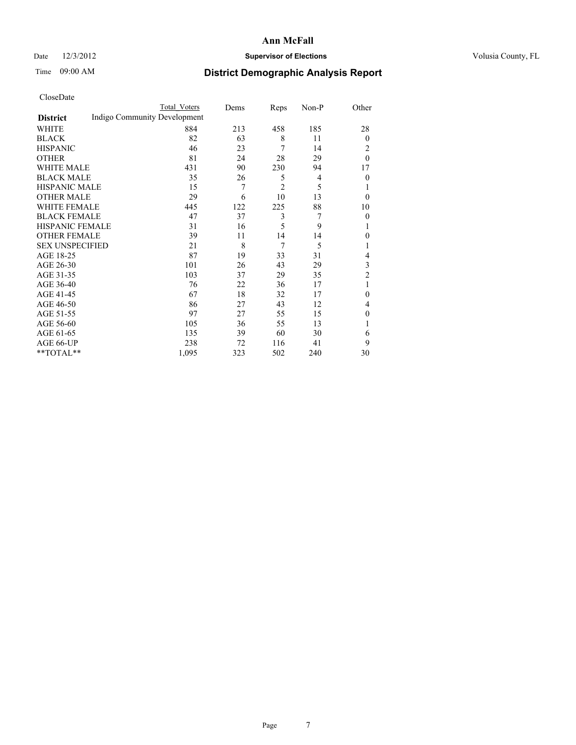### Date  $12/3/2012$  **Supervisor of Elections Supervisor of Elections** Volusia County, FL

# Time 09:00 AM **District Demographic Analysis Report**

|                        |                              | <b>Total Voters</b> | Dems | Reps           | Non-P | Other          |
|------------------------|------------------------------|---------------------|------|----------------|-------|----------------|
| <b>District</b>        | Indigo Community Development |                     |      |                |       |                |
| WHITE                  |                              | 884                 | 213  | 458            | 185   | 28             |
| <b>BLACK</b>           |                              | 82                  | 63   | 8              | 11    | $\overline{0}$ |
| <b>HISPANIC</b>        |                              | 46                  | 23   | 7              | 14    | 2              |
| <b>OTHER</b>           |                              | 81                  | 24   | 28             | 29    | $\theta$       |
| WHITE MALE             |                              | 431                 | 90   | 230            | 94    | 17             |
| <b>BLACK MALE</b>      |                              | 35                  | 26   | 5              | 4     | $\theta$       |
| <b>HISPANIC MALE</b>   |                              | 15                  | 7    | $\overline{c}$ | 5     | 1              |
| <b>OTHER MALE</b>      |                              | 29                  | 6    | 10             | 13    | $\theta$       |
| WHITE FEMALE           |                              | 445                 | 122  | 225            | 88    | 10             |
| <b>BLACK FEMALE</b>    |                              | 47                  | 37   | 3              | 7     | $\overline{0}$ |
| <b>HISPANIC FEMALE</b> |                              | 31                  | 16   | 5              | 9     | 1              |
| <b>OTHER FEMALE</b>    |                              | 39                  | 11   | 14             | 14    | $\theta$       |
| <b>SEX UNSPECIFIED</b> |                              | 21                  | 8    | 7              | 5     | 1              |
| AGE 18-25              |                              | 87                  | 19   | 33             | 31    | 4              |
| AGE 26-30              |                              | 101                 | 26   | 43             | 29    | 3              |
| AGE 31-35              |                              | 103                 | 37   | 29             | 35    | $\overline{2}$ |
| AGE 36-40              |                              | 76                  | 22   | 36             | 17    | 1              |
| AGE 41-45              |                              | 67                  | 18   | 32             | 17    | $\theta$       |
| AGE 46-50              |                              | 86                  | 27   | 43             | 12    | 4              |
| AGE 51-55              |                              | 97                  | 27   | 55             | 15    | $\theta$       |
| AGE 56-60              |                              | 105                 | 36   | 55             | 13    | 1              |
| AGE 61-65              |                              | 135                 | 39   | 60             | 30    | 6              |
| AGE 66-UP              |                              | 238                 | 72   | 116            | 41    | 9              |
| $**TOTAL**$            |                              | 1,095               | 323  | 502            | 240   | 30             |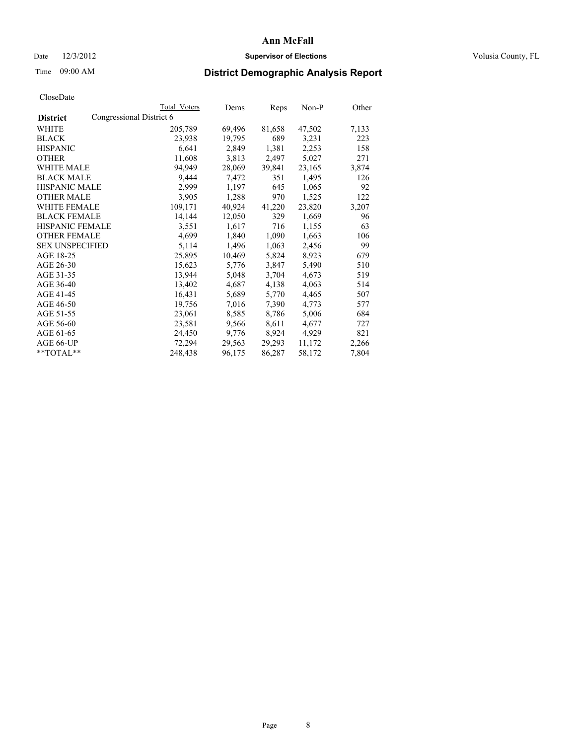### Date  $12/3/2012$  **Supervisor of Elections Supervisor of Elections** Volusia County, FL

## Time 09:00 AM **District Demographic Analysis Report**

|                                             | <b>Total Voters</b> | Dems   | Reps   | Non-P  | Other |
|---------------------------------------------|---------------------|--------|--------|--------|-------|
| Congressional District 6<br><b>District</b> |                     |        |        |        |       |
| WHITE                                       | 205,789             | 69,496 | 81,658 | 47,502 | 7,133 |
| <b>BLACK</b>                                | 23,938              | 19,795 | 689    | 3,231  | 223   |
| <b>HISPANIC</b>                             | 6,641               | 2,849  | 1,381  | 2,253  | 158   |
| <b>OTHER</b>                                | 11,608              | 3,813  | 2,497  | 5,027  | 271   |
| <b>WHITE MALE</b>                           | 94,949              | 28,069 | 39,841 | 23,165 | 3,874 |
| <b>BLACK MALE</b>                           | 9,444               | 7,472  | 351    | 1,495  | 126   |
| <b>HISPANIC MALE</b>                        | 2,999               | 1,197  | 645    | 1,065  | 92    |
| <b>OTHER MALE</b>                           | 3,905               | 1,288  | 970    | 1,525  | 122   |
| <b>WHITE FEMALE</b>                         | 109,171             | 40,924 | 41,220 | 23,820 | 3,207 |
| <b>BLACK FEMALE</b>                         | 14,144              | 12,050 | 329    | 1,669  | 96    |
| <b>HISPANIC FEMALE</b>                      | 3,551               | 1,617  | 716    | 1,155  | 63    |
| <b>OTHER FEMALE</b>                         | 4,699               | 1,840  | 1,090  | 1,663  | 106   |
| <b>SEX UNSPECIFIED</b>                      | 5,114               | 1,496  | 1,063  | 2,456  | 99    |
| AGE 18-25                                   | 25,895              | 10,469 | 5,824  | 8,923  | 679   |
| AGE 26-30                                   | 15,623              | 5,776  | 3,847  | 5,490  | 510   |
| AGE 31-35                                   | 13,944              | 5,048  | 3,704  | 4,673  | 519   |
| AGE 36-40                                   | 13,402              | 4,687  | 4,138  | 4,063  | 514   |
| AGE 41-45                                   | 16,431              | 5,689  | 5,770  | 4,465  | 507   |
| AGE 46-50                                   | 19,756              | 7,016  | 7,390  | 4,773  | 577   |
| AGE 51-55                                   | 23,061              | 8,585  | 8,786  | 5,006  | 684   |
| AGE 56-60                                   | 23,581              | 9,566  | 8,611  | 4,677  | 727   |
| AGE 61-65                                   | 24,450              | 9,776  | 8,924  | 4,929  | 821   |
| AGE 66-UP                                   | 72,294              | 29,563 | 29,293 | 11,172 | 2,266 |
| $*$ TOTAL $*$                               | 248,438             | 96,175 | 86,287 | 58,172 | 7,804 |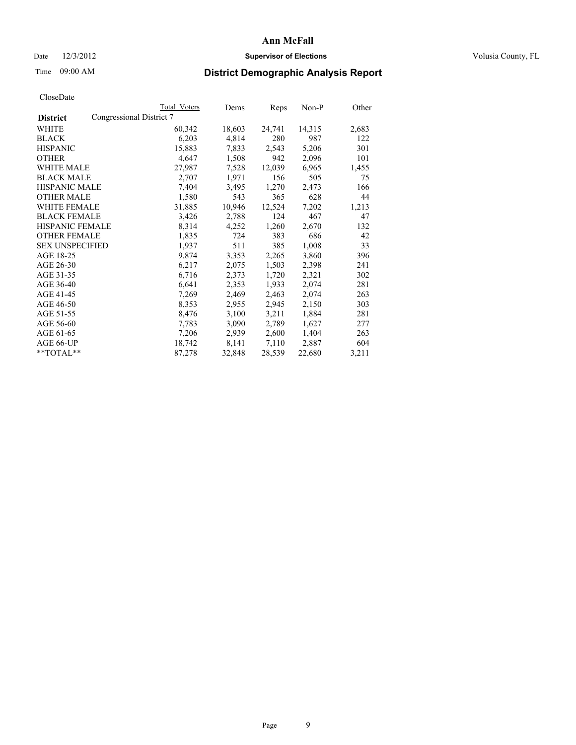### Date  $12/3/2012$  **Supervisor of Elections Supervisor of Elections** Volusia County, FL

## Time 09:00 AM **District Demographic Analysis Report**

|                        | Total Voters             | Dems   | <b>Reps</b> | Non-P  | Other |
|------------------------|--------------------------|--------|-------------|--------|-------|
| <b>District</b>        | Congressional District 7 |        |             |        |       |
| WHITE                  | 60,342                   | 18,603 | 24,741      | 14,315 | 2,683 |
| <b>BLACK</b>           | 6,203                    | 4,814  | 280         | 987    | 122   |
| <b>HISPANIC</b>        | 15,883                   | 7,833  | 2,543       | 5,206  | 301   |
| <b>OTHER</b>           | 4,647                    | 1,508  | 942         | 2,096  | 101   |
| WHITE MALE             | 27,987                   | 7,528  | 12,039      | 6,965  | 1,455 |
| <b>BLACK MALE</b>      | 2,707                    | 1,971  | 156         | 505    | 75    |
| <b>HISPANIC MALE</b>   | 7,404                    | 3,495  | 1,270       | 2,473  | 166   |
| <b>OTHER MALE</b>      | 1,580                    | 543    | 365         | 628    | 44    |
| WHITE FEMALE           | 31,885                   | 10,946 | 12,524      | 7,202  | 1,213 |
| <b>BLACK FEMALE</b>    | 3,426                    | 2,788  | 124         | 467    | 47    |
| <b>HISPANIC FEMALE</b> | 8,314                    | 4,252  | 1,260       | 2,670  | 132   |
| <b>OTHER FEMALE</b>    | 1,835                    | 724    | 383         | 686    | 42    |
| <b>SEX UNSPECIFIED</b> | 1,937                    | 511    | 385         | 1,008  | 33    |
| AGE 18-25              | 9,874                    | 3,353  | 2,265       | 3,860  | 396   |
| AGE 26-30              | 6,217                    | 2,075  | 1,503       | 2,398  | 241   |
| AGE 31-35              | 6,716                    | 2,373  | 1,720       | 2,321  | 302   |
| AGE 36-40              | 6,641                    | 2,353  | 1,933       | 2,074  | 281   |
| AGE 41-45              | 7.269                    | 2,469  | 2,463       | 2,074  | 263   |
| AGE 46-50              | 8,353                    | 2,955  | 2,945       | 2,150  | 303   |
| AGE 51-55              | 8,476                    | 3,100  | 3,211       | 1,884  | 281   |
| AGE 56-60              | 7,783                    | 3,090  | 2,789       | 1,627  | 277   |
| AGE 61-65              | 7,206                    | 2,939  | 2,600       | 1,404  | 263   |
| AGE 66-UP              | 18,742                   | 8,141  | 7,110       | 2,887  | 604   |
| **TOTAL**              | 87,278                   | 32,848 | 28,539      | 22,680 | 3,211 |
|                        |                          |        |             |        |       |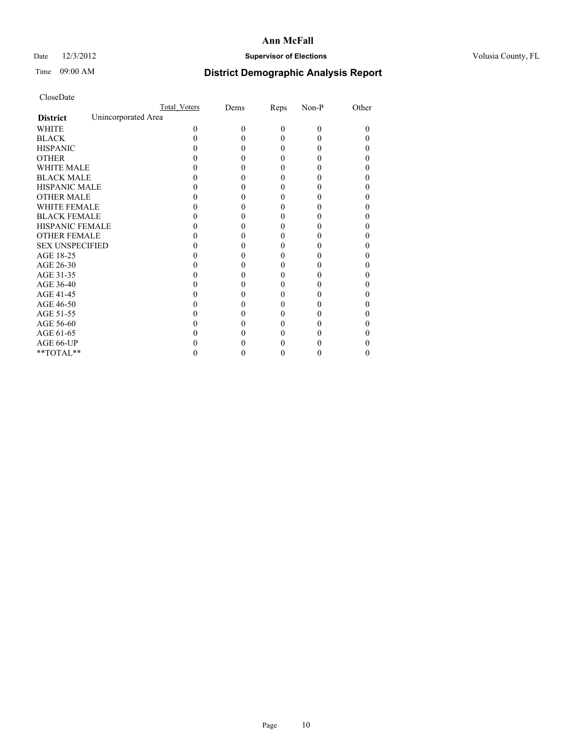### Date  $12/3/2012$  **Supervisor of Elections Supervisor of Elections** Volusia County, FL

# Time 09:00 AM **District Demographic Analysis Report**

|                        | Total Voters        | Dems | Reps     | Non-P    | Other |
|------------------------|---------------------|------|----------|----------|-------|
| <b>District</b>        | Unincorporated Area |      |          |          |       |
| <b>WHITE</b>           | 0                   | 0    | $\theta$ | $\theta$ | 0     |
| <b>BLACK</b>           |                     |      | 0        | 0        |       |
| <b>HISPANIC</b>        |                     |      | 0        | 0        |       |
| <b>OTHER</b>           |                     |      |          |          |       |
| WHITE MALE             |                     |      |          |          |       |
| <b>BLACK MALE</b>      |                     |      | 0        |          |       |
| <b>HISPANIC MALE</b>   |                     |      |          |          |       |
| <b>OTHER MALE</b>      |                     |      | 0        |          |       |
| <b>WHITE FEMALE</b>    |                     |      |          |          |       |
| <b>BLACK FEMALE</b>    |                     |      | 0        |          |       |
| <b>HISPANIC FEMALE</b> |                     |      |          |          |       |
| <b>OTHER FEMALE</b>    |                     |      |          |          |       |
| <b>SEX UNSPECIFIED</b> |                     |      |          |          |       |
| AGE 18-25              |                     |      |          |          |       |
| AGE 26-30              |                     |      | 0        |          |       |
| AGE 31-35              |                     |      |          |          |       |
| AGE 36-40              |                     |      | 0        |          |       |
| AGE 41-45              |                     |      |          |          |       |
| AGE 46-50              |                     |      | 0        |          |       |
| AGE 51-55              |                     |      |          |          |       |
| AGE 56-60              |                     |      |          |          |       |
| AGE 61-65              |                     |      |          |          |       |
| AGE 66-UP              |                     |      |          |          |       |
| $**TOTAL**$            |                     |      | 0        | 0        | 0     |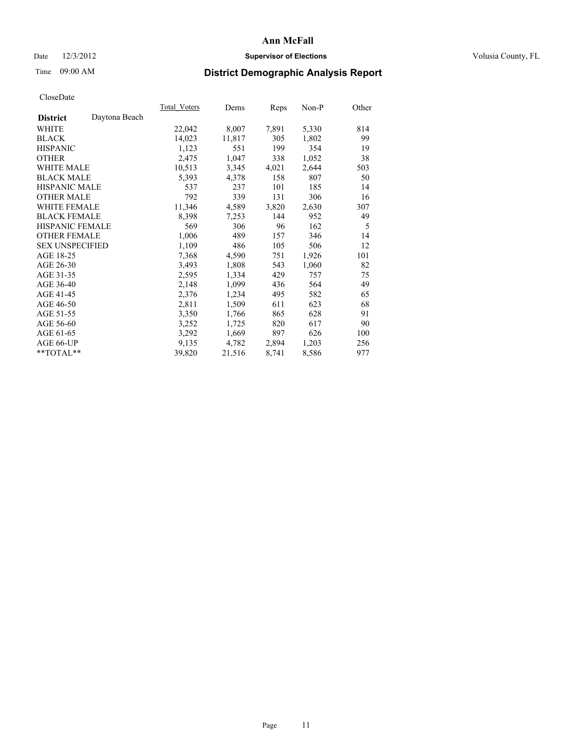### Date  $12/3/2012$  **Supervisor of Elections Supervisor of Elections** Volusia County, FL

# Time 09:00 AM **District Demographic Analysis Report**

|                        |               | Total Voters | Dems   | Reps  | Non-P | Other |
|------------------------|---------------|--------------|--------|-------|-------|-------|
| <b>District</b>        | Daytona Beach |              |        |       |       |       |
| WHITE                  |               | 22,042       | 8,007  | 7,891 | 5,330 | 814   |
| <b>BLACK</b>           |               | 14,023       | 11,817 | 305   | 1,802 | 99    |
| <b>HISPANIC</b>        |               | 1,123        | 551    | 199   | 354   | 19    |
| <b>OTHER</b>           |               | 2,475        | 1,047  | 338   | 1,052 | 38    |
| <b>WHITE MALE</b>      |               | 10,513       | 3,345  | 4,021 | 2,644 | 503   |
| <b>BLACK MALE</b>      |               | 5,393        | 4,378  | 158   | 807   | 50    |
| <b>HISPANIC MALE</b>   |               | 537          | 237    | 101   | 185   | 14    |
| <b>OTHER MALE</b>      |               | 792          | 339    | 131   | 306   | 16    |
| <b>WHITE FEMALE</b>    |               | 11,346       | 4,589  | 3,820 | 2,630 | 307   |
| <b>BLACK FEMALE</b>    |               | 8,398        | 7,253  | 144   | 952   | 49    |
| <b>HISPANIC FEMALE</b> |               | 569          | 306    | 96    | 162   | 5     |
| <b>OTHER FEMALE</b>    |               | 1,006        | 489    | 157   | 346   | 14    |
| <b>SEX UNSPECIFIED</b> |               | 1,109        | 486    | 105   | 506   | 12    |
| AGE 18-25              |               | 7.368        | 4,590  | 751   | 1,926 | 101   |
| AGE 26-30              |               | 3,493        | 1,808  | 543   | 1,060 | 82    |
| AGE 31-35              |               | 2,595        | 1,334  | 429   | 757   | 75    |
| AGE 36-40              |               | 2,148        | 1,099  | 436   | 564   | 49    |
| AGE 41-45              |               | 2,376        | 1,234  | 495   | 582   | 65    |
| AGE 46-50              |               | 2,811        | 1,509  | 611   | 623   | 68    |
| AGE 51-55              |               | 3,350        | 1,766  | 865   | 628   | 91    |
| AGE 56-60              |               | 3,252        | 1,725  | 820   | 617   | 90    |
| AGE 61-65              |               | 3,292        | 1,669  | 897   | 626   | 100   |
| AGE 66-UP              |               | 9,135        | 4,782  | 2,894 | 1,203 | 256   |
| $*$ TOTAL $*$          |               | 39,820       | 21,516 | 8,741 | 8,586 | 977   |
|                        |               |              |        |       |       |       |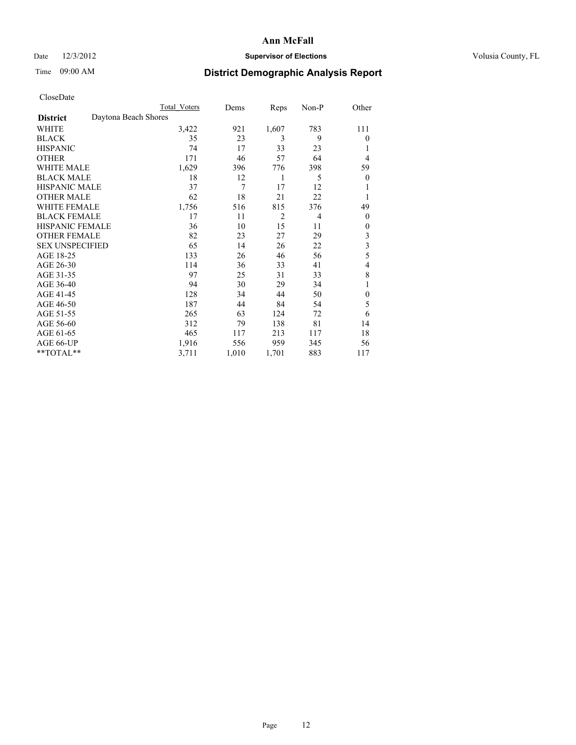## Date  $12/3/2012$  **Supervisor of Elections** Volusia County, FL

# Time 09:00 AM **District Demographic Analysis Report**

|                        | <b>Total Voters</b>  | Dems  | Reps           | Non-P | Other          |
|------------------------|----------------------|-------|----------------|-------|----------------|
| <b>District</b>        | Daytona Beach Shores |       |                |       |                |
| WHITE                  | 3,422                | 921   | 1,607          | 783   | 111            |
| <b>BLACK</b>           | 35                   | 23    | 3              | 9     | $\theta$       |
| <b>HISPANIC</b>        | 74                   | 17    | 33             | 23    | 1              |
| <b>OTHER</b>           | 171                  | 46    | 57             | 64    | 4              |
| WHITE MALE             | 1,629                | 396   | 776            | 398   | 59             |
| <b>BLACK MALE</b>      | 18                   | 12    | 1              | 5     | $\overline{0}$ |
| <b>HISPANIC MALE</b>   | 37                   | 7     | 17             | 12    | 1              |
| <b>OTHER MALE</b>      | 62                   | 18    | 21             | 22    | 1              |
| WHITE FEMALE           | 1,756                | 516   | 815            | 376   | 49             |
| <b>BLACK FEMALE</b>    | 17                   | 11    | $\overline{2}$ | 4     | $\theta$       |
| <b>HISPANIC FEMALE</b> | 36                   | 10    | 15             | 11    | $\theta$       |
| <b>OTHER FEMALE</b>    | 82                   | 23    | 27             | 29    | 3              |
| <b>SEX UNSPECIFIED</b> | 65                   | 14    | 26             | 22    | $\mathfrak{Z}$ |
| AGE 18-25              | 133                  | 26    | 46             | 56    | 5              |
| AGE 26-30              | 114                  | 36    | 33             | 41    | 4              |
| AGE 31-35              | 97                   | 25    | 31             | 33    | 8              |
| AGE 36-40              | 94                   | 30    | 29             | 34    | 1              |
| AGE 41-45              | 128                  | 34    | 44             | 50    | $\mathbf{0}$   |
| AGE 46-50              | 187                  | 44    | 84             | 54    | 5              |
| AGE 51-55              | 265                  | 63    | 124            | 72    | 6              |
| AGE 56-60              | 312                  | 79    | 138            | 81    | 14             |
| AGE 61-65              | 465                  | 117   | 213            | 117   | 18             |
| AGE 66-UP              | 1,916                | 556   | 959            | 345   | 56             |
| **TOTAL**              | 3,711                | 1,010 | 1,701          | 883   | 117            |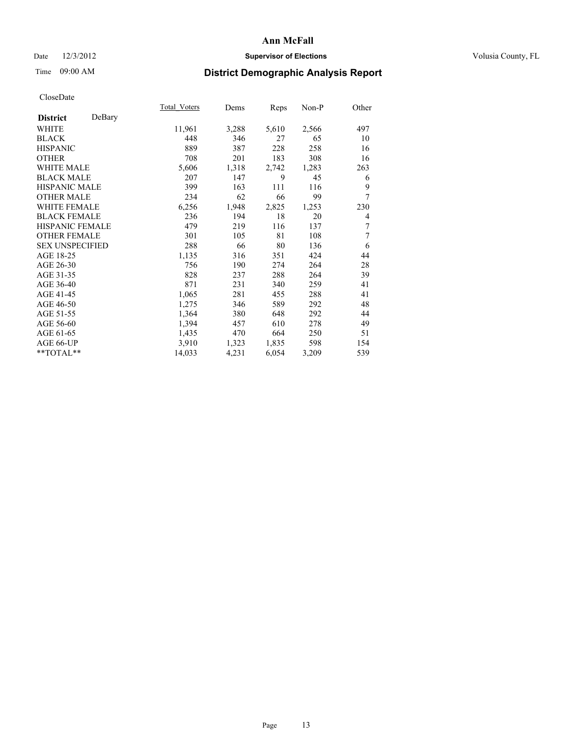## Date  $12/3/2012$  **Supervisor of Elections** Volusia County, FL

# Time 09:00 AM **District Demographic Analysis Report**

| Total Voters | Dems  | Reps  | Non-P | Other |
|--------------|-------|-------|-------|-------|
|              |       |       |       |       |
| 11,961       | 3,288 | 5,610 | 2,566 | 497   |
| 448          | 346   | 27    | 65    | 10    |
| 889          | 387   | 228   | 258   | 16    |
| 708          | 201   | 183   | 308   | 16    |
| 5,606        | 1,318 | 2,742 | 1,283 | 263   |
| 207          | 147   | 9     | 45    | 6     |
| 399          | 163   | 111   | 116   | 9     |
| 234          | 62    | 66    | 99    | 7     |
| 6,256        | 1,948 | 2,825 | 1,253 | 230   |
| 236          | 194   | 18    | 20    | 4     |
| 479          | 219   | 116   | 137   | 7     |
| 301          | 105   | 81    | 108   | 7     |
| 288          | 66    | 80    | 136   | 6     |
| 1,135        | 316   | 351   | 424   | 44    |
| 756          | 190   | 274   | 264   | 28    |
| 828          | 237   | 288   | 264   | 39    |
| 871          | 231   | 340   | 259   | 41    |
| 1,065        | 281   | 455   | 288   | 41    |
| 1,275        | 346   | 589   | 292   | 48    |
| 1,364        | 380   | 648   | 292   | 44    |
| 1,394        | 457   | 610   | 278   | 49    |
| 1,435        | 470   | 664   | 250   | 51    |
| 3,910        | 1,323 | 1,835 | 598   | 154   |
| 14,033       | 4,231 | 6,054 | 3,209 | 539   |
|              |       |       |       |       |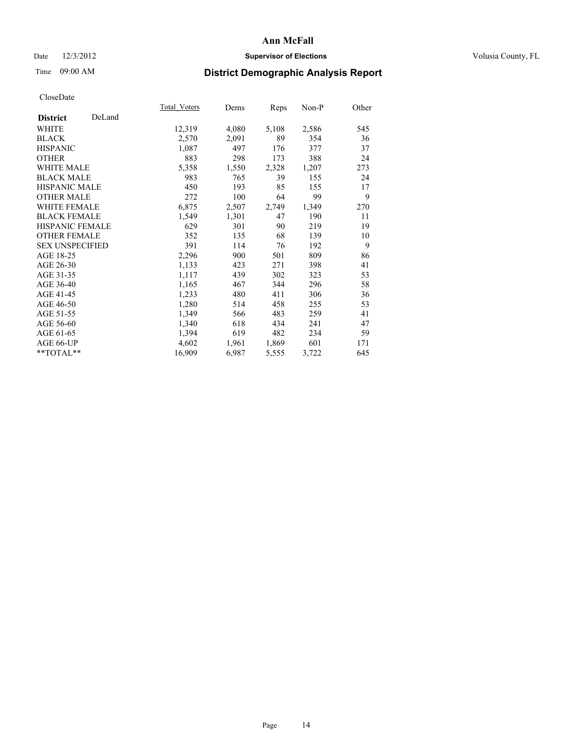## Date  $12/3/2012$  **Supervisor of Elections** Volusia County, FL

# Time 09:00 AM **District Demographic Analysis Report**

|                        |        | Total Voters | Dems  | <b>Reps</b> | Non-P | Other |
|------------------------|--------|--------------|-------|-------------|-------|-------|
| <b>District</b>        | DeLand |              |       |             |       |       |
| WHITE                  |        | 12,319       | 4,080 | 5,108       | 2,586 | 545   |
| <b>BLACK</b>           |        | 2,570        | 2,091 | 89          | 354   | 36    |
| <b>HISPANIC</b>        |        | 1,087        | 497   | 176         | 377   | 37    |
| <b>OTHER</b>           |        | 883          | 298   | 173         | 388   | 24    |
| <b>WHITE MALE</b>      |        | 5,358        | 1,550 | 2,328       | 1,207 | 273   |
| <b>BLACK MALE</b>      |        | 983          | 765   | 39          | 155   | 24    |
| HISPANIC MALE          |        | 450          | 193   | 85          | 155   | 17    |
| <b>OTHER MALE</b>      |        | 272          | 100   | 64          | 99    | 9     |
| <b>WHITE FEMALE</b>    |        | 6,875        | 2,507 | 2,749       | 1,349 | 270   |
| <b>BLACK FEMALE</b>    |        | 1,549        | 1,301 | 47          | 190   | 11    |
| <b>HISPANIC FEMALE</b> |        | 629          | 301   | 90          | 219   | 19    |
| <b>OTHER FEMALE</b>    |        | 352          | 135   | 68          | 139   | 10    |
| <b>SEX UNSPECIFIED</b> |        | 391          | 114   | 76          | 192   | 9     |
| AGE 18-25              |        | 2,296        | 900   | 501         | 809   | 86    |
| AGE 26-30              |        | 1,133        | 423   | 271         | 398   | 41    |
| AGE 31-35              |        | 1,117        | 439   | 302         | 323   | 53    |
| AGE 36-40              |        | 1,165        | 467   | 344         | 296   | 58    |
| AGE 41-45              |        | 1,233        | 480   | 411         | 306   | 36    |
| AGE 46-50              |        | 1,280        | 514   | 458         | 255   | 53    |
| AGE 51-55              |        | 1,349        | 566   | 483         | 259   | 41    |
| AGE 56-60              |        | 1,340        | 618   | 434         | 241   | 47    |
| AGE 61-65              |        | 1,394        | 619   | 482         | 234   | 59    |
| AGE 66-UP              |        | 4,602        | 1,961 | 1,869       | 601   | 171   |
| **TOTAL**              |        | 16,909       | 6,987 | 5,555       | 3,722 | 645   |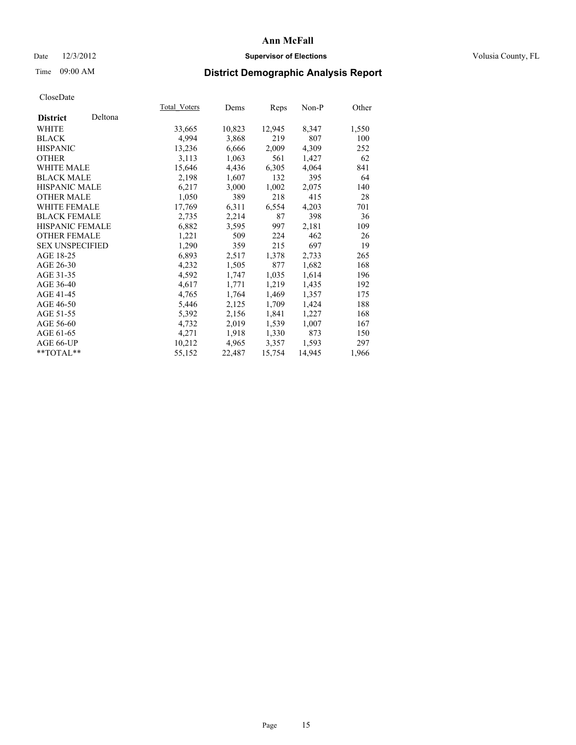### Date  $12/3/2012$  **Supervisor of Elections Supervisor of Elections** Volusia County, FL

# Time 09:00 AM **District Demographic Analysis Report**

| Total Voters | Dems   | Reps   | Non-P  | Other |
|--------------|--------|--------|--------|-------|
|              |        |        |        |       |
| 33,665       | 10,823 | 12,945 | 8,347  | 1,550 |
| 4,994        | 3,868  | 219    | 807    | 100   |
| 13,236       | 6,666  | 2,009  | 4,309  | 252   |
| 3,113        | 1,063  | 561    | 1,427  | 62    |
| 15,646       | 4,436  | 6,305  | 4,064  | 841   |
| 2,198        | 1,607  | 132    | 395    | 64    |
| 6,217        | 3,000  | 1,002  | 2,075  | 140   |
| 1,050        | 389    | 218    | 415    | 28    |
| 17,769       | 6,311  | 6,554  | 4,203  | 701   |
| 2,735        | 2,214  | 87     | 398    | 36    |
| 6,882        | 3,595  | 997    | 2,181  | 109   |
| 1,221        | 509    | 224    | 462    | 26    |
| 1,290        | 359    | 215    | 697    | 19    |
| 6,893        | 2,517  | 1,378  | 2,733  | 265   |
| 4,232        | 1,505  | 877    | 1,682  | 168   |
| 4,592        | 1,747  | 1,035  | 1,614  | 196   |
| 4,617        | 1,771  | 1,219  | 1,435  | 192   |
| 4,765        | 1,764  | 1,469  | 1,357  | 175   |
| 5,446        | 2,125  | 1,709  | 1,424  | 188   |
| 5,392        | 2,156  | 1,841  | 1,227  | 168   |
| 4,732        | 2,019  | 1,539  | 1,007  | 167   |
| 4,271        | 1,918  | 1,330  | 873    | 150   |
| 10,212       | 4,965  | 3,357  | 1,593  | 297   |
| 55,152       | 22,487 | 15,754 | 14,945 | 1,966 |
|              |        |        |        |       |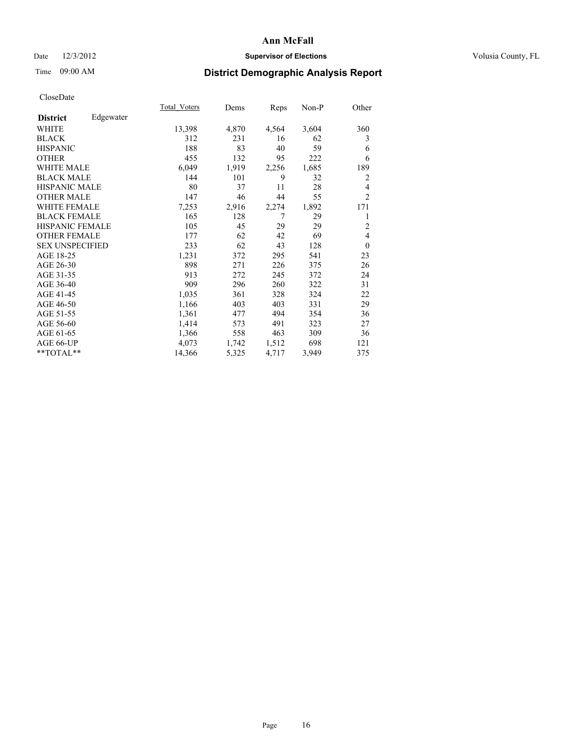### Date  $12/3/2012$  **Supervisor of Elections Supervisor of Elections** Volusia County, FL

# Time 09:00 AM **District Demographic Analysis Report**

|                              | Total Voters | Dems  | Reps  | Non-P | Other          |
|------------------------------|--------------|-------|-------|-------|----------------|
| Edgewater<br><b>District</b> |              |       |       |       |                |
| WHITE                        | 13,398       | 4,870 | 4,564 | 3,604 | 360            |
| <b>BLACK</b>                 | 312          | 231   | 16    | 62    | 3              |
| <b>HISPANIC</b>              | 188          | 83    | 40    | 59    | 6              |
| <b>OTHER</b>                 | 455          | 132   | 95    | 222   | 6              |
| <b>WHITE MALE</b>            | 6,049        | 1,919 | 2,256 | 1,685 | 189            |
| <b>BLACK MALE</b>            | 144          | 101   | 9     | 32    | 2              |
| HISPANIC MALE                | 80           | 37    | 11    | 28    | 4              |
| <b>OTHER MALE</b>            | 147          | 46    | 44    | 55    | $\overline{2}$ |
| <b>WHITE FEMALE</b>          | 7,253        | 2,916 | 2,274 | 1,892 | 171            |
| <b>BLACK FEMALE</b>          | 165          | 128   | 7     | 29    | 1              |
| <b>HISPANIC FEMALE</b>       | 105          | 45    | 29    | 29    | $\overline{2}$ |
| <b>OTHER FEMALE</b>          | 177          | 62    | 42    | 69    | $\overline{4}$ |
| <b>SEX UNSPECIFIED</b>       | 233          | 62    | 43    | 128   | $\theta$       |
| AGE 18-25                    | 1,231        | 372   | 295   | 541   | 23             |
| AGE 26-30                    | 898          | 271   | 226   | 375   | 26             |
| AGE 31-35                    | 913          | 272   | 245   | 372   | 24             |
| AGE 36-40                    | 909          | 296   | 260   | 322   | 31             |
| AGE 41-45                    | 1,035        | 361   | 328   | 324   | 22             |
| AGE 46-50                    | 1,166        | 403   | 403   | 331   | 29             |
| AGE 51-55                    | 1,361        | 477   | 494   | 354   | 36             |
| AGE 56-60                    | 1,414        | 573   | 491   | 323   | 27             |
| AGE 61-65                    | 1,366        | 558   | 463   | 309   | 36             |
| AGE 66-UP                    | 4,073        | 1,742 | 1,512 | 698   | 121            |
| **TOTAL**                    | 14,366       | 5,325 | 4,717 | 3,949 | 375            |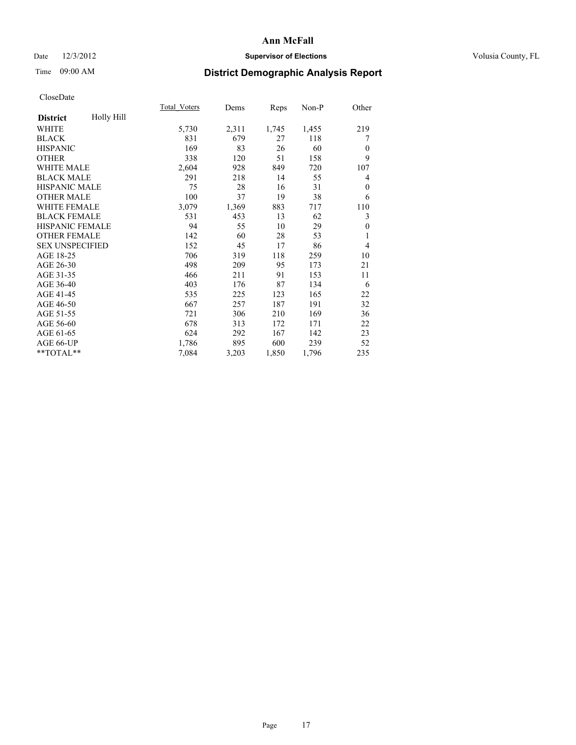### Date  $12/3/2012$  **Supervisor of Elections Supervisor of Elections** Volusia County, FL

# Time 09:00 AM **District Demographic Analysis Report**

|                        |            | <b>Total Voters</b> | Dems  | Reps  | Non-P | Other          |
|------------------------|------------|---------------------|-------|-------|-------|----------------|
| <b>District</b>        | Holly Hill |                     |       |       |       |                |
| WHITE                  |            | 5,730               | 2,311 | 1,745 | 1,455 | 219            |
| <b>BLACK</b>           |            | 831                 | 679   | 27    | 118   | 7              |
| <b>HISPANIC</b>        |            | 169                 | 83    | 26    | 60    | $\Omega$       |
| <b>OTHER</b>           |            | 338                 | 120   | 51    | 158   | 9              |
| <b>WHITE MALE</b>      |            | 2,604               | 928   | 849   | 720   | 107            |
| <b>BLACK MALE</b>      |            | 291                 | 218   | 14    | 55    | 4              |
| <b>HISPANIC MALE</b>   |            | 75                  | 28    | 16    | 31    | $\theta$       |
| <b>OTHER MALE</b>      |            | 100                 | 37    | 19    | 38    | 6              |
| <b>WHITE FEMALE</b>    |            | 3,079               | 1,369 | 883   | 717   | 110            |
| <b>BLACK FEMALE</b>    |            | 531                 | 453   | 13    | 62    | 3              |
| <b>HISPANIC FEMALE</b> |            | 94                  | 55    | 10    | 29    | $\theta$       |
| <b>OTHER FEMALE</b>    |            | 142                 | 60    | 28    | 53    | 1              |
| <b>SEX UNSPECIFIED</b> |            | 152                 | 45    | 17    | 86    | $\overline{4}$ |
| AGE 18-25              |            | 706                 | 319   | 118   | 259   | 10             |
| AGE 26-30              |            | 498                 | 209   | 95    | 173   | 21             |
| AGE 31-35              |            | 466                 | 211   | 91    | 153   | 11             |
| AGE 36-40              |            | 403                 | 176   | 87    | 134   | 6              |
| AGE 41-45              |            | 535                 | 225   | 123   | 165   | 22             |
| AGE 46-50              |            | 667                 | 257   | 187   | 191   | 32             |
| AGE 51-55              |            | 721                 | 306   | 210   | 169   | 36             |
| AGE 56-60              |            | 678                 | 313   | 172   | 171   | 22             |
| AGE 61-65              |            | 624                 | 292   | 167   | 142   | 23             |
| AGE 66-UP              |            | 1,786               | 895   | 600   | 239   | 52             |
| **TOTAL**              |            | 7,084               | 3,203 | 1,850 | 1,796 | 235            |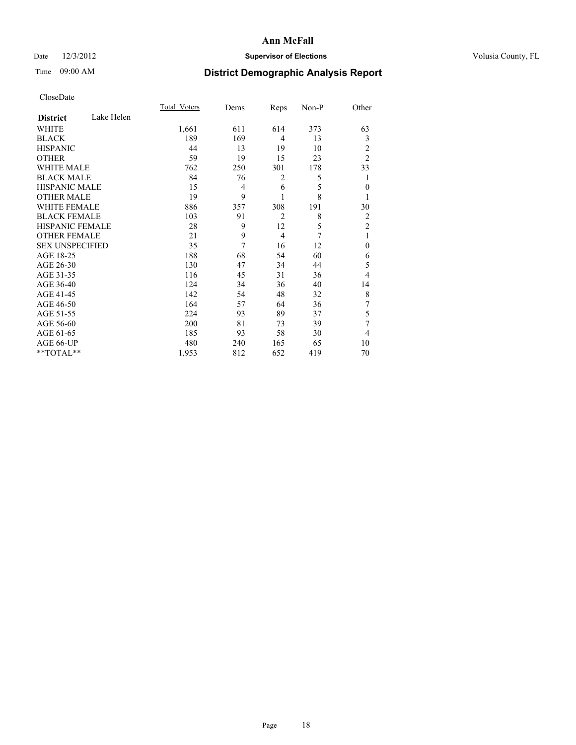## Date  $12/3/2012$  **Supervisor of Elections** Volusia County, FL

# Time 09:00 AM **District Demographic Analysis Report**

|                        |            | <b>Total Voters</b> | Dems | Reps           | Non-P | Other          |
|------------------------|------------|---------------------|------|----------------|-------|----------------|
| <b>District</b>        | Lake Helen |                     |      |                |       |                |
| WHITE                  |            | 1,661               | 611  | 614            | 373   | 63             |
| <b>BLACK</b>           |            | 189                 | 169  | $\overline{4}$ | 13    | 3              |
| <b>HISPANIC</b>        |            | 44                  | 13   | 19             | 10    | 2              |
| <b>OTHER</b>           |            | 59                  | 19   | 15             | 23    | $\overline{2}$ |
| WHITE MALE             |            | 762                 | 250  | 301            | 178   | 33             |
| <b>BLACK MALE</b>      |            | 84                  | 76   | 2              | 5     | 1              |
| <b>HISPANIC MALE</b>   |            | 15                  | 4    | 6              | 5     | $\mathbf{0}$   |
| <b>OTHER MALE</b>      |            | 19                  | 9    | 1              | 8     | 1              |
| WHITE FEMALE           |            | 886                 | 357  | 308            | 191   | 30             |
| <b>BLACK FEMALE</b>    |            | 103                 | 91   | $\overline{2}$ | 8     | $\overline{2}$ |
| <b>HISPANIC FEMALE</b> |            | 28                  | 9    | 12             | 5     | $\overline{2}$ |
| <b>OTHER FEMALE</b>    |            | 21                  | 9    | $\overline{4}$ | 7     | 1              |
| <b>SEX UNSPECIFIED</b> |            | 35                  | 7    | 16             | 12    | $\mathbf{0}$   |
| AGE 18-25              |            | 188                 | 68   | 54             | 60    | 6              |
| AGE 26-30              |            | 130                 | 47   | 34             | 44    | 5              |
| AGE 31-35              |            | 116                 | 45   | 31             | 36    | 4              |
| AGE 36-40              |            | 124                 | 34   | 36             | 40    | 14             |
| AGE 41-45              |            | 142                 | 54   | 48             | 32    | 8              |
| AGE 46-50              |            | 164                 | 57   | 64             | 36    | 7              |
| AGE 51-55              |            | 224                 | 93   | 89             | 37    | 5              |
| AGE 56-60              |            | 200                 | 81   | 73             | 39    | 7              |
| AGE 61-65              |            | 185                 | 93   | 58             | 30    | 4              |
| AGE 66-UP              |            | 480                 | 240  | 165            | 65    | 10             |
| **TOTAL**              |            | 1,953               | 812  | 652            | 419   | 70             |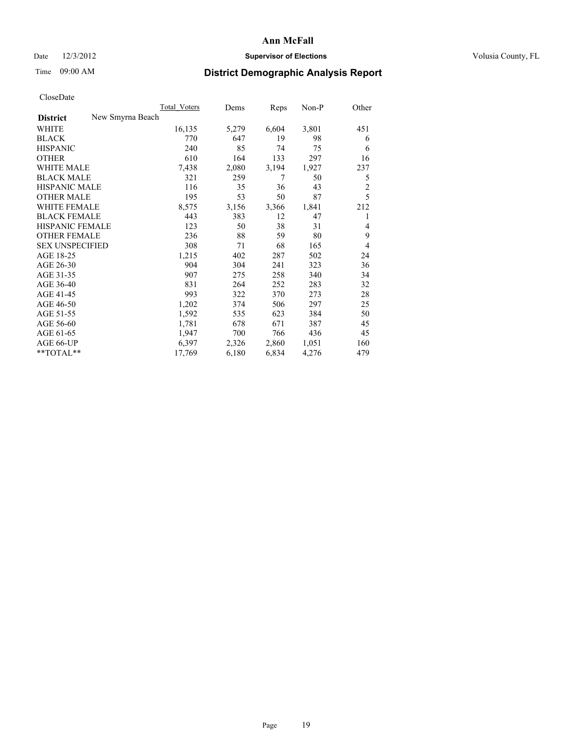### Date  $12/3/2012$  **Supervisor of Elections Supervisor of Elections** Volusia County, FL

# Time 09:00 AM **District Demographic Analysis Report**

|                                     | <b>Total Voters</b> | Dems  | Reps  | Non-P | Other          |
|-------------------------------------|---------------------|-------|-------|-------|----------------|
| New Smyrna Beach<br><b>District</b> |                     |       |       |       |                |
| WHITE                               | 16,135              | 5,279 | 6,604 | 3,801 | 451            |
| <b>BLACK</b>                        | 770                 | 647   | 19    | 98    | 6              |
| <b>HISPANIC</b>                     | 240                 | 85    | 74    | 75    | 6              |
| <b>OTHER</b>                        | 610                 | 164   | 133   | 297   | 16             |
| <b>WHITE MALE</b>                   | 7,438               | 2,080 | 3,194 | 1,927 | 237            |
| <b>BLACK MALE</b>                   | 321                 | 259   | 7     | 50    | 5              |
| <b>HISPANIC MALE</b>                | 116                 | 35    | 36    | 43    | $\overline{c}$ |
| <b>OTHER MALE</b>                   | 195                 | 53    | 50    | 87    | 5              |
| <b>WHITE FEMALE</b>                 | 8,575               | 3,156 | 3,366 | 1,841 | 212            |
| <b>BLACK FEMALE</b>                 | 443                 | 383   | 12    | 47    |                |
| HISPANIC FEMALE                     | 123                 | 50    | 38    | 31    | 4              |
| <b>OTHER FEMALE</b>                 | 236                 | 88    | 59    | 80    | 9              |
| <b>SEX UNSPECIFIED</b>              | 308                 | 71    | 68    | 165   | $\overline{4}$ |
| AGE 18-25                           | 1,215               | 402   | 287   | 502   | 24             |
| AGE 26-30                           | 904                 | 304   | 241   | 323   | 36             |
| AGE 31-35                           | 907                 | 275   | 258   | 340   | 34             |
| AGE 36-40                           | 831                 | 264   | 252   | 283   | 32             |
| AGE 41-45                           | 993                 | 322   | 370   | 273   | 28             |
| AGE 46-50                           | 1,202               | 374   | 506   | 297   | 25             |
| AGE 51-55                           | 1,592               | 535   | 623   | 384   | 50             |
| AGE 56-60                           | 1,781               | 678   | 671   | 387   | 45             |
| AGE 61-65                           | 1,947               | 700   | 766   | 436   | 45             |
| AGE 66-UP                           | 6,397               | 2,326 | 2,860 | 1,051 | 160            |
| $*$ $TOTAL**$                       | 17,769              | 6,180 | 6,834 | 4,276 | 479            |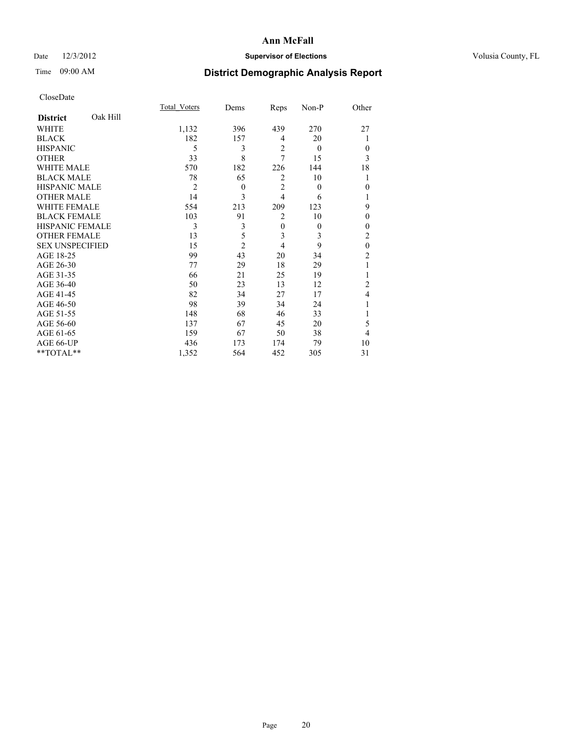## Date  $12/3/2012$  **Supervisor of Elections** Volusia County, FL

# Time 09:00 AM **District Demographic Analysis Report**

|                        |          | Total Voters   | Dems           | Reps           | Non-P    | Other          |
|------------------------|----------|----------------|----------------|----------------|----------|----------------|
| <b>District</b>        | Oak Hill |                |                |                |          |                |
| WHITE                  |          | 1,132          | 396            | 439            | 270      | 27             |
| <b>BLACK</b>           |          | 182            | 157            | 4              | 20       |                |
| <b>HISPANIC</b>        |          | 5              | 3              | $\overline{2}$ | $\theta$ | $\Omega$       |
| <b>OTHER</b>           |          | 33             | 8              | 7              | 15       | 3              |
| WHITE MALE             |          | 570            | 182            | 226            | 144      | 18             |
| <b>BLACK MALE</b>      |          | 78             | 65             | 2              | 10       | 1              |
| <b>HISPANIC MALE</b>   |          | $\overline{2}$ | $\theta$       | $\overline{2}$ | $\theta$ | $\theta$       |
| <b>OTHER MALE</b>      |          | 14             | 3              | $\overline{4}$ | 6        |                |
| WHITE FEMALE           |          | 554            | 213            | 209            | 123      | 9              |
| <b>BLACK FEMALE</b>    |          | 103            | 91             | $\overline{2}$ | 10       | $\theta$       |
| <b>HISPANIC FEMALE</b> |          | 3              | 3              | $\overline{0}$ | $\theta$ | $\Omega$       |
| <b>OTHER FEMALE</b>    |          | 13             | 5              | 3              | 3        | 2              |
| <b>SEX UNSPECIFIED</b> |          | 15             | $\overline{c}$ | $\overline{4}$ | 9        | $\mathbf{0}$   |
| AGE 18-25              |          | 99             | 43             | 20             | 34       | $\overline{c}$ |
| AGE 26-30              |          | 77             | 29             | 18             | 29       | 1              |
| AGE 31-35              |          | 66             | 21             | 25             | 19       |                |
| AGE 36-40              |          | 50             | 23             | 13             | 12       | $\overline{c}$ |
| AGE 41-45              |          | 82             | 34             | 27             | 17       | 4              |
| AGE 46-50              |          | 98             | 39             | 34             | 24       | 1              |
| AGE 51-55              |          | 148            | 68             | 46             | 33       |                |
| AGE 56-60              |          | 137            | 67             | 45             | 20       | 5              |
| AGE 61-65              |          | 159            | 67             | 50             | 38       | $\overline{4}$ |
| AGE 66-UP              |          | 436            | 173            | 174            | 79       | 10             |
| $**TOTAL**$            |          | 1,352          | 564            | 452            | 305      | 31             |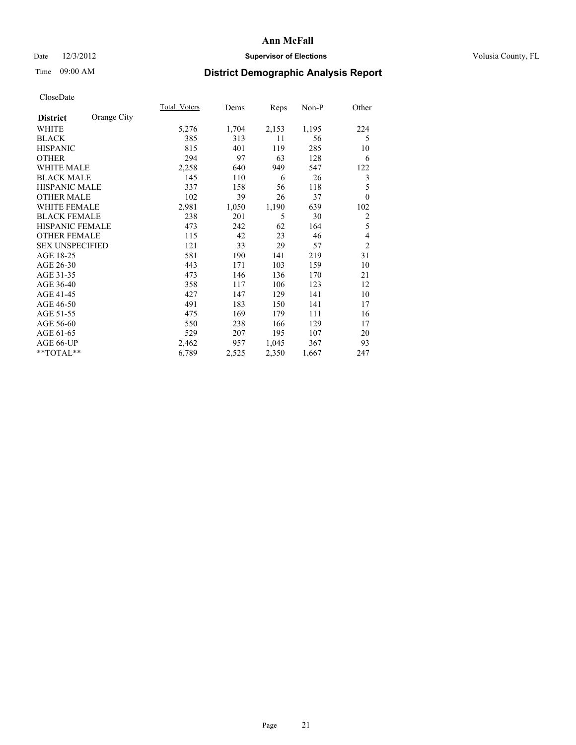### Date  $12/3/2012$  **Supervisor of Elections Supervisor of Elections** Volusia County, FL

# Time 09:00 AM **District Demographic Analysis Report**

|                        |             | Total Voters | Dems  | Reps  | Non-P | Other          |
|------------------------|-------------|--------------|-------|-------|-------|----------------|
| <b>District</b>        | Orange City |              |       |       |       |                |
| WHITE                  |             | 5,276        | 1,704 | 2,153 | 1,195 | 224            |
| <b>BLACK</b>           |             | 385          | 313   | 11    | 56    | 5              |
| <b>HISPANIC</b>        |             | 815          | 401   | 119   | 285   | 10             |
| <b>OTHER</b>           |             | 294          | 97    | 63    | 128   | 6              |
| <b>WHITE MALE</b>      |             | 2,258        | 640   | 949   | 547   | 122            |
| <b>BLACK MALE</b>      |             | 145          | 110   | 6     | 26    | 3              |
| HISPANIC MALE          |             | 337          | 158   | 56    | 118   | 5              |
| <b>OTHER MALE</b>      |             | 102          | 39    | 26    | 37    | $\theta$       |
| <b>WHITE FEMALE</b>    |             | 2,981        | 1,050 | 1,190 | 639   | 102            |
| <b>BLACK FEMALE</b>    |             | 238          | 201   | 5     | 30    | $\overline{2}$ |
| <b>HISPANIC FEMALE</b> |             | 473          | 242   | 62    | 164   | 5              |
| <b>OTHER FEMALE</b>    |             | 115          | 42    | 23    | 46    | 4              |
| <b>SEX UNSPECIFIED</b> |             | 121          | 33    | 29    | 57    | $\overline{c}$ |
| AGE 18-25              |             | 581          | 190   | 141   | 219   | 31             |
| AGE 26-30              |             | 443          | 171   | 103   | 159   | 10             |
| AGE 31-35              |             | 473          | 146   | 136   | 170   | 21             |
| AGE 36-40              |             | 358          | 117   | 106   | 123   | 12             |
| AGE 41-45              |             | 427          | 147   | 129   | 141   | 10             |
| AGE 46-50              |             | 491          | 183   | 150   | 141   | 17             |
| AGE 51-55              |             | 475          | 169   | 179   | 111   | 16             |
| AGE 56-60              |             | 550          | 238   | 166   | 129   | 17             |
| AGE 61-65              |             | 529          | 207   | 195   | 107   | 20             |
| AGE 66-UP              |             | 2,462        | 957   | 1,045 | 367   | 93             |
| **TOTAL**              |             | 6,789        | 2,525 | 2,350 | 1,667 | 247            |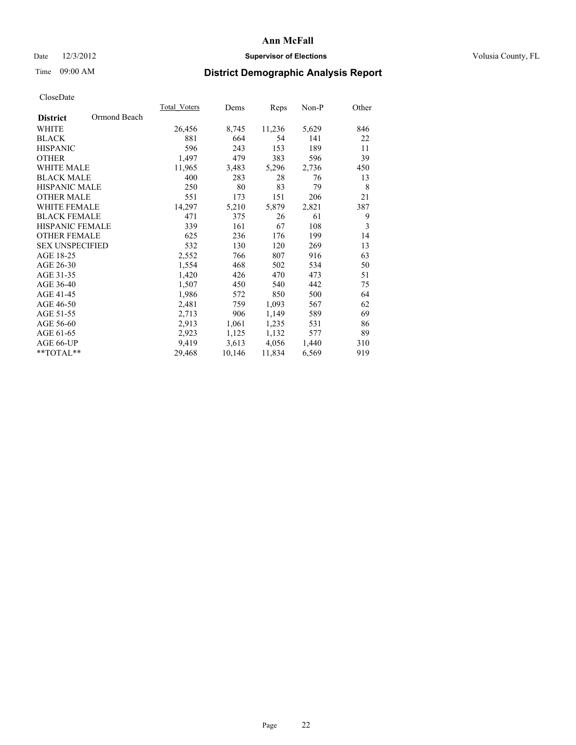### Date  $12/3/2012$  **Supervisor of Elections Supervisor of Elections** Volusia County, FL

## Time 09:00 AM **District Demographic Analysis Report**

| Total Voters | Dems   | <b>Reps</b> | Non-P | Other |
|--------------|--------|-------------|-------|-------|
|              |        |             |       |       |
| 26,456       | 8,745  | 11,236      | 5,629 | 846   |
| 881          | 664    | 54          | 141   | 22    |
| 596          | 243    | 153         | 189   | 11    |
| 1,497        | 479    | 383         | 596   | 39    |
| 11,965       | 3,483  | 5,296       | 2,736 | 450   |
| 400          | 283    | 28          | 76    | 13    |
| 250          | 80     | 83          | 79    | 8     |
| 551          | 173    | 151         | 206   | 21    |
| 14,297       | 5,210  | 5,879       | 2,821 | 387   |
| 471          | 375    | 26          | 61    | 9     |
| 339          | 161    | 67          | 108   | 3     |
| 625          | 236    | 176         | 199   | 14    |
| 532          | 130    | 120         | 269   | 13    |
| 2,552        | 766    | 807         | 916   | 63    |
| 1,554        | 468    | 502         | 534   | 50    |
| 1,420        | 426    | 470         | 473   | 51    |
| 1,507        | 450    | 540         | 442   | 75    |
| 1,986        | 572    | 850         | 500   | 64    |
| 2,481        | 759    | 1,093       | 567   | 62    |
| 2,713        | 906    | 1,149       | 589   | 69    |
| 2,913        | 1,061  | 1,235       | 531   | 86    |
| 2,923        | 1,125  | 1,132       | 577   | 89    |
| 9,419        | 3,613  | 4,056       | 1,440 | 310   |
| 29,468       | 10,146 | 11,834      | 6,569 | 919   |
|              |        |             |       |       |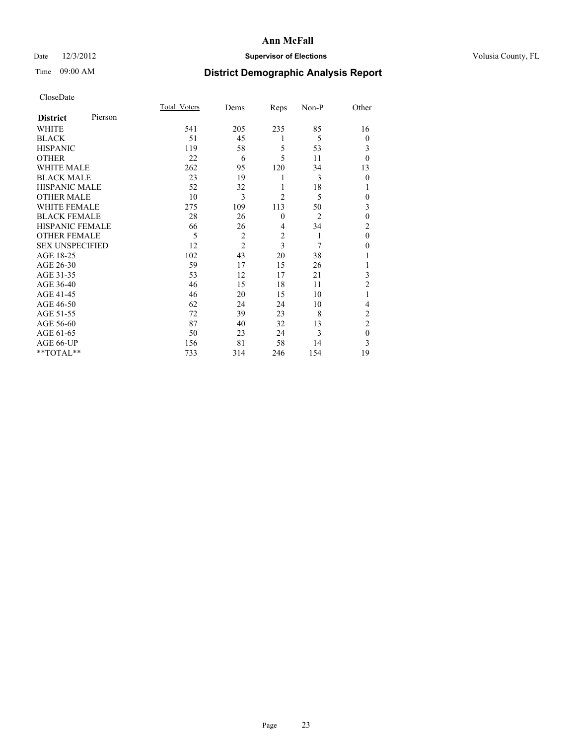## Date  $12/3/2012$  **Supervisor of Elections** Volusia County, FL

# Time 09:00 AM **District Demographic Analysis Report**

|                        |         | Total Voters | Dems           | Reps           | Non-P          | Other          |
|------------------------|---------|--------------|----------------|----------------|----------------|----------------|
| <b>District</b>        | Pierson |              |                |                |                |                |
| <b>WHITE</b>           |         | 541          | 205            | 235            | 85             | 16             |
| <b>BLACK</b>           |         | 51           | 45             | 1              | 5              | $\overline{0}$ |
| <b>HISPANIC</b>        |         | 119          | 58             | 5              | 53             | 3              |
| <b>OTHER</b>           |         | 22           | 6              | 5              | 11             | $\theta$       |
| WHITE MALE             |         | 262          | 95             | 120            | 34             | 13             |
| <b>BLACK MALE</b>      |         | 23           | 19             | 1              | 3              | $\mathbf{0}$   |
| <b>HISPANIC MALE</b>   |         | 52           | 32             | 1              | 18             | 1              |
| <b>OTHER MALE</b>      |         | 10           | 3              | $\overline{2}$ | 5              | 0              |
| WHITE FEMALE           |         | 275          | 109            | 113            | 50             | 3              |
| <b>BLACK FEMALE</b>    |         | 28           | 26             | $\mathbf{0}$   | $\overline{2}$ | $\mathbf{0}$   |
| <b>HISPANIC FEMALE</b> |         | 66           | 26             | $\overline{4}$ | 34             | $\overline{c}$ |
| <b>OTHER FEMALE</b>    |         | 5            | $\overline{c}$ | $\overline{c}$ | 1              | $\theta$       |
| <b>SEX UNSPECIFIED</b> |         | 12           | $\overline{2}$ | 3              | 7              | $\theta$       |
| AGE 18-25              |         | 102          | 43             | 20             | 38             |                |
| AGE 26-30              |         | 59           | 17             | 15             | 26             | 1              |
| AGE 31-35              |         | 53           | 12             | 17             | 21             | 3              |
| AGE 36-40              |         | 46           | 15             | 18             | 11             | $\overline{2}$ |
| AGE 41-45              |         | 46           | 20             | 15             | 10             |                |
| AGE 46-50              |         | 62           | 24             | 24             | 10             | 4              |
| AGE 51-55              |         | 72           | 39             | 23             | 8              | $\overline{c}$ |
| AGE 56-60              |         | 87           | 40             | 32             | 13             | $\overline{c}$ |
| AGE 61-65              |         | 50           | 23             | 24             | 3              | $\mathbf{0}$   |
| AGE 66-UP              |         | 156          | 81             | 58             | 14             | 3              |
| $**TOTAL**$            |         | 733          | 314            | 246            | 154            | 19             |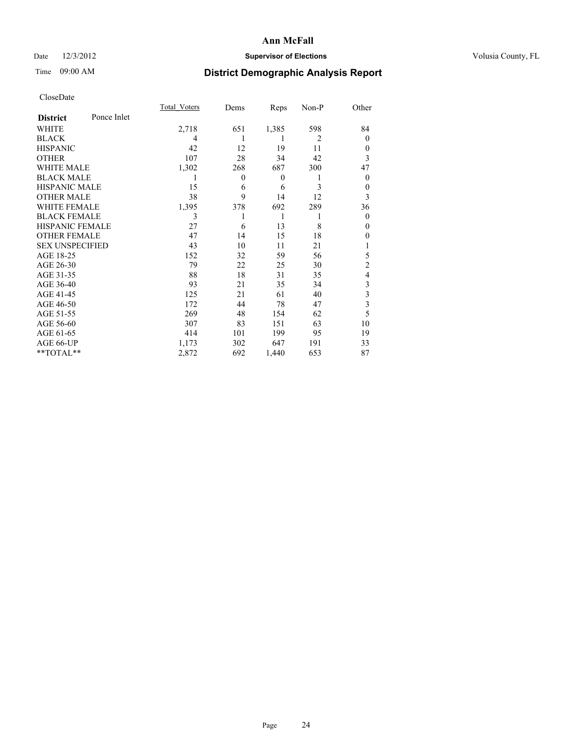## Date  $12/3/2012$  **Supervisor of Elections** Volusia County, FL

# Time 09:00 AM **District Demographic Analysis Report**

|                        |             | <b>Total Voters</b> | Dems             | Reps         | Non-P          | Other          |
|------------------------|-------------|---------------------|------------------|--------------|----------------|----------------|
| <b>District</b>        | Ponce Inlet |                     |                  |              |                |                |
| WHITE                  |             | 2,718               | 651              | 1,385        | 598            | 84             |
| <b>BLACK</b>           |             | 4                   |                  | 1            | $\overline{2}$ | $\Omega$       |
| <b>HISPANIC</b>        |             | 42                  | 12               | 19           | 11             | $\Omega$       |
| <b>OTHER</b>           |             | 107                 | 28               | 34           | 42             | 3              |
| WHITE MALE             |             | 1,302               | 268              | 687          | 300            | 47             |
| <b>BLACK MALE</b>      |             | 1                   | $\boldsymbol{0}$ | $\mathbf{0}$ | 1              | $\overline{0}$ |
| <b>HISPANIC MALE</b>   |             | 15                  | 6                | 6            | 3              | $\overline{0}$ |
| <b>OTHER MALE</b>      |             | 38                  | 9                | 14           | 12             | 3              |
| WHITE FEMALE           |             | 1,395               | 378              | 692          | 289            | 36             |
| <b>BLACK FEMALE</b>    |             | 3                   |                  | 1            | 1              | $\overline{0}$ |
| <b>HISPANIC FEMALE</b> |             | 27                  | 6                | 13           | 8              | $\Omega$       |
| <b>OTHER FEMALE</b>    |             | 47                  | 14               | 15           | 18             | $\theta$       |
| <b>SEX UNSPECIFIED</b> |             | 43                  | 10               | 11           | 21             |                |
| AGE 18-25              |             | 152                 | 32               | 59           | 56             | 5              |
| AGE 26-30              |             | 79                  | 22               | 25           | 30             | $\overline{2}$ |
| AGE 31-35              |             | 88                  | 18               | 31           | 35             | 4              |
| AGE 36-40              |             | 93                  | 21               | 35           | 34             | 3              |
| AGE 41-45              |             | 125                 | 21               | 61           | 40             | 3              |
| AGE 46-50              |             | 172                 | 44               | 78           | 47             | 3              |
| AGE 51-55              |             | 269                 | 48               | 154          | 62             | 5              |
| AGE 56-60              |             | 307                 | 83               | 151          | 63             | 10             |
| AGE 61-65              |             | 414                 | 101              | 199          | 95             | 19             |
| AGE 66-UP              |             | 1,173               | 302              | 647          | 191            | 33             |
| **TOTAL**              |             | 2,872               | 692              | 1,440        | 653            | 87             |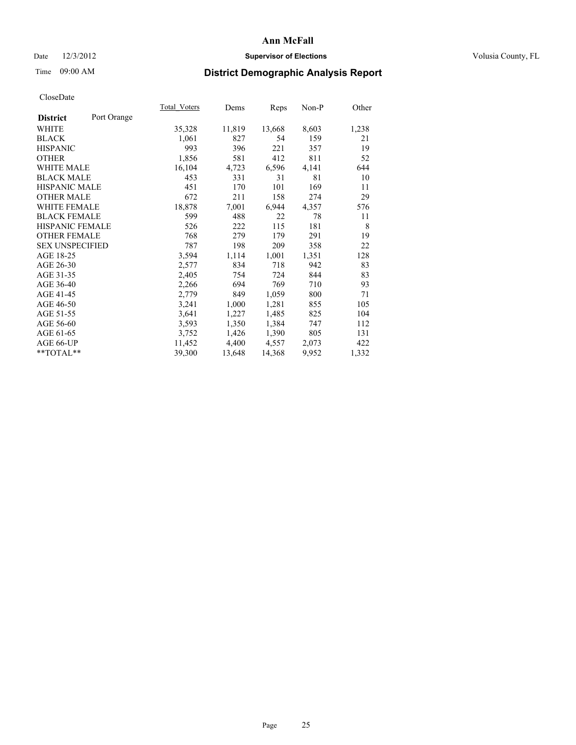### Date  $12/3/2012$  **Supervisor of Elections Supervisor of Elections** Volusia County, FL

# Time 09:00 AM **District Demographic Analysis Report**

|                        |             | Total Voters | Dems   | <b>Reps</b> | Non-P | Other |
|------------------------|-------------|--------------|--------|-------------|-------|-------|
| <b>District</b>        | Port Orange |              |        |             |       |       |
| WHITE                  |             | 35,328       | 11,819 | 13,668      | 8,603 | 1,238 |
| <b>BLACK</b>           |             | 1,061        | 827    | 54          | 159   | 21    |
| <b>HISPANIC</b>        |             | 993          | 396    | 221         | 357   | 19    |
| <b>OTHER</b>           |             | 1,856        | 581    | 412         | 811   | 52    |
| <b>WHITE MALE</b>      |             | 16,104       | 4,723  | 6,596       | 4,141 | 644   |
| <b>BLACK MALE</b>      |             | 453          | 331    | 31          | 81    | 10    |
| <b>HISPANIC MALE</b>   |             | 451          | 170    | 101         | 169   | 11    |
| <b>OTHER MALE</b>      |             | 672          | 211    | 158         | 274   | 29    |
| <b>WHITE FEMALE</b>    |             | 18,878       | 7,001  | 6,944       | 4,357 | 576   |
| <b>BLACK FEMALE</b>    |             | 599          | 488    | 22          | 78    | 11    |
| HISPANIC FEMALE        |             | 526          | 222    | 115         | 181   | 8     |
| <b>OTHER FEMALE</b>    |             | 768          | 279    | 179         | 291   | 19    |
| <b>SEX UNSPECIFIED</b> |             | 787          | 198    | 209         | 358   | 22    |
| AGE 18-25              |             | 3,594        | 1,114  | 1,001       | 1,351 | 128   |
| AGE 26-30              |             | 2,577        | 834    | 718         | 942   | 83    |
| AGE 31-35              |             | 2,405        | 754    | 724         | 844   | 83    |
| AGE 36-40              |             | 2,266        | 694    | 769         | 710   | 93    |
| AGE 41-45              |             | 2,779        | 849    | 1,059       | 800   | 71    |
| AGE 46-50              |             | 3,241        | 1,000  | 1,281       | 855   | 105   |
| AGE 51-55              |             | 3,641        | 1,227  | 1,485       | 825   | 104   |
| AGE 56-60              |             | 3,593        | 1,350  | 1,384       | 747   | 112   |
| AGE 61-65              |             | 3,752        | 1,426  | 1,390       | 805   | 131   |
| AGE 66-UP              |             | 11,452       | 4,400  | 4,557       | 2,073 | 422   |
| **TOTAL**              |             | 39,300       | 13,648 | 14,368      | 9,952 | 1,332 |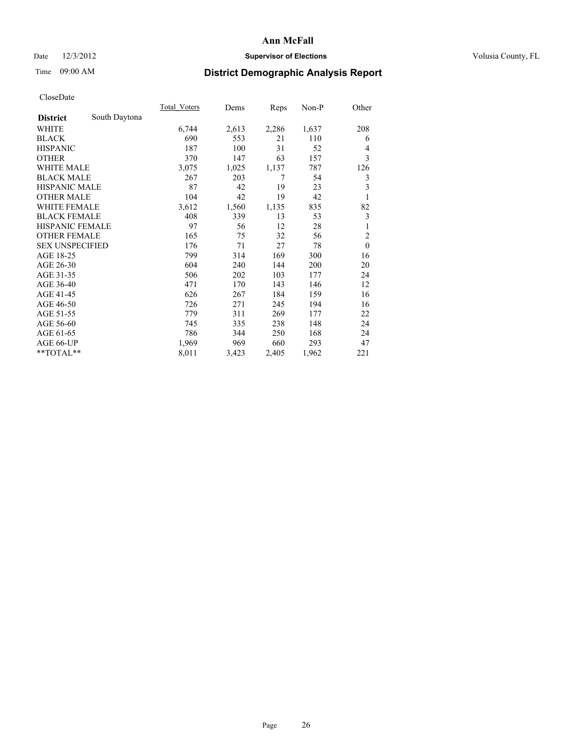### Date  $12/3/2012$  **Supervisor of Elections** Volusia County, FL

# Time 09:00 AM **District Demographic Analysis Report**

|                        |               | <b>Total Voters</b> | Dems  | Reps  | Non-P | Other            |
|------------------------|---------------|---------------------|-------|-------|-------|------------------|
| <b>District</b>        | South Daytona |                     |       |       |       |                  |
| WHITE                  |               | 6,744               | 2,613 | 2,286 | 1,637 | 208              |
| <b>BLACK</b>           |               | 690                 | 553   | 21    | 110   | 6                |
| <b>HISPANIC</b>        |               | 187                 | 100   | 31    | 52    | 4                |
| <b>OTHER</b>           |               | 370                 | 147   | 63    | 157   | 3                |
| <b>WHITE MALE</b>      |               | 3,075               | 1,025 | 1,137 | 787   | 126              |
| <b>BLACK MALE</b>      |               | 267                 | 203   | 7     | 54    | $\mathfrak{Z}$   |
| <b>HISPANIC MALE</b>   |               | 87                  | 42    | 19    | 23    | 3                |
| <b>OTHER MALE</b>      |               | 104                 | 42    | 19    | 42    | 1                |
| <b>WHITE FEMALE</b>    |               | 3,612               | 1,560 | 1,135 | 835   | 82               |
| <b>BLACK FEMALE</b>    |               | 408                 | 339   | 13    | 53    | $\mathfrak{Z}$   |
| <b>HISPANIC FEMALE</b> |               | 97                  | 56    | 12    | 28    | 1                |
| <b>OTHER FEMALE</b>    |               | 165                 | 75    | 32    | 56    | $\overline{2}$   |
| <b>SEX UNSPECIFIED</b> |               | 176                 | 71    | 27    | 78    | $\boldsymbol{0}$ |
| AGE 18-25              |               | 799                 | 314   | 169   | 300   | 16               |
| AGE 26-30              |               | 604                 | 240   | 144   | 200   | 20               |
| AGE 31-35              |               | 506                 | 202   | 103   | 177   | 24               |
| AGE 36-40              |               | 471                 | 170   | 143   | 146   | 12               |
| AGE 41-45              |               | 626                 | 267   | 184   | 159   | 16               |
| AGE 46-50              |               | 726                 | 271   | 245   | 194   | 16               |
| AGE 51-55              |               | 779                 | 311   | 269   | 177   | 22               |
| AGE 56-60              |               | 745                 | 335   | 238   | 148   | 24               |
| AGE 61-65              |               | 786                 | 344   | 250   | 168   | 24               |
| AGE 66-UP              |               | 1,969               | 969   | 660   | 293   | 47               |
| **TOTAL**              |               | 8,011               | 3,423 | 2,405 | 1,962 | 221              |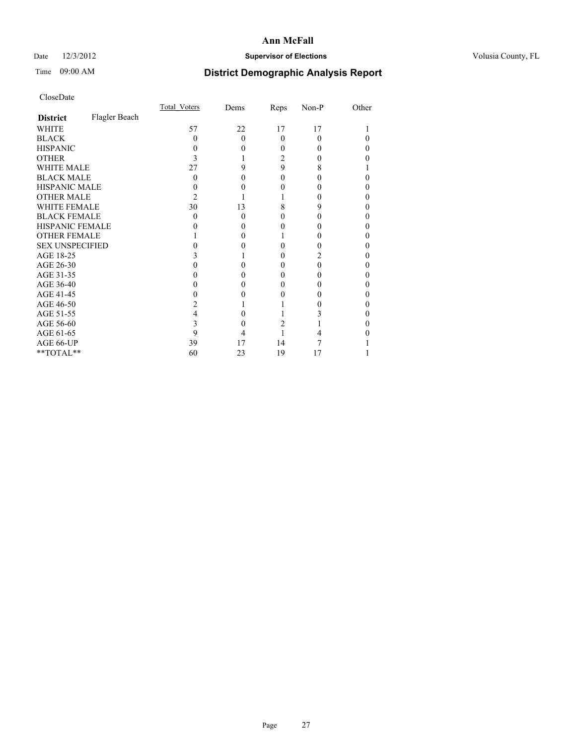## Date  $12/3/2012$  **Supervisor of Elections** Volusia County, FL

# Time 09:00 AM **District Demographic Analysis Report**

|                        |               | <b>Total Voters</b> | Dems     | Reps     | Non-P | Other |
|------------------------|---------------|---------------------|----------|----------|-------|-------|
| <b>District</b>        | Flagler Beach |                     |          |          |       |       |
| WHITE                  |               | 57                  | 22       | 17       | 17    |       |
| <b>BLACK</b>           |               | 0                   | $\Omega$ | $\theta$ | 0     |       |
| <b>HISPANIC</b>        |               |                     | $\Omega$ | 0        |       | 0     |
| <b>OTHER</b>           |               |                     |          | 2        |       |       |
| WHITE MALE             |               | 27                  | 9        | 9        | 8     |       |
| <b>BLACK MALE</b>      |               | 0                   | 0        | 0        |       |       |
| <b>HISPANIC MALE</b>   |               |                     |          | 0        |       | 0     |
| <b>OTHER MALE</b>      |               | 2                   |          |          |       | 0     |
| <b>WHITE FEMALE</b>    |               | 30                  | 13       | 8        | 9     | 0     |
| <b>BLACK FEMALE</b>    |               | 0                   | $\Omega$ | 0        |       | 0     |
| <b>HISPANIC FEMALE</b> |               |                     |          | 0        |       |       |
| <b>OTHER FEMALE</b>    |               |                     | 0        |          |       | 0     |
| <b>SEX UNSPECIFIED</b> |               |                     |          |          |       | 0     |
| AGE 18-25              |               |                     |          | 0        |       | 0     |
| AGE 26-30              |               |                     |          | 0        | 0     | 0     |
| AGE 31-35              |               |                     |          | 0        |       | 0     |
| AGE 36-40              |               |                     | 0        | 0        |       | 0     |
| AGE 41-45              |               |                     |          |          |       |       |
| AGE 46-50              |               |                     |          |          |       | 0     |
| AGE 51-55              |               | 4                   |          |          |       |       |
| AGE 56-60              |               | 3                   |          | 2        |       | 0     |
| AGE 61-65              |               | 9                   |          |          |       |       |
| AGE 66-UP              |               | 39                  | 17       | 14       |       |       |
| **TOTAL**              |               | 60                  | 23       | 19       | 17    |       |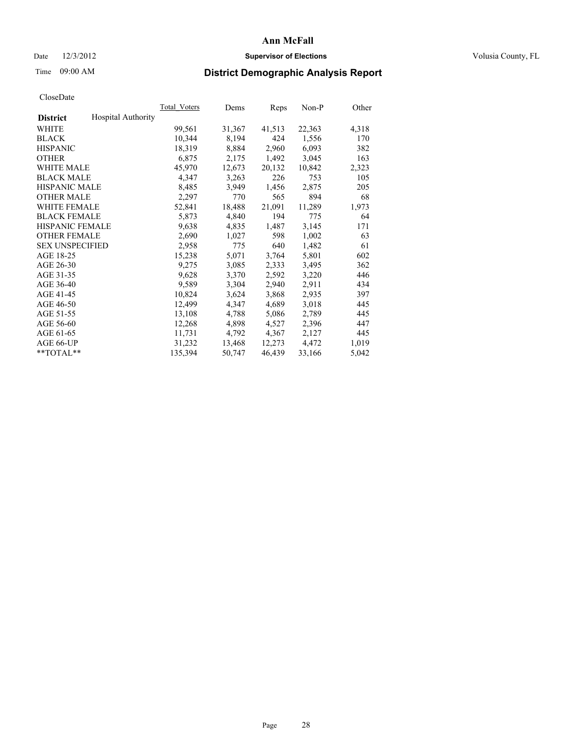### Date  $12/3/2012$  **Supervisor of Elections Supervisor of Elections** Volusia County, FL

# Time 09:00 AM **District Demographic Analysis Report**

|                        |                           | Total Voters | Dems   | <b>Reps</b> | Non-P  | Other |
|------------------------|---------------------------|--------------|--------|-------------|--------|-------|
| <b>District</b>        | <b>Hospital Authority</b> |              |        |             |        |       |
| WHITE                  |                           | 99,561       | 31,367 | 41,513      | 22,363 | 4,318 |
| <b>BLACK</b>           |                           | 10,344       | 8,194  | 424         | 1,556  | 170   |
| <b>HISPANIC</b>        |                           | 18,319       | 8,884  | 2,960       | 6,093  | 382   |
| <b>OTHER</b>           |                           | 6,875        | 2,175  | 1,492       | 3,045  | 163   |
| <b>WHITE MALE</b>      |                           | 45,970       | 12,673 | 20,132      | 10,842 | 2,323 |
| <b>BLACK MALE</b>      |                           | 4,347        | 3,263  | 226         | 753    | 105   |
| <b>HISPANIC MALE</b>   |                           | 8,485        | 3,949  | 1,456       | 2,875  | 205   |
| <b>OTHER MALE</b>      |                           | 2,297        | 770    | 565         | 894    | 68    |
| WHITE FEMALE           |                           | 52,841       | 18,488 | 21,091      | 11,289 | 1,973 |
| <b>BLACK FEMALE</b>    |                           | 5,873        | 4,840  | 194         | 775    | 64    |
| <b>HISPANIC FEMALE</b> |                           | 9,638        | 4,835  | 1,487       | 3,145  | 171   |
| <b>OTHER FEMALE</b>    |                           | 2,690        | 1,027  | 598         | 1,002  | 63    |
| <b>SEX UNSPECIFIED</b> |                           | 2,958        | 775    | 640         | 1,482  | 61    |
| AGE 18-25              |                           | 15,238       | 5,071  | 3,764       | 5,801  | 602   |
| AGE 26-30              |                           | 9,275        | 3,085  | 2,333       | 3,495  | 362   |
| AGE 31-35              |                           | 9,628        | 3,370  | 2,592       | 3,220  | 446   |
| AGE 36-40              |                           | 9,589        | 3,304  | 2,940       | 2,911  | 434   |
| AGE 41-45              |                           | 10,824       | 3,624  | 3,868       | 2,935  | 397   |
| AGE 46-50              |                           | 12,499       | 4,347  | 4,689       | 3,018  | 445   |
| AGE 51-55              |                           | 13,108       | 4,788  | 5,086       | 2,789  | 445   |
| AGE 56-60              |                           | 12,268       | 4,898  | 4,527       | 2,396  | 447   |
| AGE 61-65              |                           | 11,731       | 4,792  | 4,367       | 2,127  | 445   |
| AGE 66-UP              |                           | 31,232       | 13,468 | 12,273      | 4,472  | 1,019 |
| $*$ TOTAL $*$          |                           | 135,394      | 50,747 | 46,439      | 33,166 | 5,042 |
|                        |                           |              |        |             |        |       |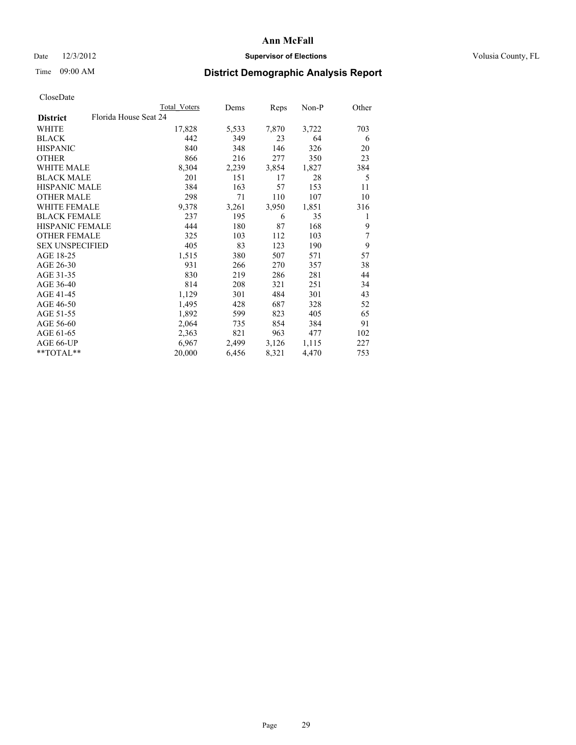## Date  $12/3/2012$  **Supervisor of Elections** Volusia County, FL

# Time 09:00 AM **District Demographic Analysis Report**

|                                          | <b>Total Voters</b> | Dems  | <b>Reps</b> | Non-P | Other |
|------------------------------------------|---------------------|-------|-------------|-------|-------|
| Florida House Seat 24<br><b>District</b> |                     |       |             |       |       |
| WHITE                                    | 17,828              | 5,533 | 7,870       | 3,722 | 703   |
| <b>BLACK</b>                             | 442                 | 349   | 23          | 64    | 6     |
| <b>HISPANIC</b>                          | 840                 | 348   | 146         | 326   | 20    |
| <b>OTHER</b>                             | 866                 | 216   | 277         | 350   | 23    |
| <b>WHITE MALE</b>                        | 8,304               | 2,239 | 3,854       | 1,827 | 384   |
| <b>BLACK MALE</b>                        | 201                 | 151   | 17          | 28    | 5     |
| <b>HISPANIC MALE</b>                     | 384                 | 163   | 57          | 153   | 11    |
| <b>OTHER MALE</b>                        | 298                 | 71    | 110         | 107   | 10    |
| <b>WHITE FEMALE</b>                      | 9,378               | 3,261 | 3,950       | 1,851 | 316   |
| <b>BLACK FEMALE</b>                      | 237                 | 195   | 6           | 35    | 1     |
| <b>HISPANIC FEMALE</b>                   | 444                 | 180   | 87          | 168   | 9     |
| <b>OTHER FEMALE</b>                      | 325                 | 103   | 112         | 103   | 7     |
| <b>SEX UNSPECIFIED</b>                   | 405                 | 83    | 123         | 190   | 9     |
| AGE 18-25                                | 1,515               | 380   | 507         | 571   | 57    |
| AGE 26-30                                | 931                 | 266   | 270         | 357   | 38    |
| AGE 31-35                                | 830                 | 219   | 286         | 281   | 44    |
| AGE 36-40                                | 814                 | 208   | 321         | 251   | 34    |
| AGE 41-45                                | 1,129               | 301   | 484         | 301   | 43    |
| AGE 46-50                                | 1,495               | 428   | 687         | 328   | 52    |
| AGE 51-55                                | 1,892               | 599   | 823         | 405   | 65    |
| AGE 56-60                                | 2,064               | 735   | 854         | 384   | 91    |
| AGE 61-65                                | 2,363               | 821   | 963         | 477   | 102   |
| AGE 66-UP                                | 6,967               | 2,499 | 3,126       | 1,115 | 227   |
| $*$ $TOTAL**$                            | 20,000              | 6,456 | 8,321       | 4,470 | 753   |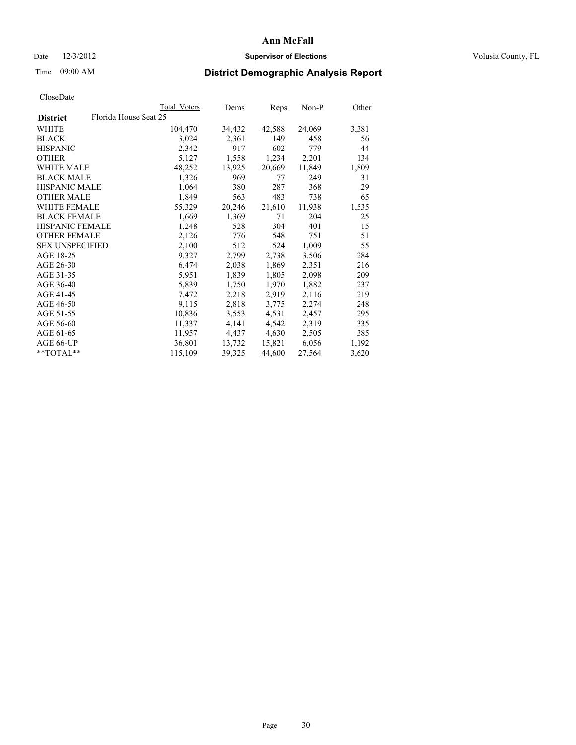### Date  $12/3/2012$  **Supervisor of Elections Supervisor of Elections** Volusia County, FL

# Time 09:00 AM **District Demographic Analysis Report**

|                                          | Total Voters | Dems   | Reps   | Non-P  | Other |
|------------------------------------------|--------------|--------|--------|--------|-------|
| Florida House Seat 25<br><b>District</b> |              |        |        |        |       |
| WHITE                                    | 104,470      | 34,432 | 42,588 | 24,069 | 3,381 |
| <b>BLACK</b>                             | 3,024        | 2,361  | 149    | 458    | 56    |
| <b>HISPANIC</b>                          | 2,342        | 917    | 602    | 779    | 44    |
| <b>OTHER</b>                             | 5,127        | 1,558  | 1,234  | 2,201  | 134   |
| <b>WHITE MALE</b>                        | 48,252       | 13,925 | 20,669 | 11,849 | 1,809 |
| <b>BLACK MALE</b>                        | 1,326        | 969    | 77     | 249    | 31    |
| <b>HISPANIC MALE</b>                     | 1,064        | 380    | 287    | 368    | 29    |
| <b>OTHER MALE</b>                        | 1,849        | 563    | 483    | 738    | 65    |
| WHITE FEMALE                             | 55,329       | 20,246 | 21,610 | 11,938 | 1,535 |
| <b>BLACK FEMALE</b>                      | 1,669        | 1,369  | 71     | 204    | 25    |
| HISPANIC FEMALE                          | 1,248        | 528    | 304    | 401    | 15    |
| <b>OTHER FEMALE</b>                      | 2,126        | 776    | 548    | 751    | 51    |
| <b>SEX UNSPECIFIED</b>                   | 2,100        | 512    | 524    | 1,009  | 55    |
| AGE 18-25                                | 9,327        | 2,799  | 2,738  | 3,506  | 284   |
| AGE 26-30                                | 6,474        | 2,038  | 1,869  | 2,351  | 216   |
| AGE 31-35                                | 5,951        | 1,839  | 1,805  | 2,098  | 209   |
| AGE 36-40                                | 5,839        | 1,750  | 1,970  | 1,882  | 237   |
| AGE 41-45                                | 7,472        | 2,218  | 2,919  | 2,116  | 219   |
| AGE 46-50                                | 9,115        | 2,818  | 3,775  | 2,274  | 248   |
| AGE 51-55                                | 10,836       | 3,553  | 4,531  | 2,457  | 295   |
| AGE 56-60                                | 11,337       | 4,141  | 4,542  | 2,319  | 335   |
| AGE 61-65                                | 11,957       | 4,437  | 4,630  | 2,505  | 385   |
| AGE 66-UP                                | 36,801       | 13,732 | 15,821 | 6,056  | 1,192 |
| $*$ TOTAL $*$                            | 115,109      | 39,325 | 44,600 | 27,564 | 3,620 |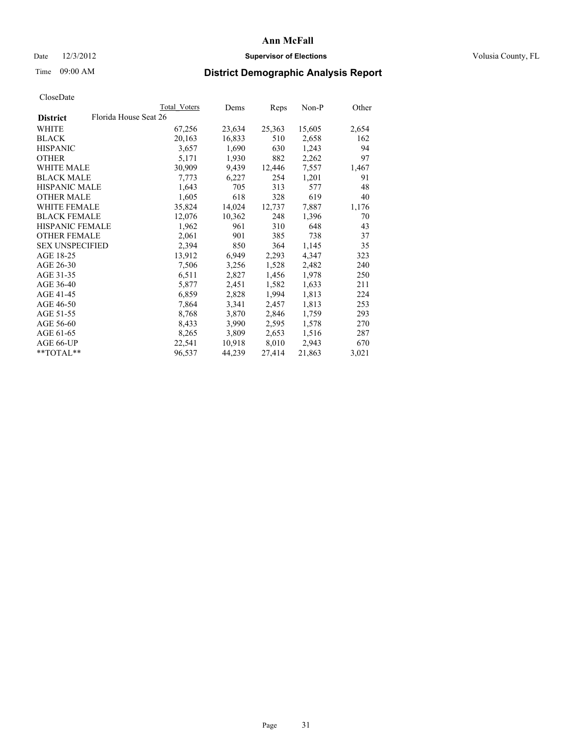### Date  $12/3/2012$  **Supervisor of Elections Supervisor of Elections** Volusia County, FL

# Time 09:00 AM **District Demographic Analysis Report**

|                        |                       | Total Voters | Dems   | Reps   | Non-P  | Other |
|------------------------|-----------------------|--------------|--------|--------|--------|-------|
| <b>District</b>        | Florida House Seat 26 |              |        |        |        |       |
| WHITE                  |                       | 67,256       | 23,634 | 25,363 | 15,605 | 2,654 |
| <b>BLACK</b>           |                       | 20,163       | 16,833 | 510    | 2,658  | 162   |
| <b>HISPANIC</b>        |                       | 3,657        | 1,690  | 630    | 1,243  | 94    |
| <b>OTHER</b>           |                       | 5,171        | 1,930  | 882    | 2,262  | 97    |
| <b>WHITE MALE</b>      |                       | 30,909       | 9,439  | 12,446 | 7,557  | 1,467 |
| <b>BLACK MALE</b>      |                       | 7,773        | 6,227  | 254    | 1,201  | 91    |
| <b>HISPANIC MALE</b>   |                       | 1,643        | 705    | 313    | 577    | 48    |
| <b>OTHER MALE</b>      |                       | 1,605        | 618    | 328    | 619    | 40    |
| <b>WHITE FEMALE</b>    |                       | 35,824       | 14,024 | 12,737 | 7,887  | 1,176 |
| <b>BLACK FEMALE</b>    |                       | 12,076       | 10,362 | 248    | 1,396  | 70    |
| <b>HISPANIC FEMALE</b> |                       | 1,962        | 961    | 310    | 648    | 43    |
| <b>OTHER FEMALE</b>    |                       | 2,061        | 901    | 385    | 738    | 37    |
| <b>SEX UNSPECIFIED</b> |                       | 2,394        | 850    | 364    | 1,145  | 35    |
| AGE 18-25              |                       | 13,912       | 6,949  | 2,293  | 4,347  | 323   |
| AGE 26-30              |                       | 7,506        | 3,256  | 1,528  | 2,482  | 240   |
| AGE 31-35              |                       | 6,511        | 2,827  | 1,456  | 1,978  | 250   |
| AGE 36-40              |                       | 5,877        | 2,451  | 1,582  | 1,633  | 211   |
| AGE 41-45              |                       | 6,859        | 2,828  | 1,994  | 1,813  | 224   |
| AGE 46-50              |                       | 7,864        | 3,341  | 2,457  | 1,813  | 253   |
| AGE 51-55              |                       | 8,768        | 3,870  | 2,846  | 1,759  | 293   |
| AGE 56-60              |                       | 8,433        | 3,990  | 2,595  | 1,578  | 270   |
| AGE 61-65              |                       | 8,265        | 3,809  | 2,653  | 1,516  | 287   |
| AGE 66-UP              |                       | 22,541       | 10,918 | 8,010  | 2,943  | 670   |
| $*$ $TOTAL**$          |                       | 96,537       | 44,239 | 27,414 | 21,863 | 3,021 |
|                        |                       |              |        |        |        |       |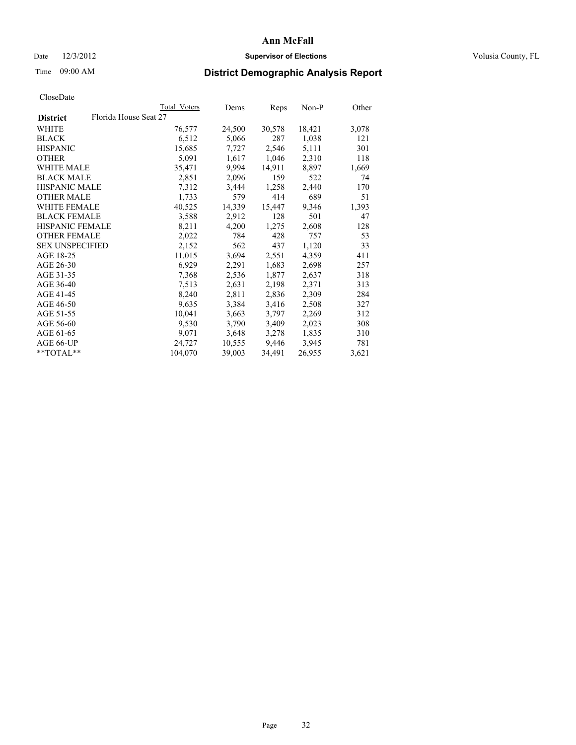## Date  $12/3/2012$  **Supervisor of Elections** Volusia County, FL

# Time 09:00 AM **District Demographic Analysis Report**

|                                          | Total Voters | Dems   | <b>Reps</b> | Non-P  | Other |
|------------------------------------------|--------------|--------|-------------|--------|-------|
| Florida House Seat 27<br><b>District</b> |              |        |             |        |       |
| WHITE                                    | 76,577       | 24,500 | 30,578      | 18,421 | 3,078 |
| <b>BLACK</b>                             | 6,512        | 5,066  | 287         | 1,038  | 121   |
| <b>HISPANIC</b>                          | 15,685       | 7,727  | 2,546       | 5,111  | 301   |
| <b>OTHER</b>                             | 5,091        | 1,617  | 1,046       | 2,310  | 118   |
| WHITE MALE                               | 35,471       | 9,994  | 14,911      | 8,897  | 1,669 |
| <b>BLACK MALE</b>                        | 2,851        | 2,096  | 159         | 522    | 74    |
| <b>HISPANIC MALE</b>                     | 7,312        | 3,444  | 1,258       | 2,440  | 170   |
| <b>OTHER MALE</b>                        | 1,733        | 579    | 414         | 689    | 51    |
| WHITE FEMALE                             | 40,525       | 14,339 | 15,447      | 9,346  | 1,393 |
| <b>BLACK FEMALE</b>                      | 3,588        | 2,912  | 128         | 501    | 47    |
| <b>HISPANIC FEMALE</b>                   | 8,211        | 4,200  | 1,275       | 2,608  | 128   |
| <b>OTHER FEMALE</b>                      | 2,022        | 784    | 428         | 757    | 53    |
| <b>SEX UNSPECIFIED</b>                   | 2,152        | 562    | 437         | 1,120  | 33    |
| AGE 18-25                                | 11,015       | 3,694  | 2,551       | 4,359  | 411   |
| AGE 26-30                                | 6,929        | 2,291  | 1,683       | 2,698  | 257   |
| AGE 31-35                                | 7,368        | 2,536  | 1,877       | 2,637  | 318   |
| AGE 36-40                                | 7,513        | 2,631  | 2,198       | 2,371  | 313   |
| AGE 41-45                                | 8,240        | 2,811  | 2,836       | 2,309  | 284   |
| AGE 46-50                                | 9,635        | 3,384  | 3,416       | 2,508  | 327   |
| AGE 51-55                                | 10,041       | 3,663  | 3,797       | 2,269  | 312   |
| AGE 56-60                                | 9,530        | 3,790  | 3,409       | 2,023  | 308   |
| AGE 61-65                                | 9,071        | 3,648  | 3,278       | 1,835  | 310   |
| AGE 66-UP                                | 24.727       | 10,555 | 9,446       | 3,945  | 781   |
| $*$ $TOTAI.**$                           | 104,070      | 39,003 | 34,491      | 26,955 | 3,621 |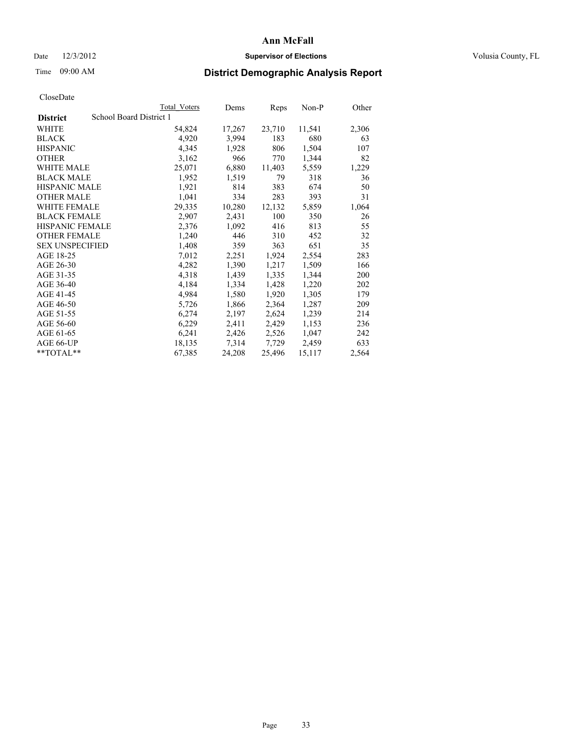### Date  $12/3/2012$  **Supervisor of Elections Supervisor of Elections** Volusia County, FL

# Time 09:00 AM **District Demographic Analysis Report**

|                        |                         | <b>Total Voters</b> | Dems   | Reps   | Non-P  | Other |
|------------------------|-------------------------|---------------------|--------|--------|--------|-------|
| <b>District</b>        | School Board District 1 |                     |        |        |        |       |
| WHITE                  |                         | 54,824              | 17,267 | 23,710 | 11,541 | 2,306 |
| <b>BLACK</b>           |                         | 4,920               | 3,994  | 183    | 680    | 63    |
| <b>HISPANIC</b>        |                         | 4,345               | 1,928  | 806    | 1,504  | 107   |
| <b>OTHER</b>           |                         | 3,162               | 966    | 770    | 1,344  | 82    |
| <b>WHITE MALE</b>      |                         | 25,071              | 6,880  | 11,403 | 5,559  | 1,229 |
| <b>BLACK MALE</b>      |                         | 1,952               | 1,519  | 79     | 318    | 36    |
| <b>HISPANIC MALE</b>   |                         | 1,921               | 814    | 383    | 674    | 50    |
| <b>OTHER MALE</b>      |                         | 1,041               | 334    | 283    | 393    | 31    |
| WHITE FEMALE           |                         | 29,335              | 10,280 | 12,132 | 5,859  | 1,064 |
| <b>BLACK FEMALE</b>    |                         | 2,907               | 2,431  | 100    | 350    | 26    |
| <b>HISPANIC FEMALE</b> |                         | 2,376               | 1,092  | 416    | 813    | 55    |
| <b>OTHER FEMALE</b>    |                         | 1,240               | 446    | 310    | 452    | 32    |
| <b>SEX UNSPECIFIED</b> |                         | 1,408               | 359    | 363    | 651    | 35    |
| AGE 18-25              |                         | 7,012               | 2,251  | 1,924  | 2,554  | 283   |
| AGE 26-30              |                         | 4,282               | 1,390  | 1,217  | 1,509  | 166   |
| AGE 31-35              |                         | 4,318               | 1,439  | 1,335  | 1,344  | 200   |
| AGE 36-40              |                         | 4,184               | 1,334  | 1,428  | 1,220  | 202   |
| AGE 41-45              |                         | 4,984               | 1,580  | 1,920  | 1,305  | 179   |
| AGE 46-50              |                         | 5,726               | 1,866  | 2,364  | 1,287  | 209   |
| AGE 51-55              |                         | 6,274               | 2,197  | 2,624  | 1,239  | 214   |
| AGE 56-60              |                         | 6,229               | 2,411  | 2,429  | 1,153  | 236   |
| AGE 61-65              |                         | 6,241               | 2,426  | 2,526  | 1,047  | 242   |
| AGE 66-UP              |                         | 18,135              | 7,314  | 7,729  | 2,459  | 633   |
| $*$ TOTAL $*$          |                         | 67,385              | 24,208 | 25,496 | 15,117 | 2,564 |
|                        |                         |                     |        |        |        |       |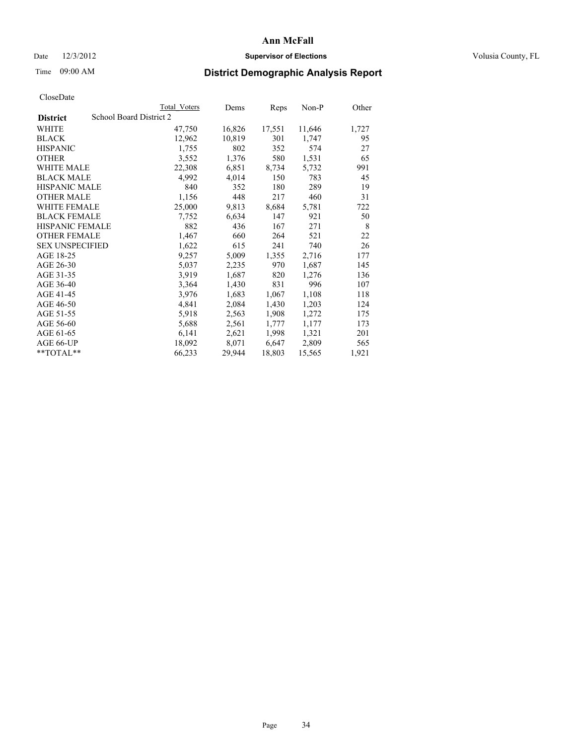## Date  $12/3/2012$  **Supervisor of Elections** Volusia County, FL

# Time 09:00 AM **District Demographic Analysis Report**

| School Board District 2<br><b>District</b><br>WHITE<br>16,826<br>17,551<br>47,750<br>12,962<br>10,819<br>301<br><b>BLACK</b><br><b>HISPANIC</b><br>1,755<br>802<br>352<br>3,552<br>1,376<br>580<br><b>OTHER</b> | 11,646<br>1,747<br>574<br>1,531<br>5,732 | 1,727<br>95<br>27<br>65 |
|-----------------------------------------------------------------------------------------------------------------------------------------------------------------------------------------------------------------|------------------------------------------|-------------------------|
|                                                                                                                                                                                                                 |                                          |                         |
|                                                                                                                                                                                                                 |                                          |                         |
|                                                                                                                                                                                                                 |                                          |                         |
|                                                                                                                                                                                                                 |                                          |                         |
|                                                                                                                                                                                                                 |                                          |                         |
| <b>WHITE MALE</b><br>22,308<br>6,851<br>8,734                                                                                                                                                                   |                                          | 991                     |
| <b>BLACK MALE</b><br>4,992<br>4,014<br>150                                                                                                                                                                      | 783                                      | 45                      |
| <b>HISPANIC MALE</b><br>840<br>352<br>180                                                                                                                                                                       | 289                                      | 19                      |
| 448<br><b>OTHER MALE</b><br>1,156<br>217                                                                                                                                                                        | 460                                      | 31                      |
| 25,000<br>8,684<br><b>WHITE FEMALE</b><br>9,813                                                                                                                                                                 | 5,781                                    | 722                     |
| <b>BLACK FEMALE</b><br>6,634<br>147<br>7,752                                                                                                                                                                    | 921                                      | 50                      |
| <b>HISPANIC FEMALE</b><br>882<br>436<br>167                                                                                                                                                                     | 271                                      | 8                       |
| <b>OTHER FEMALE</b><br>660<br>264<br>1,467                                                                                                                                                                      | 521                                      | 22                      |
| <b>SEX UNSPECIFIED</b><br>615<br>1,622<br>241                                                                                                                                                                   | 740                                      | 26                      |
| AGE 18-25<br>9,257<br>5,009<br>1,355                                                                                                                                                                            | 2,716                                    | 177                     |
| AGE 26-30<br>5,037<br>2,235<br>970                                                                                                                                                                              | 1,687                                    | 145                     |
| AGE 31-35<br>3,919<br>1,687<br>820                                                                                                                                                                              | 1,276                                    | 136                     |
| AGE 36-40<br>3,364<br>1,430<br>831                                                                                                                                                                              | 996                                      | 107                     |
| AGE 41-45<br>1,683<br>3,976<br>1,067                                                                                                                                                                            | 1,108                                    | 118                     |
| AGE 46-50<br>4,841<br>2,084<br>1,430                                                                                                                                                                            | 1,203                                    | 124                     |
| AGE 51-55<br>5,918<br>2,563<br>1,908                                                                                                                                                                            | 1,272                                    | 175                     |
| AGE 56-60<br>2,561<br>5,688<br>1,777                                                                                                                                                                            | 1,177                                    | 173                     |
| AGE 61-65<br>6,141<br>2,621<br>1,998                                                                                                                                                                            | 1,321                                    | 201                     |
| AGE 66-UP<br>18,092<br>8,071<br>6,647                                                                                                                                                                           | 2,809                                    | 565                     |
| 66,233<br>29,944<br>18,803<br>$*$ $TOTAL**$                                                                                                                                                                     | 15,565                                   | 1,921                   |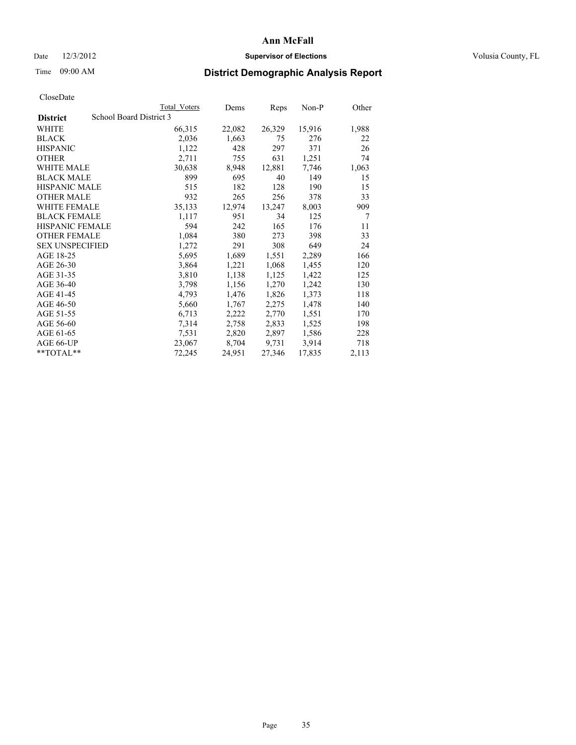### Date  $12/3/2012$  **Supervisor of Elections Supervisor of Elections** Volusia County, FL

# Time 09:00 AM **District Demographic Analysis Report**

|                                            | <b>Total Voters</b> | Dems   | <b>Reps</b> | Non-P  | Other |
|--------------------------------------------|---------------------|--------|-------------|--------|-------|
| School Board District 3<br><b>District</b> |                     |        |             |        |       |
| WHITE                                      | 66,315              | 22,082 | 26,329      | 15,916 | 1,988 |
| <b>BLACK</b>                               | 2,036               | 1,663  | 75          | 276    | 22    |
| <b>HISPANIC</b>                            | 1,122               | 428    | 297         | 371    | 26    |
| <b>OTHER</b>                               | 2,711               | 755    | 631         | 1,251  | 74    |
| WHITE MALE                                 | 30,638              | 8,948  | 12,881      | 7.746  | 1,063 |
| <b>BLACK MALE</b>                          | 899                 | 695    | 40          | 149    | 15    |
| <b>HISPANIC MALE</b>                       | 515                 | 182    | 128         | 190    | 15    |
| <b>OTHER MALE</b>                          | 932                 | 265    | 256         | 378    | 33    |
| <b>WHITE FEMALE</b>                        | 35,133              | 12,974 | 13,247      | 8,003  | 909   |
| <b>BLACK FEMALE</b>                        | 1,117               | 951    | 34          | 125    | 7     |
| <b>HISPANIC FEMALE</b>                     | 594                 | 242    | 165         | 176    | 11    |
| <b>OTHER FEMALE</b>                        | 1,084               | 380    | 273         | 398    | 33    |
| <b>SEX UNSPECIFIED</b>                     | 1,272               | 291    | 308         | 649    | 24    |
| AGE 18-25                                  | 5,695               | 1,689  | 1,551       | 2,289  | 166   |
| AGE 26-30                                  | 3,864               | 1,221  | 1,068       | 1,455  | 120   |
| AGE 31-35                                  | 3,810               | 1,138  | 1,125       | 1,422  | 125   |
| AGE 36-40                                  | 3,798               | 1,156  | 1,270       | 1,242  | 130   |
| AGE 41-45                                  | 4,793               | 1,476  | 1,826       | 1,373  | 118   |
| AGE 46-50                                  | 5,660               | 1,767  | 2,275       | 1,478  | 140   |
| AGE 51-55                                  | 6,713               | 2,222  | 2,770       | 1,551  | 170   |
| AGE 56-60                                  | 7,314               | 2,758  | 2,833       | 1,525  | 198   |
| AGE 61-65                                  | 7,531               | 2,820  | 2,897       | 1,586  | 228   |
| AGE 66-UP                                  | 23,067              | 8,704  | 9,731       | 3,914  | 718   |
| $*$ $TOTAL**$                              | 72,245              | 24,951 | 27,346      | 17,835 | 2,113 |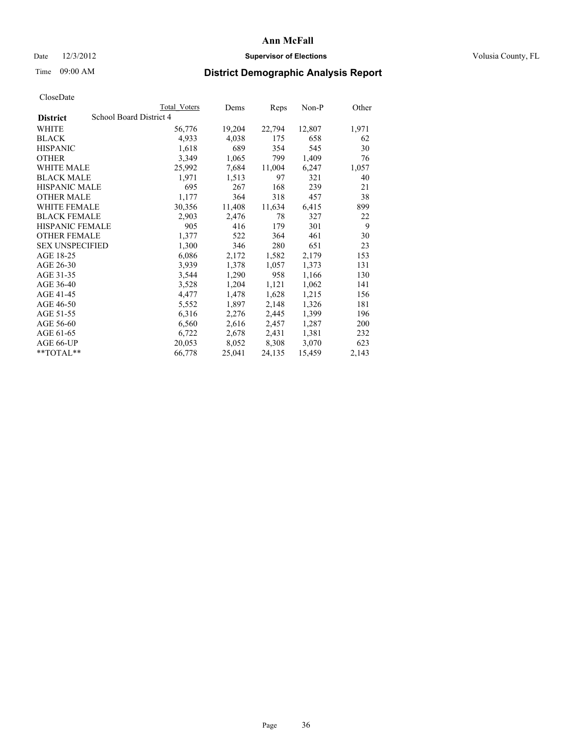### Date  $12/3/2012$  **Supervisor of Elections Supervisor of Elections** Volusia County, FL

## Time 09:00 AM **District Demographic Analysis Report**

|                        |                         | <b>Total Voters</b> | Dems   | Reps   | Non-P  | Other |
|------------------------|-------------------------|---------------------|--------|--------|--------|-------|
| <b>District</b>        | School Board District 4 |                     |        |        |        |       |
| WHITE                  |                         | 56,776              | 19,204 | 22,794 | 12,807 | 1,971 |
| <b>BLACK</b>           |                         | 4,933               | 4,038  | 175    | 658    | 62    |
| <b>HISPANIC</b>        |                         | 1,618               | 689    | 354    | 545    | 30    |
| <b>OTHER</b>           |                         | 3,349               | 1,065  | 799    | 1,409  | 76    |
| WHITE MALE             |                         | 25,992              | 7,684  | 11,004 | 6,247  | 1,057 |
| <b>BLACK MALE</b>      |                         | 1,971               | 1,513  | 97     | 321    | 40    |
| <b>HISPANIC MALE</b>   |                         | 695                 | 267    | 168    | 239    | 21    |
| <b>OTHER MALE</b>      |                         | 1,177               | 364    | 318    | 457    | 38    |
| <b>WHITE FEMALE</b>    |                         | 30,356              | 11,408 | 11,634 | 6,415  | 899   |
| <b>BLACK FEMALE</b>    |                         | 2,903               | 2,476  | 78     | 327    | 22    |
| <b>HISPANIC FEMALE</b> |                         | 905                 | 416    | 179    | 301    | 9     |
| <b>OTHER FEMALE</b>    |                         | 1,377               | 522    | 364    | 461    | 30    |
| <b>SEX UNSPECIFIED</b> |                         | 1,300               | 346    | 280    | 651    | 23    |
| AGE 18-25              |                         | 6,086               | 2,172  | 1,582  | 2,179  | 153   |
| AGE 26-30              |                         | 3.939               | 1,378  | 1,057  | 1,373  | 131   |
| AGE 31-35              |                         | 3,544               | 1,290  | 958    | 1,166  | 130   |
| AGE 36-40              |                         | 3,528               | 1,204  | 1,121  | 1,062  | 141   |
| AGE 41-45              |                         | 4,477               | 1,478  | 1,628  | 1,215  | 156   |
| AGE 46-50              |                         | 5,552               | 1,897  | 2,148  | 1,326  | 181   |
| AGE 51-55              |                         | 6,316               | 2,276  | 2,445  | 1,399  | 196   |
| AGE 56-60              |                         | 6,560               | 2,616  | 2,457  | 1,287  | 200   |
| AGE 61-65              |                         | 6,722               | 2,678  | 2,431  | 1,381  | 232   |
| AGE 66-UP              |                         | 20,053              | 8,052  | 8,308  | 3,070  | 623   |
| **TOTAL**              |                         | 66,778              | 25,041 | 24,135 | 15,459 | 2,143 |
|                        |                         |                     |        |        |        |       |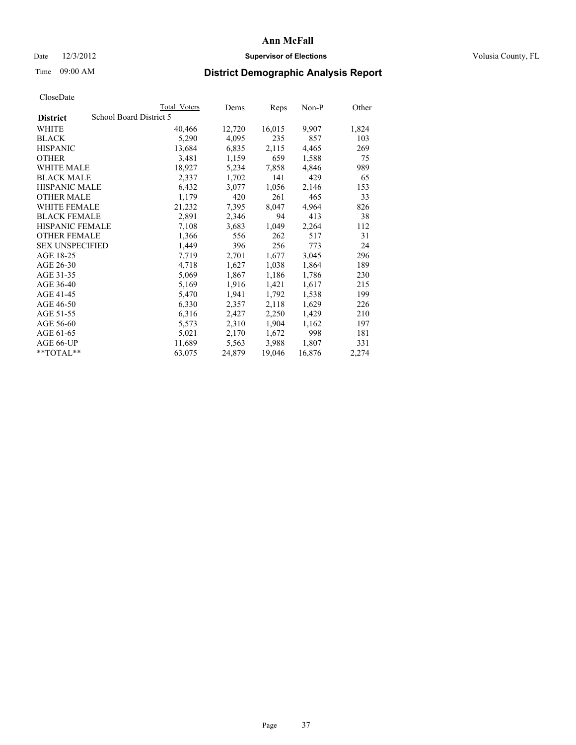## Date  $12/3/2012$  **Supervisor of Elections Supervisor of Elections** Volusia County, FL

# Time 09:00 AM **District Demographic Analysis Report**

|                        |                         | <b>Total Voters</b> | Dems   | Reps   | Non-P  | Other |
|------------------------|-------------------------|---------------------|--------|--------|--------|-------|
| <b>District</b>        | School Board District 5 |                     |        |        |        |       |
| <b>WHITE</b>           |                         | 40,466              | 12,720 | 16,015 | 9,907  | 1,824 |
| <b>BLACK</b>           |                         | 5,290               | 4,095  | 235    | 857    | 103   |
| <b>HISPANIC</b>        |                         | 13,684              | 6,835  | 2,115  | 4,465  | 269   |
| <b>OTHER</b>           |                         | 3,481               | 1,159  | 659    | 1,588  | 75    |
| <b>WHITE MALE</b>      |                         | 18,927              | 5,234  | 7,858  | 4,846  | 989   |
| <b>BLACK MALE</b>      |                         | 2,337               | 1,702  | 141    | 429    | 65    |
| <b>HISPANIC MALE</b>   |                         | 6,432               | 3,077  | 1,056  | 2,146  | 153   |
| <b>OTHER MALE</b>      |                         | 1,179               | 420    | 261    | 465    | 33    |
| <b>WHITE FEMALE</b>    |                         | 21,232              | 7.395  | 8,047  | 4,964  | 826   |
| <b>BLACK FEMALE</b>    |                         | 2,891               | 2,346  | 94     | 413    | 38    |
| <b>HISPANIC FEMALE</b> |                         | 7,108               | 3,683  | 1,049  | 2,264  | 112   |
| <b>OTHER FEMALE</b>    |                         | 1,366               | 556    | 262    | 517    | 31    |
| <b>SEX UNSPECIFIED</b> |                         | 1,449               | 396    | 256    | 773    | 24    |
| AGE 18-25              |                         | 7,719               | 2,701  | 1,677  | 3,045  | 296   |
| AGE 26-30              |                         | 4,718               | 1,627  | 1,038  | 1,864  | 189   |
| AGE 31-35              |                         | 5,069               | 1,867  | 1,186  | 1,786  | 230   |
| AGE 36-40              |                         | 5,169               | 1,916  | 1,421  | 1,617  | 215   |
| AGE 41-45              |                         | 5,470               | 1,941  | 1,792  | 1,538  | 199   |
| AGE 46-50              |                         | 6,330               | 2,357  | 2,118  | 1,629  | 226   |
| AGE 51-55              |                         | 6,316               | 2,427  | 2,250  | 1,429  | 210   |
| AGE 56-60              |                         | 5,573               | 2,310  | 1,904  | 1,162  | 197   |
| AGE 61-65              |                         | 5,021               | 2,170  | 1,672  | 998    | 181   |
| AGE 66-UP              |                         | 11,689              | 5,563  | 3.988  | 1,807  | 331   |
| $*$ $TOTAL**$          |                         | 63,075              | 24,879 | 19,046 | 16,876 | 2,274 |
|                        |                         |                     |        |        |        |       |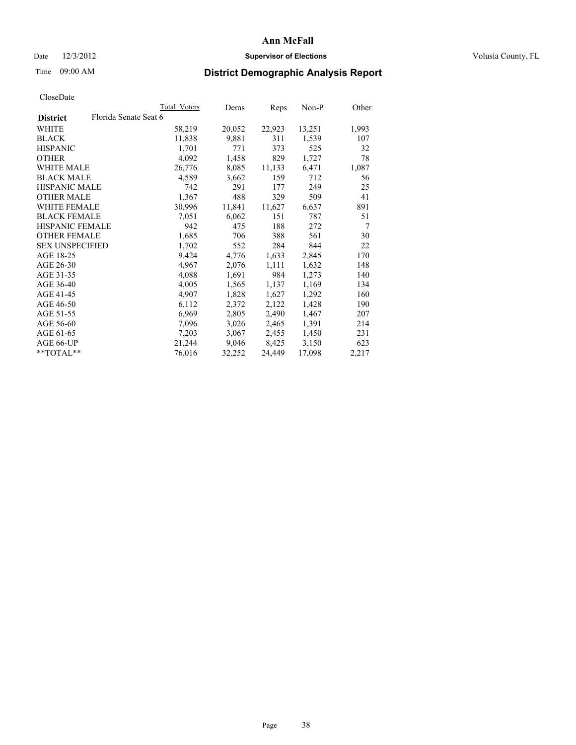## Date  $12/3/2012$  **Supervisor of Elections Supervisor of Elections** Volusia County, FL

# Time 09:00 AM **District Demographic Analysis Report**

|                        |                       | Total Voters | Dems   | Reps   | Non-P  | Other |
|------------------------|-----------------------|--------------|--------|--------|--------|-------|
| <b>District</b>        | Florida Senate Seat 6 |              |        |        |        |       |
| WHITE                  |                       | 58,219       | 20,052 | 22,923 | 13,251 | 1,993 |
| <b>BLACK</b>           |                       | 11,838       | 9,881  | 311    | 1,539  | 107   |
| <b>HISPANIC</b>        |                       | 1,701        | 771    | 373    | 525    | 32    |
| <b>OTHER</b>           |                       | 4,092        | 1,458  | 829    | 1,727  | 78    |
| WHITE MALE             |                       | 26,776       | 8,085  | 11,133 | 6,471  | 1,087 |
| <b>BLACK MALE</b>      |                       | 4,589        | 3,662  | 159    | 712    | 56    |
| <b>HISPANIC MALE</b>   |                       | 742          | 291    | 177    | 249    | 25    |
| <b>OTHER MALE</b>      |                       | 1,367        | 488    | 329    | 509    | 41    |
| <b>WHITE FEMALE</b>    |                       | 30,996       | 11,841 | 11,627 | 6,637  | 891   |
| <b>BLACK FEMALE</b>    |                       | 7,051        | 6,062  | 151    | 787    | 51    |
| <b>HISPANIC FEMALE</b> |                       | 942          | 475    | 188    | 272    | 7     |
| <b>OTHER FEMALE</b>    |                       | 1,685        | 706    | 388    | 561    | 30    |
| <b>SEX UNSPECIFIED</b> |                       | 1,702        | 552    | 284    | 844    | 22    |
| AGE 18-25              |                       | 9,424        | 4,776  | 1,633  | 2,845  | 170   |
| AGE 26-30              |                       | 4,967        | 2,076  | 1,111  | 1,632  | 148   |
| AGE 31-35              |                       | 4,088        | 1,691  | 984    | 1,273  | 140   |
| AGE 36-40              |                       | 4,005        | 1,565  | 1,137  | 1,169  | 134   |
| AGE 41-45              |                       | 4,907        | 1,828  | 1,627  | 1,292  | 160   |
| AGE 46-50              |                       | 6,112        | 2,372  | 2,122  | 1,428  | 190   |
| AGE 51-55              |                       | 6,969        | 2,805  | 2,490  | 1,467  | 207   |
| AGE 56-60              |                       | 7,096        | 3,026  | 2,465  | 1,391  | 214   |
| AGE 61-65              |                       | 7,203        | 3,067  | 2,455  | 1,450  | 231   |
| AGE 66-UP              |                       | 21,244       | 9,046  | 8,425  | 3,150  | 623   |
| **TOTAL**              |                       | 76,016       | 32,252 | 24,449 | 17,098 | 2,217 |
|                        |                       |              |        |        |        |       |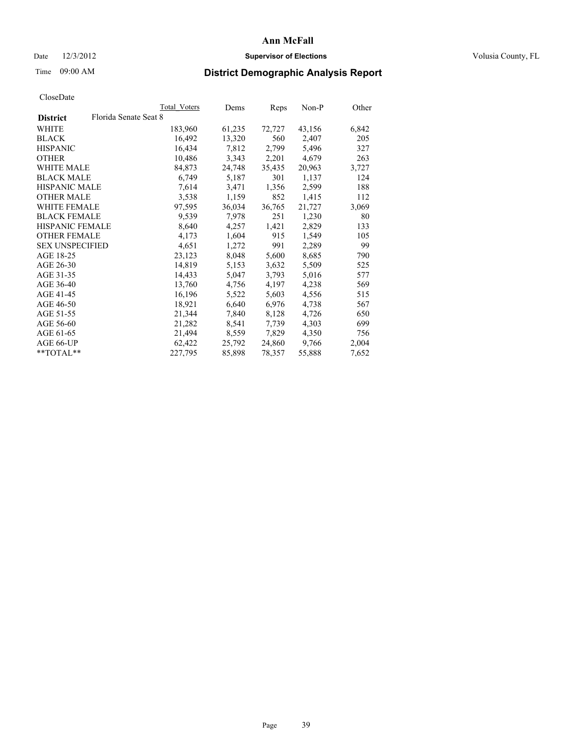## Date  $12/3/2012$  **Supervisor of Elections Supervisor of Elections** Volusia County, FL

# Time 09:00 AM **District Demographic Analysis Report**

|                        |                       | Total Voters | Dems   | <b>Reps</b> | Non-P  | Other |
|------------------------|-----------------------|--------------|--------|-------------|--------|-------|
| <b>District</b>        | Florida Senate Seat 8 |              |        |             |        |       |
| WHITE                  |                       | 183,960      | 61,235 | 72,727      | 43,156 | 6,842 |
| <b>BLACK</b>           |                       | 16,492       | 13,320 | 560         | 2,407  | 205   |
| <b>HISPANIC</b>        |                       | 16,434       | 7,812  | 2,799       | 5,496  | 327   |
| <b>OTHER</b>           |                       | 10,486       | 3,343  | 2,201       | 4,679  | 263   |
| <b>WHITE MALE</b>      |                       | 84,873       | 24,748 | 35,435      | 20,963 | 3,727 |
| <b>BLACK MALE</b>      |                       | 6,749        | 5,187  | 301         | 1,137  | 124   |
| <b>HISPANIC MALE</b>   |                       | 7,614        | 3,471  | 1,356       | 2,599  | 188   |
| <b>OTHER MALE</b>      |                       | 3,538        | 1,159  | 852         | 1,415  | 112   |
| WHITE FEMALE           |                       | 97,595       | 36,034 | 36,765      | 21,727 | 3,069 |
| <b>BLACK FEMALE</b>    |                       | 9,539        | 7,978  | 251         | 1,230  | 80    |
| <b>HISPANIC FEMALE</b> |                       | 8,640        | 4,257  | 1,421       | 2,829  | 133   |
| <b>OTHER FEMALE</b>    |                       | 4,173        | 1,604  | 915         | 1,549  | 105   |
| <b>SEX UNSPECIFIED</b> |                       | 4,651        | 1,272  | 991         | 2,289  | 99    |
| AGE 18-25              |                       | 23,123       | 8,048  | 5,600       | 8,685  | 790   |
| AGE 26-30              |                       | 14,819       | 5,153  | 3,632       | 5,509  | 525   |
| AGE 31-35              |                       | 14,433       | 5,047  | 3,793       | 5,016  | 577   |
| AGE 36-40              |                       | 13,760       | 4,756  | 4,197       | 4,238  | 569   |
| AGE 41-45              |                       | 16,196       | 5,522  | 5,603       | 4,556  | 515   |
| AGE 46-50              |                       | 18,921       | 6,640  | 6,976       | 4,738  | 567   |
| AGE 51-55              |                       | 21,344       | 7,840  | 8,128       | 4,726  | 650   |
| AGE 56-60              |                       | 21,282       | 8,541  | 7,739       | 4,303  | 699   |
| AGE 61-65              |                       | 21,494       | 8,559  | 7,829       | 4,350  | 756   |
| AGE 66-UP              |                       | 62,422       | 25,792 | 24,860      | 9,766  | 2,004 |
| **TOTAL**              |                       | 227,795      | 85,898 | 78,357      | 55,888 | 7,652 |
|                        |                       |              |        |             |        |       |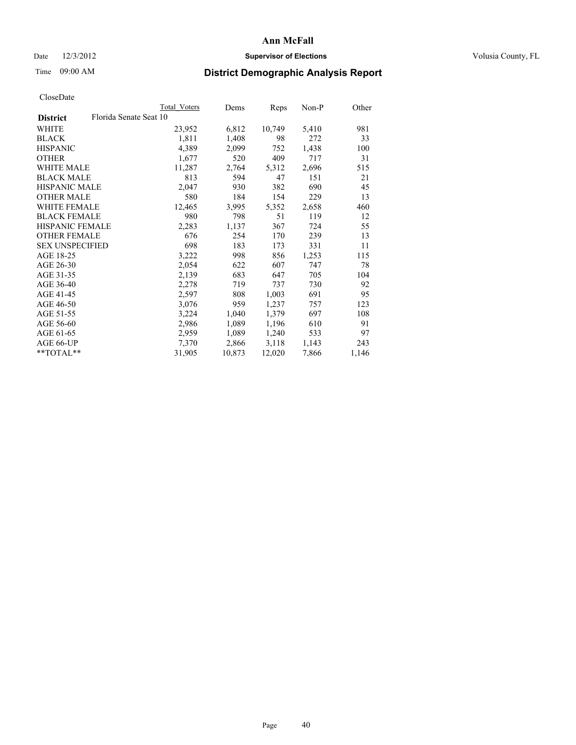## Date  $12/3/2012$  **Supervisor of Elections Supervisor of Elections** Volusia County, FL

# Time 09:00 AM **District Demographic Analysis Report**

|                        |                        | Total Voters | Dems   | Reps   | Non-P | Other |
|------------------------|------------------------|--------------|--------|--------|-------|-------|
| <b>District</b>        | Florida Senate Seat 10 |              |        |        |       |       |
| <b>WHITE</b>           |                        | 23,952       | 6,812  | 10,749 | 5,410 | 981   |
| <b>BLACK</b>           |                        | 1,811        | 1,408  | 98     | 272   | 33    |
| <b>HISPANIC</b>        |                        | 4,389        | 2,099  | 752    | 1,438 | 100   |
| <b>OTHER</b>           |                        | 1,677        | 520    | 409    | 717   | 31    |
| WHITE MALE             |                        | 11,287       | 2,764  | 5,312  | 2,696 | 515   |
| <b>BLACK MALE</b>      |                        | 813          | 594    | 47     | 151   | 21    |
| <b>HISPANIC MALE</b>   |                        | 2,047        | 930    | 382    | 690   | 45    |
| <b>OTHER MALE</b>      |                        | 580          | 184    | 154    | 229   | 13    |
| <b>WHITE FEMALE</b>    |                        | 12,465       | 3,995  | 5,352  | 2,658 | 460   |
| <b>BLACK FEMALE</b>    |                        | 980          | 798    | 51     | 119   | 12    |
| <b>HISPANIC FEMALE</b> |                        | 2,283        | 1,137  | 367    | 724   | 55    |
| <b>OTHER FEMALE</b>    |                        | 676          | 254    | 170    | 239   | 13    |
| <b>SEX UNSPECIFIED</b> |                        | 698          | 183    | 173    | 331   | 11    |
| AGE 18-25              |                        | 3,222        | 998    | 856    | 1,253 | 115   |
| AGE 26-30              |                        | 2,054        | 622    | 607    | 747   | 78    |
| AGE 31-35              |                        | 2,139        | 683    | 647    | 705   | 104   |
| AGE 36-40              |                        | 2,278        | 719    | 737    | 730   | 92    |
| AGE 41-45              |                        | 2,597        | 808    | 1,003  | 691   | 95    |
| AGE 46-50              |                        | 3,076        | 959    | 1,237  | 757   | 123   |
| AGE 51-55              |                        | 3,224        | 1,040  | 1,379  | 697   | 108   |
| AGE 56-60              |                        | 2,986        | 1,089  | 1,196  | 610   | 91    |
| AGE 61-65              |                        | 2,959        | 1,089  | 1,240  | 533   | 97    |
| AGE 66-UP              |                        | 7,370        | 2,866  | 3,118  | 1,143 | 243   |
| $*$ $TOTAL**$          |                        | 31,905       | 10,873 | 12,020 | 7,866 | 1,146 |
|                        |                        |              |        |        |       |       |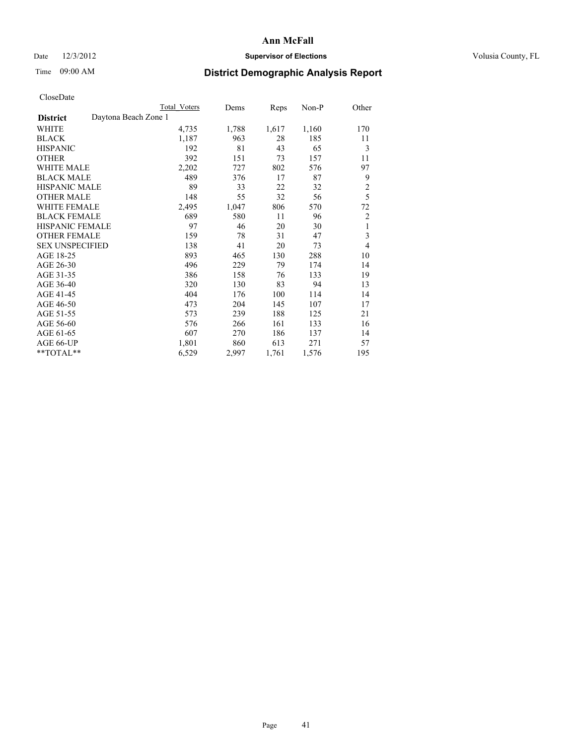## Date  $12/3/2012$  **Supervisor of Elections** Volusia County, FL

# Time 09:00 AM **District Demographic Analysis Report**

|                                         | <b>Total Voters</b> | Dems  | Reps  | Non-P | Other          |
|-----------------------------------------|---------------------|-------|-------|-------|----------------|
| Daytona Beach Zone 1<br><b>District</b> |                     |       |       |       |                |
| WHITE                                   | 4,735               | 1,788 | 1,617 | 1,160 | 170            |
| <b>BLACK</b>                            | 1,187               | 963   | 28    | 185   | 11             |
| <b>HISPANIC</b>                         | 192                 | 81    | 43    | 65    | 3              |
| <b>OTHER</b>                            | 392                 | 151   | 73    | 157   | 11             |
| <b>WHITE MALE</b>                       | 2,202               | 727   | 802   | 576   | 97             |
| <b>BLACK MALE</b>                       | 489                 | 376   | 17    | 87    | 9              |
| HISPANIC MALE                           | 89                  | 33    | 22    | 32    | $\overline{c}$ |
| <b>OTHER MALE</b>                       | 148                 | 55    | 32    | 56    | 5              |
| <b>WHITE FEMALE</b>                     | 2,495               | 1,047 | 806   | 570   | 72             |
| <b>BLACK FEMALE</b>                     | 689                 | 580   | 11    | 96    | $\overline{2}$ |
| <b>HISPANIC FEMALE</b>                  | 97                  | 46    | 20    | 30    | 1              |
| <b>OTHER FEMALE</b>                     | 159                 | 78    | 31    | 47    | 3              |
| <b>SEX UNSPECIFIED</b>                  | 138                 | 41    | 20    | 73    | $\overline{4}$ |
| AGE 18-25                               | 893                 | 465   | 130   | 288   | 10             |
| AGE 26-30                               | 496                 | 229   | 79    | 174   | 14             |
| AGE 31-35                               | 386                 | 158   | 76    | 133   | 19             |
| AGE 36-40                               | 320                 | 130   | 83    | 94    | 13             |
| AGE 41-45                               | 404                 | 176   | 100   | 114   | 14             |
| AGE 46-50                               | 473                 | 204   | 145   | 107   | 17             |
| AGE 51-55                               | 573                 | 239   | 188   | 125   | 21             |
| AGE 56-60                               | 576                 | 266   | 161   | 133   | 16             |
| AGE 61-65                               | 607                 | 270   | 186   | 137   | 14             |
| AGE 66-UP                               | 1,801               | 860   | 613   | 271   | 57             |
| **TOTAL**                               | 6,529               | 2,997 | 1,761 | 1,576 | 195            |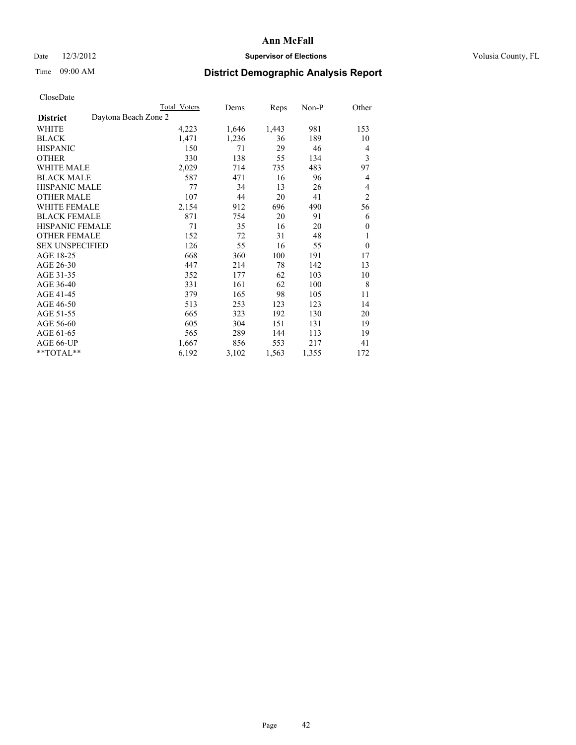## Date  $12/3/2012$  **Supervisor of Elections** Volusia County, FL

# Time 09:00 AM **District Demographic Analysis Report**

|                        | <b>Total Voters</b>  | Dems  | Reps  | Non-P | Other          |
|------------------------|----------------------|-------|-------|-------|----------------|
| <b>District</b>        | Daytona Beach Zone 2 |       |       |       |                |
| WHITE                  | 4,223                | 1,646 | 1,443 | 981   | 153            |
| <b>BLACK</b>           | 1,471                | 1,236 | 36    | 189   | 10             |
| <b>HISPANIC</b>        | 150                  | 71    | 29    | 46    | 4              |
| <b>OTHER</b>           | 330                  | 138   | 55    | 134   | 3              |
| WHITE MALE             | 2,029                | 714   | 735   | 483   | 97             |
| <b>BLACK MALE</b>      | 587                  | 471   | 16    | 96    | 4              |
| <b>HISPANIC MALE</b>   | 77                   | 34    | 13    | 26    | 4              |
| <b>OTHER MALE</b>      | 107                  | 44    | 20    | 41    | $\overline{2}$ |
| WHITE FEMALE           | 2,154                | 912   | 696   | 490   | 56             |
| <b>BLACK FEMALE</b>    | 871                  | 754   | 20    | 91    | 6              |
| <b>HISPANIC FEMALE</b> | 71                   | 35    | 16    | 20    | $\mathbf{0}$   |
| <b>OTHER FEMALE</b>    | 152                  | 72    | 31    | 48    | 1              |
| <b>SEX UNSPECIFIED</b> | 126                  | 55    | 16    | 55    | $\theta$       |
| AGE 18-25              | 668                  | 360   | 100   | 191   | 17             |
| AGE 26-30              | 447                  | 214   | 78    | 142   | 13             |
| AGE 31-35              | 352                  | 177   | 62    | 103   | 10             |
| AGE 36-40              | 331                  | 161   | 62    | 100   | 8              |
| AGE 41-45              | 379                  | 165   | 98    | 105   | 11             |
| AGE 46-50              | 513                  | 253   | 123   | 123   | 14             |
| AGE 51-55              | 665                  | 323   | 192   | 130   | 20             |
| AGE 56-60              | 605                  | 304   | 151   | 131   | 19             |
| AGE 61-65              | 565                  | 289   | 144   | 113   | 19             |
| AGE 66-UP              | 1,667                | 856   | 553   | 217   | 41             |
| **TOTAL**              | 6,192                | 3,102 | 1,563 | 1,355 | 172            |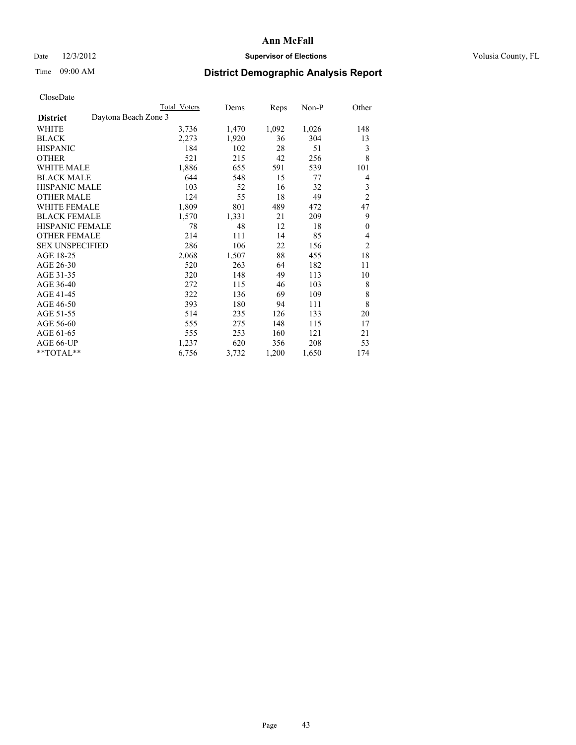## Date  $12/3/2012$  **Supervisor of Elections Supervisor of Elections** Volusia County, FL

# Time 09:00 AM **District Demographic Analysis Report**

|                                         | <b>Total Voters</b> | Dems  | Reps  | Non-P | Other            |
|-----------------------------------------|---------------------|-------|-------|-------|------------------|
| Daytona Beach Zone 3<br><b>District</b> |                     |       |       |       |                  |
| WHITE                                   | 3,736               | 1,470 | 1,092 | 1,026 | 148              |
| <b>BLACK</b>                            | 2,273               | 1,920 | 36    | 304   | 13               |
| <b>HISPANIC</b>                         | 184                 | 102   | 28    | 51    | 3                |
| <b>OTHER</b>                            | 521                 | 215   | 42    | 256   | 8                |
| <b>WHITE MALE</b>                       | 1,886               | 655   | 591   | 539   | 101              |
| <b>BLACK MALE</b>                       | 644                 | 548   | 15    | 77    | 4                |
| HISPANIC MALE                           | 103                 | 52    | 16    | 32    | 3                |
| <b>OTHER MALE</b>                       | 124                 | 55    | 18    | 49    | $\overline{2}$   |
| <b>WHITE FEMALE</b>                     | 1,809               | 801   | 489   | 472   | 47               |
| <b>BLACK FEMALE</b>                     | 1,570               | 1,331 | 21    | 209   | 9                |
| <b>HISPANIC FEMALE</b>                  | 78                  | 48    | 12    | 18    | $\boldsymbol{0}$ |
| <b>OTHER FEMALE</b>                     | 214                 | 111   | 14    | 85    | 4                |
| <b>SEX UNSPECIFIED</b>                  | 286                 | 106   | 22    | 156   | $\overline{c}$   |
| AGE 18-25                               | 2,068               | 1,507 | 88    | 455   | 18               |
| AGE 26-30                               | 520                 | 263   | 64    | 182   | 11               |
| AGE 31-35                               | 320                 | 148   | 49    | 113   | 10               |
| AGE 36-40                               | 272                 | 115   | 46    | 103   | 8                |
| AGE 41-45                               | 322                 | 136   | 69    | 109   | 8                |
| AGE 46-50                               | 393                 | 180   | 94    | 111   | 8                |
| AGE 51-55                               | 514                 | 235   | 126   | 133   | 20               |
| AGE 56-60                               | 555                 | 275   | 148   | 115   | 17               |
| AGE 61-65                               | 555                 | 253   | 160   | 121   | 21               |
| AGE 66-UP                               | 1,237               | 620   | 356   | 208   | 53               |
| **TOTAL**                               | 6,756               | 3,732 | 1,200 | 1,650 | 174              |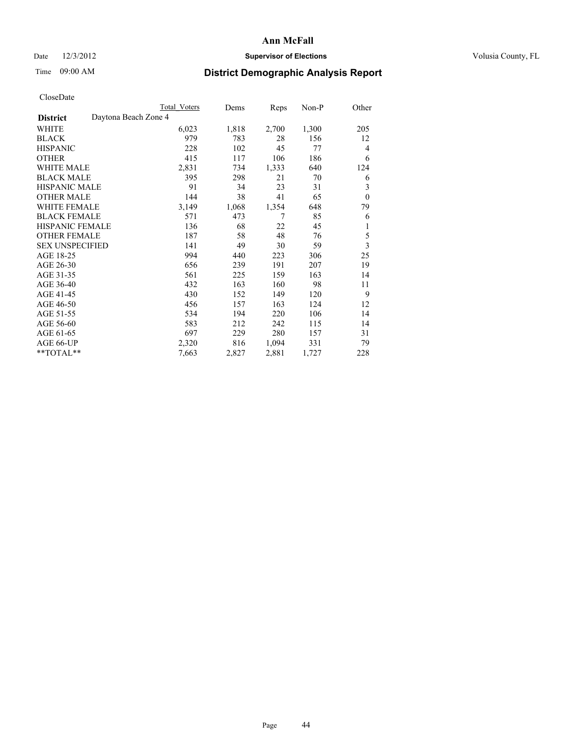## Date  $12/3/2012$  **Supervisor of Elections** Volusia County, FL

# Time 09:00 AM **District Demographic Analysis Report**

|                                         | <b>Total Voters</b> | Dems  | Reps  | Non-P | Other                   |
|-----------------------------------------|---------------------|-------|-------|-------|-------------------------|
| Daytona Beach Zone 4<br><b>District</b> |                     |       |       |       |                         |
| WHITE                                   | 6,023               | 1,818 | 2,700 | 1,300 | 205                     |
| <b>BLACK</b>                            | 979                 | 783   | 28    | 156   | 12                      |
| <b>HISPANIC</b>                         | 228                 | 102   | 45    | 77    | $\overline{4}$          |
| <b>OTHER</b>                            | 415                 | 117   | 106   | 186   | 6                       |
| <b>WHITE MALE</b>                       | 2,831               | 734   | 1,333 | 640   | 124                     |
| <b>BLACK MALE</b>                       | 395                 | 298   | 21    | 70    | 6                       |
| HISPANIC MALE                           | 91                  | 34    | 23    | 31    | 3                       |
| <b>OTHER MALE</b>                       | 144                 | 38    | 41    | 65    | $\theta$                |
| <b>WHITE FEMALE</b>                     | 3,149               | 1,068 | 1,354 | 648   | 79                      |
| <b>BLACK FEMALE</b>                     | 571                 | 473   | 7     | 85    | 6                       |
| <b>HISPANIC FEMALE</b>                  | 136                 | 68    | 22    | 45    | 1                       |
| <b>OTHER FEMALE</b>                     | 187                 | 58    | 48    | 76    | 5                       |
| <b>SEX UNSPECIFIED</b>                  | 141                 | 49    | 30    | 59    | $\overline{\mathbf{3}}$ |
| AGE 18-25                               | 994                 | 440   | 223   | 306   | 25                      |
| AGE 26-30                               | 656                 | 239   | 191   | 207   | 19                      |
| AGE 31-35                               | 561                 | 225   | 159   | 163   | 14                      |
| AGE 36-40                               | 432                 | 163   | 160   | 98    | 11                      |
| AGE 41-45                               | 430                 | 152   | 149   | 120   | 9                       |
| AGE 46-50                               | 456                 | 157   | 163   | 124   | 12                      |
| AGE 51-55                               | 534                 | 194   | 220   | 106   | 14                      |
| AGE 56-60                               | 583                 | 212   | 242   | 115   | 14                      |
| AGE 61-65                               | 697                 | 229   | 280   | 157   | 31                      |
| AGE 66-UP                               | 2,320               | 816   | 1,094 | 331   | 79                      |
| **TOTAL**                               | 7,663               | 2,827 | 2,881 | 1,727 | 228                     |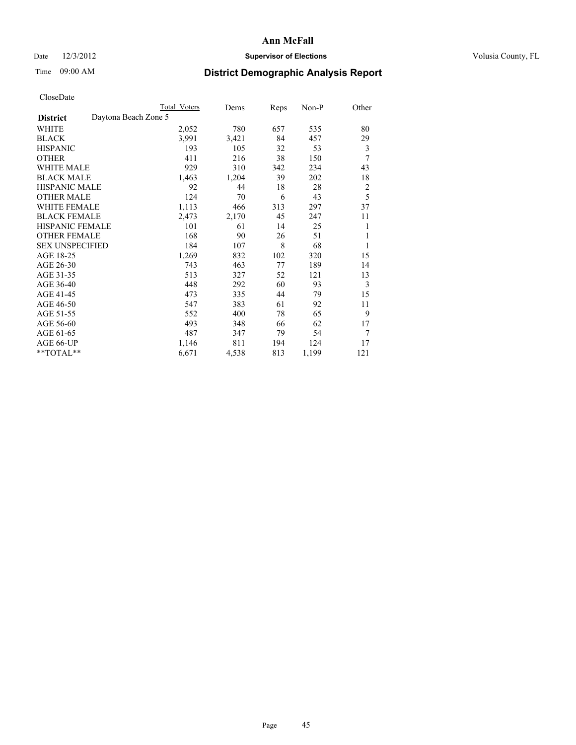## Date  $12/3/2012$  **Supervisor of Elections** Volusia County, FL

## Time 09:00 AM **District Demographic Analysis Report**

|                        |                      | Total Voters | Dems  | Reps | Non-P | Other          |
|------------------------|----------------------|--------------|-------|------|-------|----------------|
| <b>District</b>        | Daytona Beach Zone 5 |              |       |      |       |                |
| WHITE                  |                      | 2,052        | 780   | 657  | 535   | 80             |
| <b>BLACK</b>           |                      | 3,991        | 3,421 | 84   | 457   | 29             |
| <b>HISPANIC</b>        |                      | 193          | 105   | 32   | 53    | 3              |
| <b>OTHER</b>           |                      | 411          | 216   | 38   | 150   | 7              |
| WHITE MALE             |                      | 929          | 310   | 342  | 234   | 43             |
| <b>BLACK MALE</b>      |                      | 1,463        | 1,204 | 39   | 202   | 18             |
| <b>HISPANIC MALE</b>   |                      | 92           | 44    | 18   | 28    | $\overline{c}$ |
| <b>OTHER MALE</b>      |                      | 124          | 70    | 6    | 43    | 5              |
| WHITE FEMALE           |                      | 1,113        | 466   | 313  | 297   | 37             |
| <b>BLACK FEMALE</b>    |                      | 2,473        | 2,170 | 45   | 247   | 11             |
| <b>HISPANIC FEMALE</b> |                      | 101          | 61    | 14   | 25    | 1              |
| <b>OTHER FEMALE</b>    |                      | 168          | 90    | 26   | 51    | 1              |
| <b>SEX UNSPECIFIED</b> |                      | 184          | 107   | 8    | 68    | 1              |
| AGE 18-25              |                      | 1,269        | 832   | 102  | 320   | 15             |
| AGE 26-30              |                      | 743          | 463   | 77   | 189   | 14             |
| AGE 31-35              |                      | 513          | 327   | 52   | 121   | 13             |
| AGE 36-40              |                      | 448          | 292   | 60   | 93    | 3              |
| AGE 41-45              |                      | 473          | 335   | 44   | 79    | 15             |
| AGE 46-50              |                      | 547          | 383   | 61   | 92    | 11             |
| AGE 51-55              |                      | 552          | 400   | 78   | 65    | 9              |
| AGE 56-60              |                      | 493          | 348   | 66   | 62    | 17             |
| AGE 61-65              |                      | 487          | 347   | 79   | 54    | 7              |
| AGE 66-UP              |                      | 1,146        | 811   | 194  | 124   | 17             |
| **TOTAL**              |                      | 6,671        | 4,538 | 813  | 1,199 | 121            |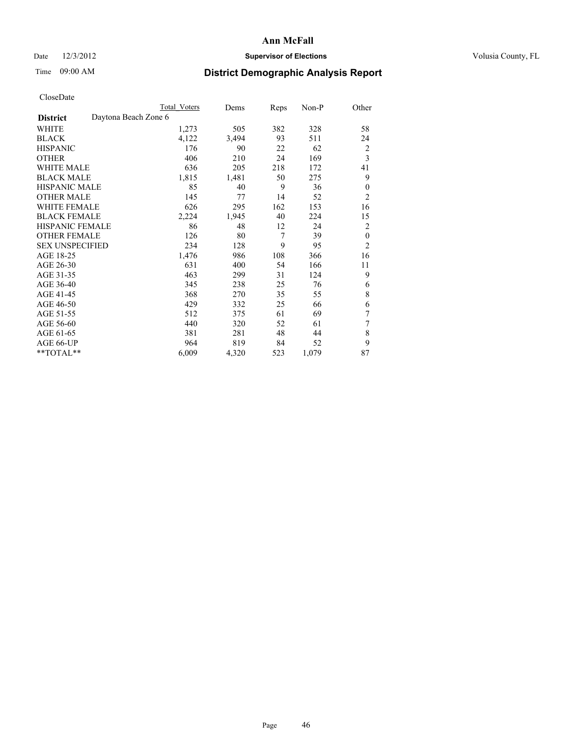## Date  $12/3/2012$  **Supervisor of Elections** Volusia County, FL

# Time 09:00 AM **District Demographic Analysis Report**

|                                         | <b>Total Voters</b> | Dems  | Reps | Non-P | Other          |
|-----------------------------------------|---------------------|-------|------|-------|----------------|
| Daytona Beach Zone 6<br><b>District</b> |                     |       |      |       |                |
| WHITE                                   | 1,273               | 505   | 382  | 328   | 58             |
| <b>BLACK</b>                            | 4,122               | 3,494 | 93   | 511   | 24             |
| <b>HISPANIC</b>                         | 176                 | 90    | 22   | 62    | $\overline{c}$ |
| <b>OTHER</b>                            | 406                 | 210   | 24   | 169   | 3              |
| WHITE MALE                              | 636                 | 205   | 218  | 172   | 41             |
| <b>BLACK MALE</b>                       | 1,815               | 1,481 | 50   | 275   | 9              |
| HISPANIC MALE                           | 85                  | 40    | 9    | 36    | $\mathbf{0}$   |
| <b>OTHER MALE</b>                       | 145                 | 77    | 14   | 52    | $\overline{2}$ |
| WHITE FEMALE                            | 626                 | 295   | 162  | 153   | 16             |
| <b>BLACK FEMALE</b>                     | 2,224               | 1,945 | 40   | 224   | 15             |
| <b>HISPANIC FEMALE</b>                  | 86                  | 48    | 12   | 24    | $\overline{2}$ |
| <b>OTHER FEMALE</b>                     | 126                 | 80    | 7    | 39    | $\mathbf{0}$   |
| <b>SEX UNSPECIFIED</b>                  | 234                 | 128   | 9    | 95    | $\overline{c}$ |
| AGE 18-25                               | 1,476               | 986   | 108  | 366   | 16             |
| AGE 26-30                               | 631                 | 400   | 54   | 166   | 11             |
| AGE 31-35                               | 463                 | 299   | 31   | 124   | 9              |
| AGE 36-40                               | 345                 | 238   | 25   | 76    | 6              |
| AGE 41-45                               | 368                 | 270   | 35   | 55    | 8              |
| AGE 46-50                               | 429                 | 332   | 25   | 66    | 6              |
| AGE 51-55                               | 512                 | 375   | 61   | 69    | 7              |
| AGE 56-60                               | 440                 | 320   | 52   | 61    | 7              |
| AGE 61-65                               | 381                 | 281   | 48   | 44    | 8              |
| AGE 66-UP                               | 964                 | 819   | 84   | 52    | 9              |
| **TOTAL**                               | 6,009               | 4,320 | 523  | 1,079 | 87             |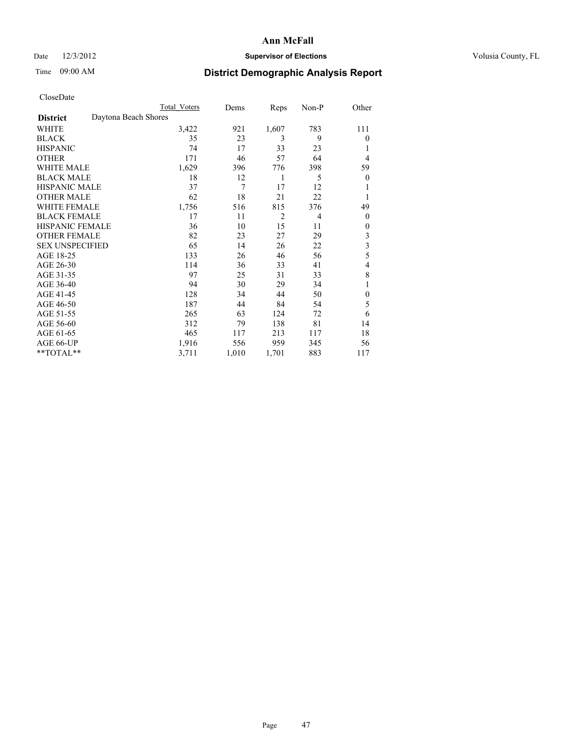## Date  $12/3/2012$  **Supervisor of Elections** Volusia County, FL

## Time 09:00 AM **District Demographic Analysis Report**

|                        | <b>Total Voters</b>  | Dems  | Reps           | Non-P | Other            |
|------------------------|----------------------|-------|----------------|-------|------------------|
| <b>District</b>        | Daytona Beach Shores |       |                |       |                  |
| WHITE                  | 3,422                | 921   | 1,607          | 783   | 111              |
| <b>BLACK</b>           | 35                   | 23    | 3              | 9     | $\theta$         |
| <b>HISPANIC</b>        | 74                   | 17    | 33             | 23    | 1                |
| <b>OTHER</b>           | 171                  | 46    | 57             | 64    | 4                |
| WHITE MALE             | 1,629                | 396   | 776            | 398   | 59               |
| <b>BLACK MALE</b>      | 18                   | 12    | 1              | 5     | $\boldsymbol{0}$ |
| <b>HISPANIC MALE</b>   | 37                   | 7     | 17             | 12    | 1                |
| <b>OTHER MALE</b>      | 62                   | 18    | 21             | 22    | 1                |
| <b>WHITE FEMALE</b>    | 1,756                | 516   | 815            | 376   | 49               |
| <b>BLACK FEMALE</b>    | 17                   | 11    | $\overline{2}$ | 4     | $\overline{0}$   |
| <b>HISPANIC FEMALE</b> | 36                   | 10    | 15             | 11    | $\theta$         |
| <b>OTHER FEMALE</b>    | 82                   | 23    | 27             | 29    | 3                |
| <b>SEX UNSPECIFIED</b> | 65                   | 14    | 26             | 22    | 3                |
| AGE 18-25              | 133                  | 26    | 46             | 56    | 5                |
| AGE 26-30              | 114                  | 36    | 33             | 41    | 4                |
| AGE 31-35              | 97                   | 25    | 31             | 33    | 8                |
| AGE 36-40              | 94                   | 30    | 29             | 34    | 1                |
| AGE 41-45              | 128                  | 34    | 44             | 50    | $\mathbf{0}$     |
| AGE 46-50              | 187                  | 44    | 84             | 54    | 5                |
| AGE 51-55              | 265                  | 63    | 124            | 72    | 6                |
| AGE 56-60              | 312                  | 79    | 138            | 81    | 14               |
| AGE 61-65              | 465                  | 117   | 213            | 117   | 18               |
| AGE 66-UP              | 1,916                | 556   | 959            | 345   | 56               |
| **TOTAL**              | 3,711                | 1,010 | 1,701          | 883   | 117              |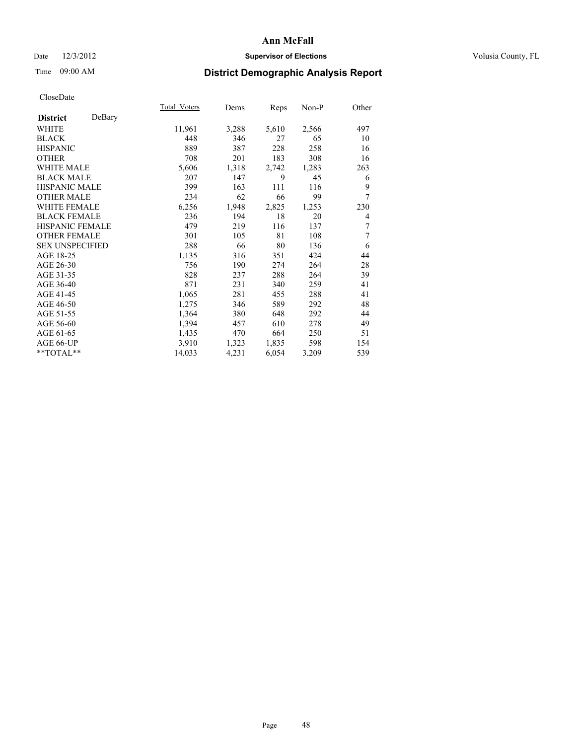## Date  $12/3/2012$  **Supervisor of Elections Supervisor of Elections** Volusia County, FL

# Time 09:00 AM **District Demographic Analysis Report**

|                           | Total Voters | Dems  | Reps  | Non-P | Other |
|---------------------------|--------------|-------|-------|-------|-------|
| DeBary<br><b>District</b> |              |       |       |       |       |
| <b>WHITE</b>              | 11,961       | 3,288 | 5,610 | 2,566 | 497   |
| <b>BLACK</b>              | 448          | 346   | 27    | 65    | 10    |
| <b>HISPANIC</b>           | 889          | 387   | 228   | 258   | 16    |
| <b>OTHER</b>              | 708          | 201   | 183   | 308   | 16    |
| <b>WHITE MALE</b>         | 5,606        | 1,318 | 2,742 | 1,283 | 263   |
| <b>BLACK MALE</b>         | 207          | 147   | 9     | 45    | 6     |
| HISPANIC MALE             | 399          | 163   | 111   | 116   | 9     |
| <b>OTHER MALE</b>         | 234          | 62    | 66    | 99    | 7     |
| <b>WHITE FEMALE</b>       | 6,256        | 1,948 | 2,825 | 1,253 | 230   |
| <b>BLACK FEMALE</b>       | 236          | 194   | 18    | 20    | 4     |
| <b>HISPANIC FEMALE</b>    | 479          | 219   | 116   | 137   | 7     |
| <b>OTHER FEMALE</b>       | 301          | 105   | 81    | 108   | 7     |
| <b>SEX UNSPECIFIED</b>    | 288          | 66    | 80    | 136   | 6     |
| AGE 18-25                 | 1,135        | 316   | 351   | 424   | 44    |
| AGE 26-30                 | 756          | 190   | 274   | 264   | 28    |
| AGE 31-35                 | 828          | 237   | 288   | 264   | 39    |
| AGE 36-40                 | 871          | 231   | 340   | 259   | 41    |
| AGE 41-45                 | 1,065        | 281   | 455   | 288   | 41    |
| AGE 46-50                 | 1,275        | 346   | 589   | 292   | 48    |
| AGE 51-55                 | 1,364        | 380   | 648   | 292   | 44    |
| AGE 56-60                 | 1,394        | 457   | 610   | 278   | 49    |
| AGE 61-65                 | 1,435        | 470   | 664   | 250   | 51    |
| AGE 66-UP                 | 3,910        | 1,323 | 1,835 | 598   | 154   |
| **TOTAL**                 | 14,033       | 4,231 | 6,054 | 3,209 | 539   |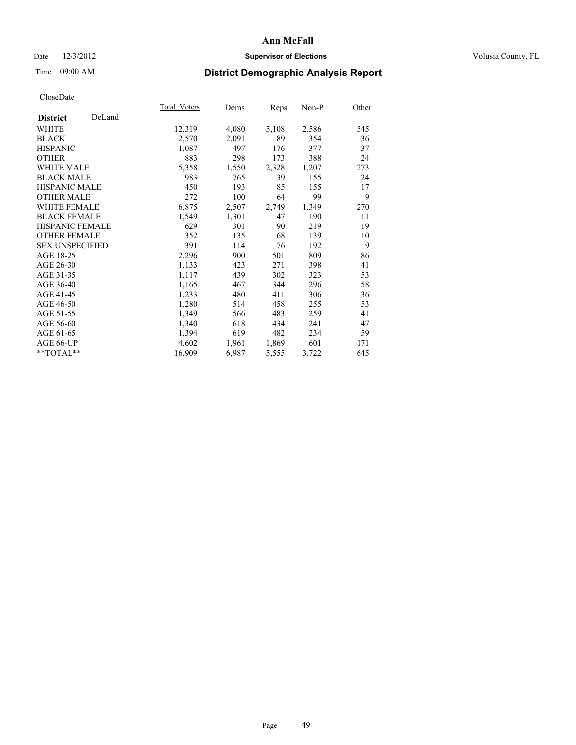## Date  $12/3/2012$  **Supervisor of Elections Supervisor of Elections** Volusia County, FL

# Time 09:00 AM **District Demographic Analysis Report**

|                        |        | Total Voters | Dems  | <b>Reps</b> | Non-P | Other |
|------------------------|--------|--------------|-------|-------------|-------|-------|
| <b>District</b>        | DeLand |              |       |             |       |       |
| <b>WHITE</b>           |        | 12,319       | 4,080 | 5,108       | 2,586 | 545   |
| <b>BLACK</b>           |        | 2,570        | 2,091 | 89          | 354   | 36    |
| <b>HISPANIC</b>        |        | 1,087        | 497   | 176         | 377   | 37    |
| <b>OTHER</b>           |        | 883          | 298   | 173         | 388   | 24    |
| <b>WHITE MALE</b>      |        | 5,358        | 1,550 | 2,328       | 1,207 | 273   |
| <b>BLACK MALE</b>      |        | 983          | 765   | 39          | 155   | 24    |
| HISPANIC MALE          |        | 450          | 193   | 85          | 155   | 17    |
| <b>OTHER MALE</b>      |        | 272          | 100   | 64          | 99    | 9     |
| <b>WHITE FEMALE</b>    |        | 6,875        | 2,507 | 2,749       | 1,349 | 270   |
| <b>BLACK FEMALE</b>    |        | 1,549        | 1,301 | 47          | 190   | 11    |
| <b>HISPANIC FEMALE</b> |        | 629          | 301   | 90          | 219   | 19    |
| <b>OTHER FEMALE</b>    |        | 352          | 135   | 68          | 139   | 10    |
| <b>SEX UNSPECIFIED</b> |        | 391          | 114   | 76          | 192   | 9     |
| AGE 18-25              |        | 2,296        | 900   | 501         | 809   | 86    |
| AGE 26-30              |        | 1,133        | 423   | 271         | 398   | 41    |
| AGE 31-35              |        | 1,117        | 439   | 302         | 323   | 53    |
| AGE 36-40              |        | 1,165        | 467   | 344         | 296   | 58    |
| AGE 41-45              |        | 1,233        | 480   | 411         | 306   | 36    |
| AGE 46-50              |        | 1,280        | 514   | 458         | 255   | 53    |
| AGE 51-55              |        | 1,349        | 566   | 483         | 259   | 41    |
| AGE 56-60              |        | 1,340        | 618   | 434         | 241   | 47    |
| AGE 61-65              |        | 1,394        | 619   | 482         | 234   | 59    |
| AGE 66-UP              |        | 4,602        | 1,961 | 1,869       | 601   | 171   |
| **TOTAL**              |        | 16,909       | 6,987 | 5,555       | 3,722 | 645   |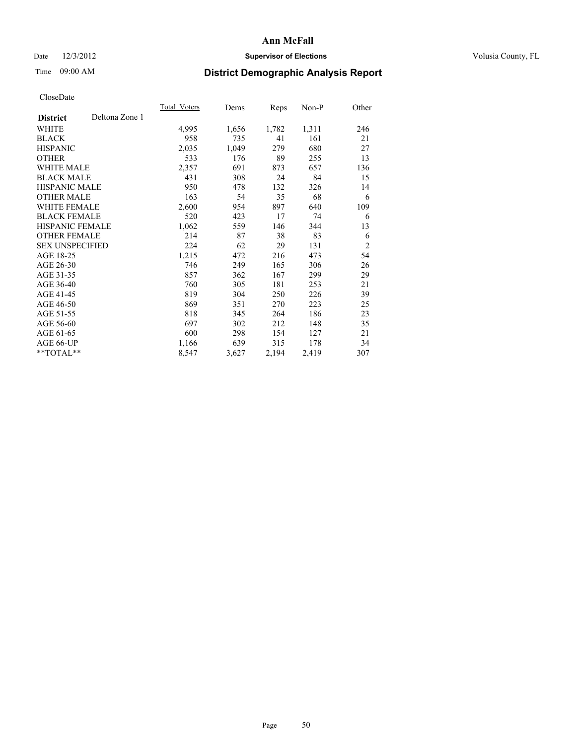## Date  $12/3/2012$  **Supervisor of Elections Supervisor of Elections** Volusia County, FL

# Time 09:00 AM **District Demographic Analysis Report**

|                        |                | Total Voters | Dems  | <b>Reps</b> | Non-P | Other          |
|------------------------|----------------|--------------|-------|-------------|-------|----------------|
| <b>District</b>        | Deltona Zone 1 |              |       |             |       |                |
| WHITE                  |                | 4,995        | 1,656 | 1,782       | 1,311 | 246            |
| <b>BLACK</b>           |                | 958          | 735   | 41          | 161   | 21             |
| <b>HISPANIC</b>        |                | 2,035        | 1,049 | 279         | 680   | 27             |
| <b>OTHER</b>           |                | 533          | 176   | 89          | 255   | 13             |
| <b>WHITE MALE</b>      |                | 2,357        | 691   | 873         | 657   | 136            |
| <b>BLACK MALE</b>      |                | 431          | 308   | 24          | 84    | 15             |
| <b>HISPANIC MALE</b>   |                | 950          | 478   | 132         | 326   | 14             |
| <b>OTHER MALE</b>      |                | 163          | 54    | 35          | 68    | 6              |
| <b>WHITE FEMALE</b>    |                | 2,600        | 954   | 897         | 640   | 109            |
| <b>BLACK FEMALE</b>    |                | 520          | 423   | 17          | 74    | 6              |
| HISPANIC FEMALE        |                | 1,062        | 559   | 146         | 344   | 13             |
| <b>OTHER FEMALE</b>    |                | 214          | 87    | 38          | 83    | 6              |
| <b>SEX UNSPECIFIED</b> |                | 224          | 62    | 29          | 131   | $\overline{2}$ |
| AGE 18-25              |                | 1,215        | 472   | 216         | 473   | 54             |
| AGE 26-30              |                | 746          | 249   | 165         | 306   | 26             |
| AGE 31-35              |                | 857          | 362   | 167         | 299   | 29             |
| AGE 36-40              |                | 760          | 305   | 181         | 253   | 21             |
| AGE 41-45              |                | 819          | 304   | 250         | 226   | 39             |
| AGE 46-50              |                | 869          | 351   | 270         | 223   | 25             |
| AGE 51-55              |                | 818          | 345   | 264         | 186   | 23             |
| AGE 56-60              |                | 697          | 302   | 212         | 148   | 35             |
| AGE 61-65              |                | 600          | 298   | 154         | 127   | 21             |
| AGE 66-UP              |                | 1,166        | 639   | 315         | 178   | 34             |
| **TOTAL**              |                | 8,547        | 3,627 | 2,194       | 2,419 | 307            |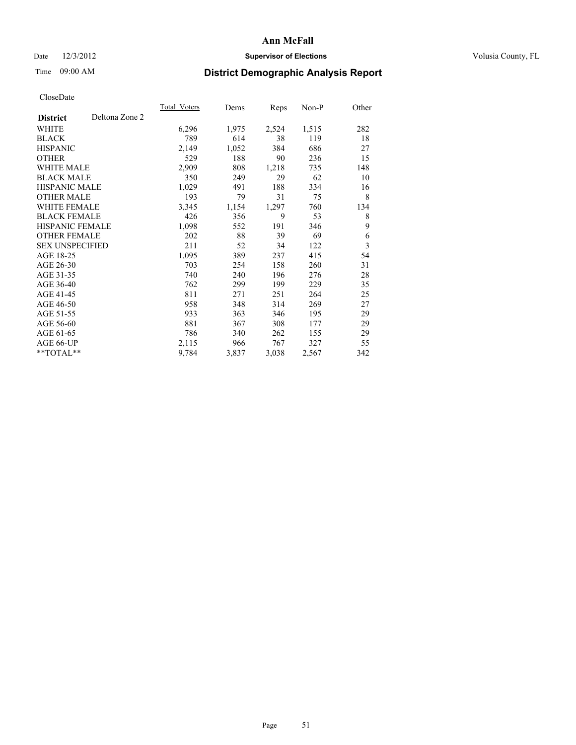## Date  $12/3/2012$  **Supervisor of Elections Supervisor of Elections** Volusia County, FL

# Time 09:00 AM **District Demographic Analysis Report**

|                                   | Total Voters | Dems  | <b>Reps</b> | Non-P | Other |
|-----------------------------------|--------------|-------|-------------|-------|-------|
| Deltona Zone 2<br><b>District</b> |              |       |             |       |       |
| WHITE                             | 6,296        | 1,975 | 2,524       | 1,515 | 282   |
| <b>BLACK</b>                      | 789          | 614   | 38          | 119   | 18    |
| <b>HISPANIC</b>                   | 2,149        | 1,052 | 384         | 686   | 27    |
| <b>OTHER</b>                      | 529          | 188   | 90          | 236   | 15    |
| <b>WHITE MALE</b>                 | 2,909        | 808   | 1,218       | 735   | 148   |
| <b>BLACK MALE</b>                 | 350          | 249   | 29          | 62    | 10    |
| <b>HISPANIC MALE</b>              | 1,029        | 491   | 188         | 334   | 16    |
| <b>OTHER MALE</b>                 | 193          | 79    | 31          | 75    | 8     |
| <b>WHITE FEMALE</b>               | 3,345        | 1,154 | 1,297       | 760   | 134   |
| <b>BLACK FEMALE</b>               | 426          | 356   | 9           | 53    | 8     |
| <b>HISPANIC FEMALE</b>            | 1,098        | 552   | 191         | 346   | 9     |
| <b>OTHER FEMALE</b>               | 202          | 88    | 39          | 69    | 6     |
| <b>SEX UNSPECIFIED</b>            | 211          | 52    | 34          | 122   | 3     |
| AGE 18-25                         | 1,095        | 389   | 237         | 415   | 54    |
| AGE 26-30                         | 703          | 254   | 158         | 260   | 31    |
| AGE 31-35                         | 740          | 240   | 196         | 276   | 28    |
| AGE 36-40                         | 762          | 299   | 199         | 229   | 35    |
| AGE 41-45                         | 811          | 271   | 251         | 264   | 25    |
| AGE 46-50                         | 958          | 348   | 314         | 269   | 27    |
| AGE 51-55                         | 933          | 363   | 346         | 195   | 29    |
| AGE 56-60                         | 881          | 367   | 308         | 177   | 29    |
| AGE 61-65                         | 786          | 340   | 262         | 155   | 29    |
| AGE 66-UP                         | 2,115        | 966   | 767         | 327   | 55    |
| **TOTAL**                         | 9,784        | 3,837 | 3,038       | 2,567 | 342   |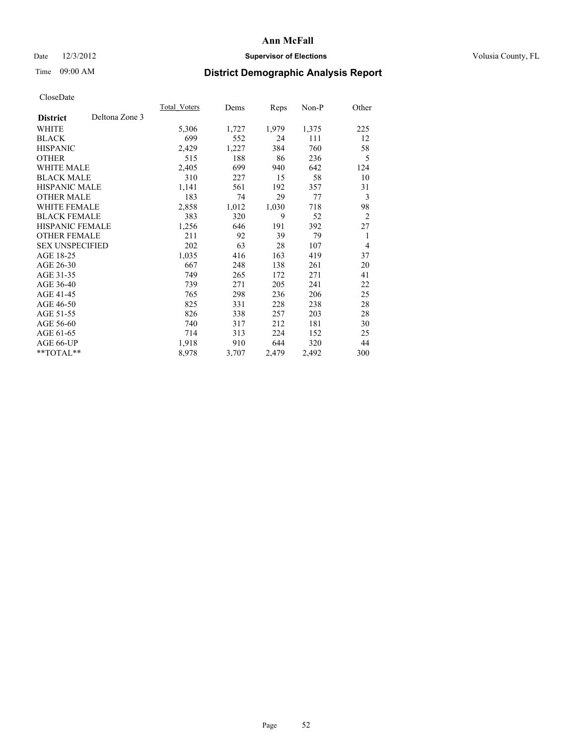## Date  $12/3/2012$  **Supervisor of Elections Supervisor of Elections** Volusia County, FL

## Time 09:00 AM **District Demographic Analysis Report**

|                                   | Total Voters | Dems  | Reps  | Non-P | Other          |
|-----------------------------------|--------------|-------|-------|-------|----------------|
| Deltona Zone 3<br><b>District</b> |              |       |       |       |                |
| WHITE                             | 5,306        | 1,727 | 1,979 | 1,375 | 225            |
| <b>BLACK</b>                      | 699          | 552   | 24    | 111   | 12             |
| <b>HISPANIC</b>                   | 2,429        | 1,227 | 384   | 760   | 58             |
| <b>OTHER</b>                      | 515          | 188   | 86    | 236   | 5              |
| <b>WHITE MALE</b>                 | 2,405        | 699   | 940   | 642   | 124            |
| <b>BLACK MALE</b>                 | 310          | 227   | 15    | 58    | 10             |
| HISPANIC MALE                     | 1,141        | 561   | 192   | 357   | 31             |
| <b>OTHER MALE</b>                 | 183          | 74    | 29    | 77    | 3              |
| <b>WHITE FEMALE</b>               | 2,858        | 1,012 | 1,030 | 718   | 98             |
| <b>BLACK FEMALE</b>               | 383          | 320   | 9     | 52    | $\overline{2}$ |
| <b>HISPANIC FEMALE</b>            | 1,256        | 646   | 191   | 392   | 27             |
| <b>OTHER FEMALE</b>               | 211          | 92    | 39    | 79    | 1              |
| <b>SEX UNSPECIFIED</b>            | 202          | 63    | 28    | 107   | 4              |
| AGE 18-25                         | 1,035        | 416   | 163   | 419   | 37             |
| AGE 26-30                         | 667          | 248   | 138   | 261   | 20             |
| AGE 31-35                         | 749          | 265   | 172   | 271   | 41             |
| AGE 36-40                         | 739          | 271   | 205   | 241   | 22             |
| AGE 41-45                         | 765          | 298   | 236   | 206   | 25             |
| AGE 46-50                         | 825          | 331   | 228   | 238   | 28             |
| AGE 51-55                         | 826          | 338   | 257   | 203   | 28             |
| AGE 56-60                         | 740          | 317   | 212   | 181   | 30             |
| AGE 61-65                         | 714          | 313   | 224   | 152   | 25             |
| AGE 66-UP                         | 1,918        | 910   | 644   | 320   | 44             |
| **TOTAL**                         | 8,978        | 3,707 | 2,479 | 2,492 | 300            |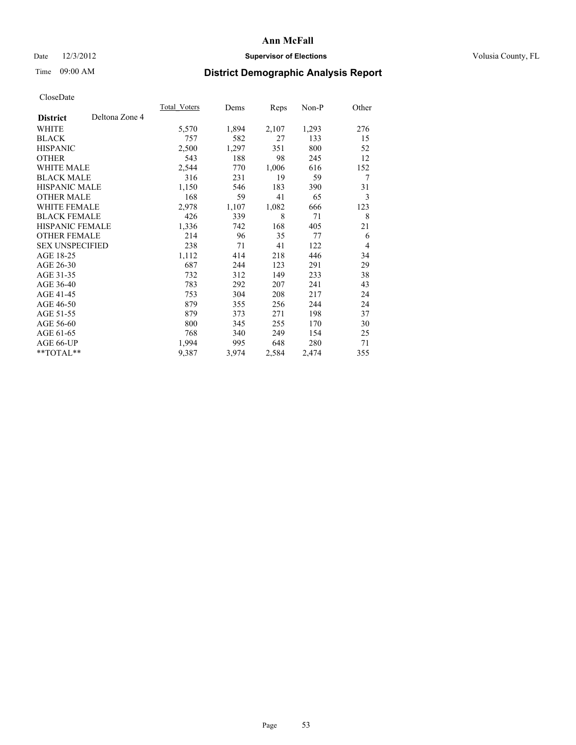## Date  $12/3/2012$  **Supervisor of Elections** Volusia County, FL

# Time 09:00 AM **District Demographic Analysis Report**

|                        |                | Total Voters | Dems  | <b>Reps</b> | Non-P | Other          |
|------------------------|----------------|--------------|-------|-------------|-------|----------------|
| <b>District</b>        | Deltona Zone 4 |              |       |             |       |                |
| WHITE                  |                | 5,570        | 1,894 | 2,107       | 1,293 | 276            |
| <b>BLACK</b>           |                | 757          | 582   | 27          | 133   | 15             |
| <b>HISPANIC</b>        |                | 2,500        | 1,297 | 351         | 800   | 52             |
| <b>OTHER</b>           |                | 543          | 188   | 98          | 245   | 12             |
| <b>WHITE MALE</b>      |                | 2,544        | 770   | 1,006       | 616   | 152            |
| <b>BLACK MALE</b>      |                | 316          | 231   | 19          | 59    | 7              |
| <b>HISPANIC MALE</b>   |                | 1,150        | 546   | 183         | 390   | 31             |
| <b>OTHER MALE</b>      |                | 168          | 59    | 41          | 65    | 3              |
| <b>WHITE FEMALE</b>    |                | 2,978        | 1,107 | 1,082       | 666   | 123            |
| <b>BLACK FEMALE</b>    |                | 426          | 339   | 8           | 71    | 8              |
| <b>HISPANIC FEMALE</b> |                | 1,336        | 742   | 168         | 405   | 21             |
| <b>OTHER FEMALE</b>    |                | 214          | 96    | 35          | 77    | 6              |
| <b>SEX UNSPECIFIED</b> |                | 238          | 71    | 41          | 122   | $\overline{4}$ |
| AGE 18-25              |                | 1,112        | 414   | 218         | 446   | 34             |
| AGE 26-30              |                | 687          | 244   | 123         | 291   | 29             |
| AGE 31-35              |                | 732          | 312   | 149         | 233   | 38             |
| AGE 36-40              |                | 783          | 292   | 207         | 241   | 43             |
| AGE 41-45              |                | 753          | 304   | 208         | 217   | 24             |
| AGE 46-50              |                | 879          | 355   | 256         | 244   | 24             |
| AGE 51-55              |                | 879          | 373   | 271         | 198   | 37             |
| AGE 56-60              |                | 800          | 345   | 255         | 170   | 30             |
| AGE 61-65              |                | 768          | 340   | 249         | 154   | 25             |
| AGE 66-UP              |                | 1,994        | 995   | 648         | 280   | 71             |
| **TOTAL**              |                | 9,387        | 3,974 | 2,584       | 2,474 | 355            |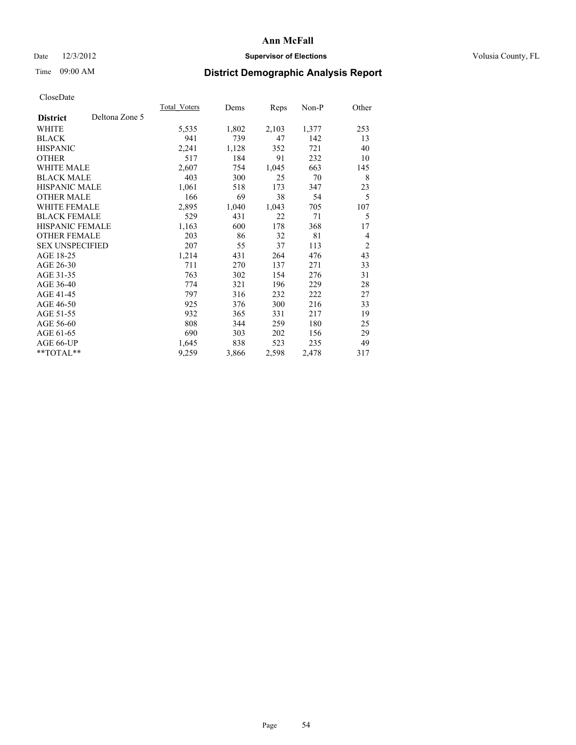## Date  $12/3/2012$  **Supervisor of Elections** Volusia County, FL

# Time 09:00 AM **District Demographic Analysis Report**

|                        |                | Total Voters | Dems  | <b>Reps</b> | Non-P | Other          |
|------------------------|----------------|--------------|-------|-------------|-------|----------------|
| <b>District</b>        | Deltona Zone 5 |              |       |             |       |                |
| WHITE                  |                | 5,535        | 1,802 | 2,103       | 1,377 | 253            |
| <b>BLACK</b>           |                | 941          | 739   | 47          | 142   | 13             |
| <b>HISPANIC</b>        |                | 2,241        | 1,128 | 352         | 721   | 40             |
| <b>OTHER</b>           |                | 517          | 184   | 91          | 232   | 10             |
| <b>WHITE MALE</b>      |                | 2,607        | 754   | 1,045       | 663   | 145            |
| <b>BLACK MALE</b>      |                | 403          | 300   | 25          | 70    | 8              |
| HISPANIC MALE          |                | 1,061        | 518   | 173         | 347   | 23             |
| <b>OTHER MALE</b>      |                | 166          | 69    | 38          | 54    | 5              |
| WHITE FEMALE           |                | 2,895        | 1,040 | 1,043       | 705   | 107            |
| <b>BLACK FEMALE</b>    |                | 529          | 431   | 22          | 71    | 5              |
| HISPANIC FEMALE        |                | 1,163        | 600   | 178         | 368   | 17             |
| <b>OTHER FEMALE</b>    |                | 203          | 86    | 32          | 81    | 4              |
| <b>SEX UNSPECIFIED</b> |                | 207          | 55    | 37          | 113   | $\overline{2}$ |
| AGE 18-25              |                | 1,214        | 431   | 264         | 476   | 43             |
| AGE 26-30              |                | 711          | 270   | 137         | 271   | 33             |
| AGE 31-35              |                | 763          | 302   | 154         | 276   | 31             |
| AGE 36-40              |                | 774          | 321   | 196         | 229   | 28             |
| AGE 41-45              |                | 797          | 316   | 232         | 222   | 27             |
| AGE 46-50              |                | 925          | 376   | 300         | 216   | 33             |
| AGE 51-55              |                | 932          | 365   | 331         | 217   | 19             |
| AGE 56-60              |                | 808          | 344   | 259         | 180   | 25             |
| AGE 61-65              |                | 690          | 303   | 202         | 156   | 29             |
| AGE 66-UP              |                | 1,645        | 838   | 523         | 235   | 49             |
| **TOTAL**              |                | 9,259        | 3,866 | 2,598       | 2,478 | 317            |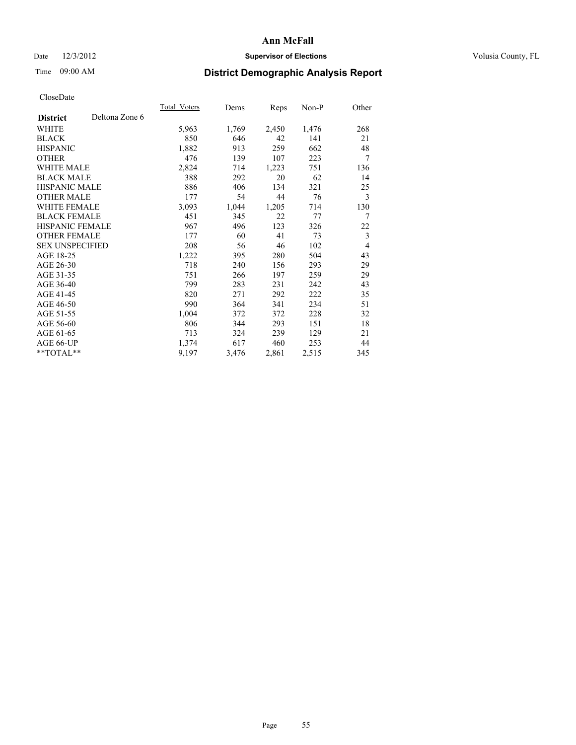## Date  $12/3/2012$  **Supervisor of Elections** Volusia County, FL

# Time 09:00 AM **District Demographic Analysis Report**

|                        |                | Total Voters | Dems  | <b>Reps</b> | Non-P | Other          |
|------------------------|----------------|--------------|-------|-------------|-------|----------------|
| <b>District</b>        | Deltona Zone 6 |              |       |             |       |                |
| WHITE                  |                | 5,963        | 1,769 | 2,450       | 1,476 | 268            |
| <b>BLACK</b>           |                | 850          | 646   | 42          | 141   | 21             |
| <b>HISPANIC</b>        |                | 1,882        | 913   | 259         | 662   | 48             |
| <b>OTHER</b>           |                | 476          | 139   | 107         | 223   | 7              |
| <b>WHITE MALE</b>      |                | 2,824        | 714   | 1,223       | 751   | 136            |
| <b>BLACK MALE</b>      |                | 388          | 292   | 20          | 62    | 14             |
| <b>HISPANIC MALE</b>   |                | 886          | 406   | 134         | 321   | 25             |
| <b>OTHER MALE</b>      |                | 177          | 54    | 44          | 76    | 3              |
| <b>WHITE FEMALE</b>    |                | 3,093        | 1,044 | 1,205       | 714   | 130            |
| <b>BLACK FEMALE</b>    |                | 451          | 345   | 22          | 77    | 7              |
| <b>HISPANIC FEMALE</b> |                | 967          | 496   | 123         | 326   | 22             |
| <b>OTHER FEMALE</b>    |                | 177          | 60    | 41          | 73    | 3              |
| <b>SEX UNSPECIFIED</b> |                | 208          | 56    | 46          | 102   | $\overline{4}$ |
| AGE 18-25              |                | 1,222        | 395   | 280         | 504   | 43             |
| AGE 26-30              |                | 718          | 240   | 156         | 293   | 29             |
| AGE 31-35              |                | 751          | 266   | 197         | 259   | 29             |
| AGE 36-40              |                | 799          | 283   | 231         | 242   | 43             |
| AGE 41-45              |                | 820          | 271   | 292         | 222   | 35             |
| AGE 46-50              |                | 990          | 364   | 341         | 234   | 51             |
| AGE 51-55              |                | 1,004        | 372   | 372         | 228   | 32             |
| AGE 56-60              |                | 806          | 344   | 293         | 151   | 18             |
| AGE 61-65              |                | 713          | 324   | 239         | 129   | 21             |
| AGE 66-UP              |                | 1,374        | 617   | 460         | 253   | 44             |
| **TOTAL**              |                | 9,197        | 3,476 | 2,861       | 2,515 | 345            |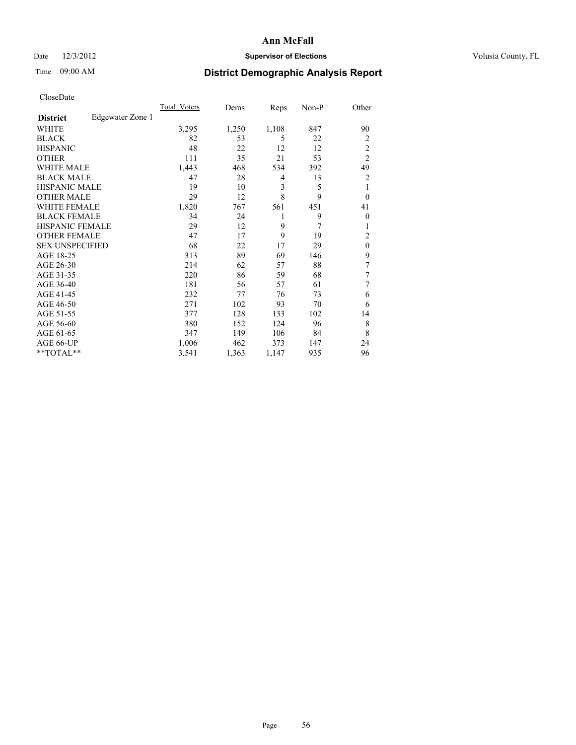## Date  $12/3/2012$  **Supervisor of Elections** Volusia County, FL

# Time 09:00 AM **District Demographic Analysis Report**

| Cioscivate             |                  |              |       |       |       |                |
|------------------------|------------------|--------------|-------|-------|-------|----------------|
|                        |                  | Total Voters | Dems  | Reps  | Non-P | Other          |
| <b>District</b>        | Edgewater Zone 1 |              |       |       |       |                |
| <b>WHITE</b>           |                  | 3,295        | 1,250 | 1,108 | 847   | 90             |
| <b>BLACK</b>           |                  | 82           | 53    | 5     | 22    | 2              |
| <b>HISPANIC</b>        |                  | 48           | 22    | 12    | 12    | $\overline{c}$ |
| <b>OTHER</b>           |                  | 111          | 35    | 21    | 53    | $\overline{2}$ |
| WHITE MALE             |                  | 1,443        | 468   | 534   | 392   | 49             |
| <b>BLACK MALE</b>      |                  | 47           | 28    | 4     | 13    | $\overline{2}$ |
| <b>HISPANIC MALE</b>   |                  | 19           | 10    | 3     | 5     | 1              |
| <b>OTHER MALE</b>      |                  | 29           | 12    | 8     | 9     | $\theta$       |
| <b>WHITE FEMALE</b>    |                  | 1,820        | 767   | 561   | 451   | 41             |
| <b>BLACK FEMALE</b>    |                  | 34           | 24    | 1     | 9     | $\theta$       |
| <b>HISPANIC FEMALE</b> |                  | 29           | 12    | 9     | 7     | 1              |
| <b>OTHER FEMALE</b>    |                  | 47           | 17    | 9     | 19    | $\overline{c}$ |
| <b>SEX UNSPECIFIED</b> |                  | 68           | 22    | 17    | 29    | $\theta$       |
| AGE 18-25              |                  | 313          | 89    | 69    | 146   | 9              |
| AGE 26-30              |                  | 214          | 62    | 57    | 88    | 7              |
| AGE 31-35              |                  | 220          | 86    | 59    | 68    | 7              |
| AGE 36-40              |                  | 181          | 56    | 57    | 61    | 7              |
| AGE 41-45              |                  | 232          | 77    | 76    | 73    | 6              |
| AGE 46-50              |                  | 271          | 102   | 93    | 70    | 6              |
| AGE 51-55              |                  | 377          | 128   | 133   | 102   | 14             |
| AGE 56-60              |                  | 380          | 152   | 124   | 96    | 8              |
| AGE 61-65              |                  | 347          | 149   | 106   | 84    | 8              |
| AGE 66-UP              |                  | 1,006        | 462   | 373   | 147   | 24             |
| **TOTAL**              |                  | 3,541        | 1,363 | 1,147 | 935   | 96             |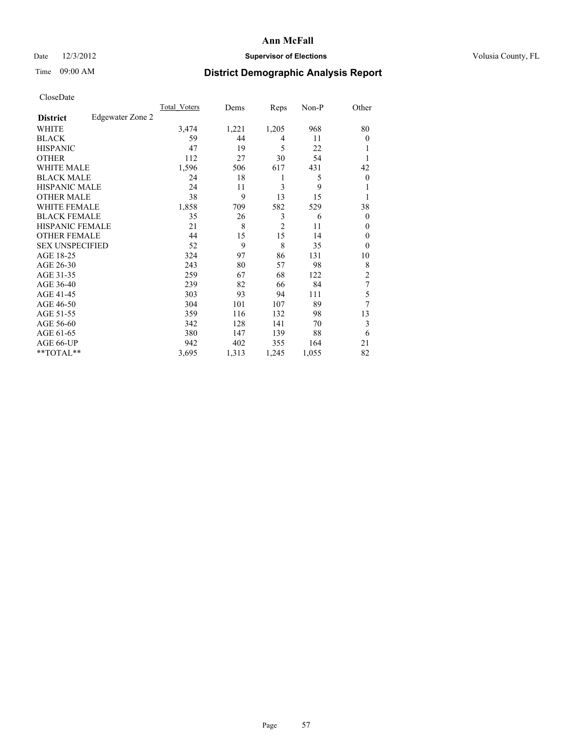## Date  $12/3/2012$  **Supervisor of Elections** Volusia County, FL

# Time 09:00 AM **District Demographic Analysis Report**

| Cioscivate             |                  |                     |       |                |       |                |
|------------------------|------------------|---------------------|-------|----------------|-------|----------------|
|                        |                  | <b>Total Voters</b> | Dems  | Reps           | Non-P | Other          |
| <b>District</b>        | Edgewater Zone 2 |                     |       |                |       |                |
| <b>WHITE</b>           |                  | 3,474               | 1,221 | 1,205          | 968   | 80             |
| <b>BLACK</b>           |                  | 59                  | 44    | 4              | 11    | $\theta$       |
| <b>HISPANIC</b>        |                  | 47                  | 19    | 5              | 22    |                |
| <b>OTHER</b>           |                  | 112                 | 27    | 30             | 54    | 1              |
| WHITE MALE             |                  | 1,596               | 506   | 617            | 431   | 42             |
| <b>BLACK MALE</b>      |                  | 24                  | 18    | 1              | 5     | $\theta$       |
| <b>HISPANIC MALE</b>   |                  | 24                  | 11    | 3              | 9     | 1              |
| <b>OTHER MALE</b>      |                  | 38                  | 9     | 13             | 15    | 1              |
| WHITE FEMALE           |                  | 1,858               | 709   | 582            | 529   | 38             |
| <b>BLACK FEMALE</b>    |                  | 35                  | 26    | 3              | 6     | $\theta$       |
| <b>HISPANIC FEMALE</b> |                  | 21                  | 8     | $\overline{2}$ | 11    | $\theta$       |
| <b>OTHER FEMALE</b>    |                  | 44                  | 15    | 15             | 14    | $\theta$       |
| <b>SEX UNSPECIFIED</b> |                  | 52                  | 9     | 8              | 35    | $\theta$       |
| AGE 18-25              |                  | 324                 | 97    | 86             | 131   | 10             |
| AGE 26-30              |                  | 243                 | 80    | 57             | 98    | 8              |
| AGE 31-35              |                  | 259                 | 67    | 68             | 122   | $\overline{2}$ |
| AGE 36-40              |                  | 239                 | 82    | 66             | 84    | 7              |
| AGE 41-45              |                  | 303                 | 93    | 94             | 111   | 5              |
| AGE 46-50              |                  | 304                 | 101   | 107            | 89    | 7              |
| AGE 51-55              |                  | 359                 | 116   | 132            | 98    | 13             |
| AGE 56-60              |                  | 342                 | 128   | 141            | 70    | 3              |
| AGE 61-65              |                  | 380                 | 147   | 139            | 88    | 6              |
| AGE 66-UP              |                  | 942                 | 402   | 355            | 164   | 21             |
| **TOTAL**              |                  | 3,695               | 1,313 | 1,245          | 1,055 | 82             |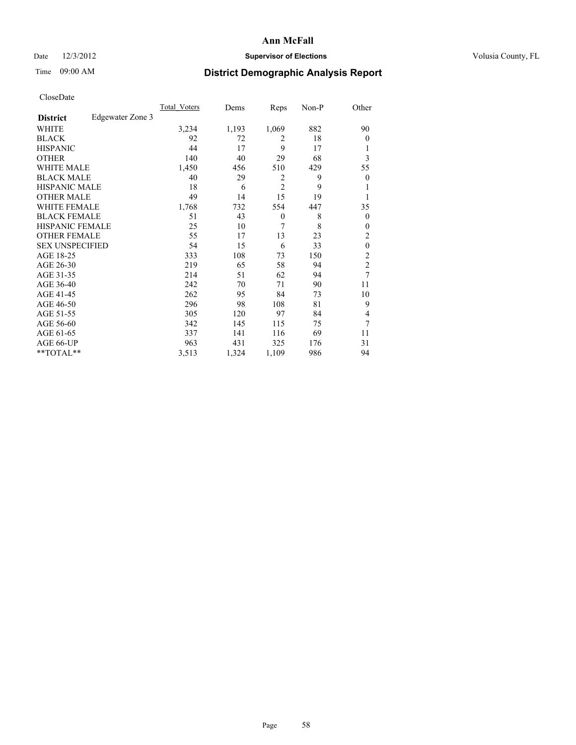## Date  $12/3/2012$  **Supervisor of Elections** Volusia County, FL

# Time 09:00 AM **District Demographic Analysis Report**

|                        |                  | <b>Total Voters</b> | Dems  | Reps           | Non-P | Other            |
|------------------------|------------------|---------------------|-------|----------------|-------|------------------|
| <b>District</b>        | Edgewater Zone 3 |                     |       |                |       |                  |
| WHITE                  |                  | 3,234               | 1,193 | 1,069          | 882   | 90               |
| <b>BLACK</b>           |                  | 92                  | 72    | 2              | 18    | $\theta$         |
| <b>HISPANIC</b>        |                  | 44                  | 17    | 9              | 17    | 1                |
| <b>OTHER</b>           |                  | 140                 | 40    | 29             | 68    | 3                |
| WHITE MALE             |                  | 1,450               | 456   | 510            | 429   | 55               |
| <b>BLACK MALE</b>      |                  | 40                  | 29    | 2              | 9     | $\boldsymbol{0}$ |
| <b>HISPANIC MALE</b>   |                  | 18                  | 6     | $\overline{2}$ | 9     | 1                |
| <b>OTHER MALE</b>      |                  | 49                  | 14    | 15             | 19    | 1                |
| <b>WHITE FEMALE</b>    |                  | 1,768               | 732   | 554            | 447   | 35               |
| <b>BLACK FEMALE</b>    |                  | 51                  | 43    | $\theta$       | 8     | $\overline{0}$   |
| <b>HISPANIC FEMALE</b> |                  | 25                  | 10    | 7              | 8     | $\theta$         |
| <b>OTHER FEMALE</b>    |                  | 55                  | 17    | 13             | 23    | 2                |
| <b>SEX UNSPECIFIED</b> |                  | 54                  | 15    | 6              | 33    | $\mathbf{0}$     |
| AGE 18-25              |                  | 333                 | 108   | 73             | 150   | $\overline{c}$   |
| AGE 26-30              |                  | 219                 | 65    | 58             | 94    | $\overline{c}$   |
| AGE 31-35              |                  | 214                 | 51    | 62             | 94    | 7                |
| AGE 36-40              |                  | 242                 | 70    | 71             | 90    | 11               |
| AGE 41-45              |                  | 262                 | 95    | 84             | 73    | 10               |
| AGE 46-50              |                  | 296                 | 98    | 108            | 81    | 9                |
| AGE 51-55              |                  | 305                 | 120   | 97             | 84    | 4                |
| AGE 56-60              |                  | 342                 | 145   | 115            | 75    | 7                |
| AGE 61-65              |                  | 337                 | 141   | 116            | 69    | 11               |
| AGE 66-UP              |                  | 963                 | 431   | 325            | 176   | 31               |
| **TOTAL**              |                  | 3,513               | 1,324 | 1,109          | 986   | 94               |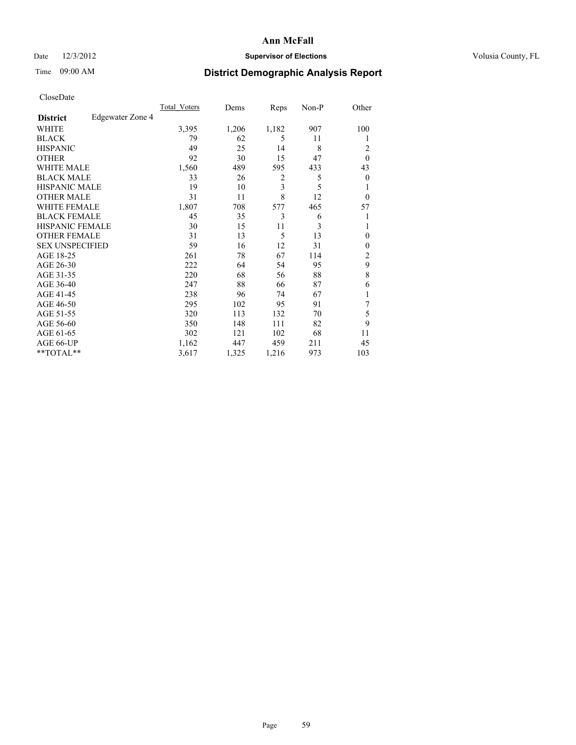## Date  $12/3/2012$  **Supervisor of Elections** Volusia County, FL

# Time 09:00 AM **District Demographic Analysis Report**

| Cioscivate             |                  |                     |       |       |       |                |
|------------------------|------------------|---------------------|-------|-------|-------|----------------|
|                        |                  | <b>Total Voters</b> | Dems  | Reps  | Non-P | Other          |
| <b>District</b>        | Edgewater Zone 4 |                     |       |       |       |                |
| <b>WHITE</b>           |                  | 3,395               | 1,206 | 1,182 | 907   | 100            |
| <b>BLACK</b>           |                  | 79                  | 62    | 5     | 11    | 1              |
| <b>HISPANIC</b>        |                  | 49                  | 25    | 14    | 8     | 2              |
| <b>OTHER</b>           |                  | 92                  | 30    | 15    | 47    | $\theta$       |
| WHITE MALE             |                  | 1,560               | 489   | 595   | 433   | 43             |
| <b>BLACK MALE</b>      |                  | 33                  | 26    | 2     | 5     | $\theta$       |
| <b>HISPANIC MALE</b>   |                  | 19                  | 10    | 3     | 5     | 1              |
| <b>OTHER MALE</b>      |                  | 31                  | 11    | 8     | 12    | $\mathbf{0}$   |
| WHITE FEMALE           |                  | 1,807               | 708   | 577   | 465   | 57             |
| <b>BLACK FEMALE</b>    |                  | 45                  | 35    | 3     | 6     | 1              |
| <b>HISPANIC FEMALE</b> |                  | 30                  | 15    | 11    | 3     |                |
| <b>OTHER FEMALE</b>    |                  | 31                  | 13    | 5     | 13    | $\mathbf{0}$   |
| <b>SEX UNSPECIFIED</b> |                  | 59                  | 16    | 12    | 31    | $\mathbf{0}$   |
| AGE 18-25              |                  | 261                 | 78    | 67    | 114   | $\overline{c}$ |
| AGE 26-30              |                  | 222                 | 64    | 54    | 95    | 9              |
| AGE 31-35              |                  | 220                 | 68    | 56    | 88    | 8              |
| AGE 36-40              |                  | 247                 | 88    | 66    | 87    | 6              |
| AGE 41-45              |                  | 238                 | 96    | 74    | 67    |                |
| AGE 46-50              |                  | 295                 | 102   | 95    | 91    | 7              |
| AGE 51-55              |                  | 320                 | 113   | 132   | 70    | 5              |
| AGE 56-60              |                  | 350                 | 148   | 111   | 82    | 9              |
| AGE 61-65              |                  | 302                 | 121   | 102   | 68    | 11             |
| AGE 66-UP              |                  | 1,162               | 447   | 459   | 211   | 45             |
| **TOTAL**              |                  | 3,617               | 1,325 | 1,216 | 973   | 103            |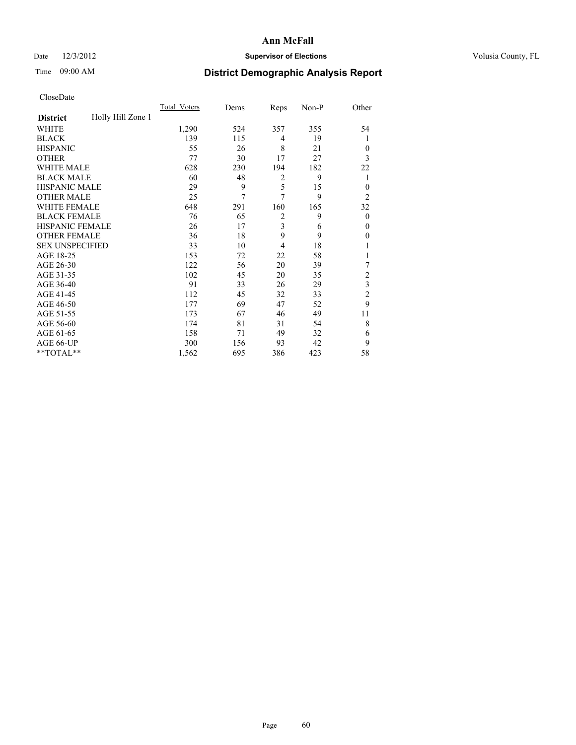## Date  $12/3/2012$  **Supervisor of Elections** Volusia County, FL

# Time 09:00 AM **District Demographic Analysis Report**

|                        |                   | <b>Total Voters</b> | Dems | Reps           | Non-P | Other                   |
|------------------------|-------------------|---------------------|------|----------------|-------|-------------------------|
| <b>District</b>        | Holly Hill Zone 1 |                     |      |                |       |                         |
| WHITE                  |                   | 1,290               | 524  | 357            | 355   | 54                      |
| <b>BLACK</b>           |                   | 139                 | 115  | 4              | 19    | 1                       |
| <b>HISPANIC</b>        |                   | 55                  | 26   | 8              | 21    | $\Omega$                |
| <b>OTHER</b>           |                   | 77                  | 30   | 17             | 27    | 3                       |
| WHITE MALE             |                   | 628                 | 230  | 194            | 182   | 22                      |
| <b>BLACK MALE</b>      |                   | 60                  | 48   | 2              | 9     | 1                       |
| <b>HISPANIC MALE</b>   |                   | 29                  | 9    | 5              | 15    | $\overline{0}$          |
| <b>OTHER MALE</b>      |                   | 25                  | 7    | 7              | 9     | $\overline{2}$          |
| WHITE FEMALE           |                   | 648                 | 291  | 160            | 165   | 32                      |
| <b>BLACK FEMALE</b>    |                   | 76                  | 65   | $\overline{2}$ | 9     | $\overline{0}$          |
| <b>HISPANIC FEMALE</b> |                   | 26                  | 17   | 3              | 6     | $\theta$                |
| <b>OTHER FEMALE</b>    |                   | 36                  | 18   | 9              | 9     | $\Omega$                |
| <b>SEX UNSPECIFIED</b> |                   | 33                  | 10   | 4              | 18    |                         |
| AGE 18-25              |                   | 153                 | 72   | 22             | 58    |                         |
| AGE 26-30              |                   | 122                 | 56   | 20             | 39    | 7                       |
| AGE 31-35              |                   | 102                 | 45   | 20             | 35    | $\overline{c}$          |
| AGE 36-40              |                   | 91                  | 33   | 26             | 29    | $\overline{\mathbf{3}}$ |
| AGE 41-45              |                   | 112                 | 45   | 32             | 33    | $\overline{c}$          |
| AGE 46-50              |                   | 177                 | 69   | 47             | 52    | 9                       |
| AGE 51-55              |                   | 173                 | 67   | 46             | 49    | 11                      |
| AGE 56-60              |                   | 174                 | 81   | 31             | 54    | 8                       |
| AGE 61-65              |                   | 158                 | 71   | 49             | 32    | 6                       |
| AGE 66-UP              |                   | 300                 | 156  | 93             | 42    | 9                       |
| **TOTAL**              |                   | 1,562               | 695  | 386            | 423   | 58                      |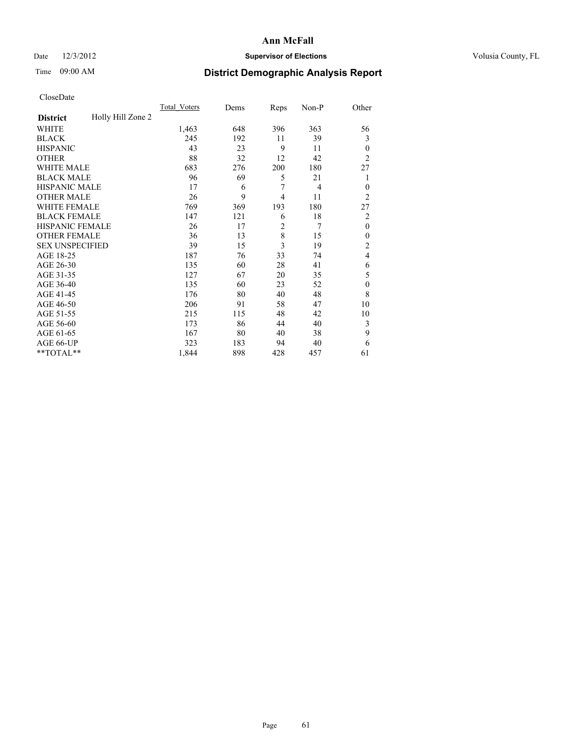## Date  $12/3/2012$  **Supervisor of Elections** Volusia County, FL

# Time 09:00 AM **District Demographic Analysis Report**

| Cioscivate             |                   |              |      |                |       |                |
|------------------------|-------------------|--------------|------|----------------|-------|----------------|
|                        |                   | Total Voters | Dems | Reps           | Non-P | Other          |
| <b>District</b>        | Holly Hill Zone 2 |              |      |                |       |                |
| <b>WHITE</b>           |                   | 1,463        | 648  | 396            | 363   | 56             |
| <b>BLACK</b>           |                   | 245          | 192  | 11             | 39    | 3              |
| <b>HISPANIC</b>        |                   | 43           | 23   | 9              | 11    | $\theta$       |
| <b>OTHER</b>           |                   | 88           | 32   | 12             | 42    | $\overline{2}$ |
| WHITE MALE             |                   | 683          | 276  | 200            | 180   | 27             |
| <b>BLACK MALE</b>      |                   | 96           | 69   | 5              | 21    | 1              |
| <b>HISPANIC MALE</b>   |                   | 17           | 6    | 7              | 4     | $\overline{0}$ |
| <b>OTHER MALE</b>      |                   | 26           | 9    | $\overline{4}$ | 11    | $\overline{2}$ |
| WHITE FEMALE           |                   | 769          | 369  | 193            | 180   | 27             |
| <b>BLACK FEMALE</b>    |                   | 147          | 121  | 6              | 18    | $\overline{2}$ |
| HISPANIC FEMALE        |                   | 26           | 17   | $\overline{2}$ | 7     | $\theta$       |
| <b>OTHER FEMALE</b>    |                   | 36           | 13   | 8              | 15    | $\theta$       |
| <b>SEX UNSPECIFIED</b> |                   | 39           | 15   | 3              | 19    | $\overline{2}$ |
| AGE 18-25              |                   | 187          | 76   | 33             | 74    | 4              |
| AGE 26-30              |                   | 135          | 60   | 28             | 41    | 6              |
| AGE 31-35              |                   | 127          | 67   | 20             | 35    | 5              |
| AGE 36-40              |                   | 135          | 60   | 23             | 52    | $\theta$       |
| AGE 41-45              |                   | 176          | 80   | 40             | 48    | 8              |
| AGE 46-50              |                   | 206          | 91   | 58             | 47    | 10             |
| AGE 51-55              |                   | 215          | 115  | 48             | 42    | 10             |
| AGE 56-60              |                   | 173          | 86   | 44             | 40    | 3              |
| AGE 61-65              |                   | 167          | 80   | 40             | 38    | 9              |
| AGE 66-UP              |                   | 323          | 183  | 94             | 40    | 6              |
| **TOTAL**              |                   | 1,844        | 898  | 428            | 457   | 61             |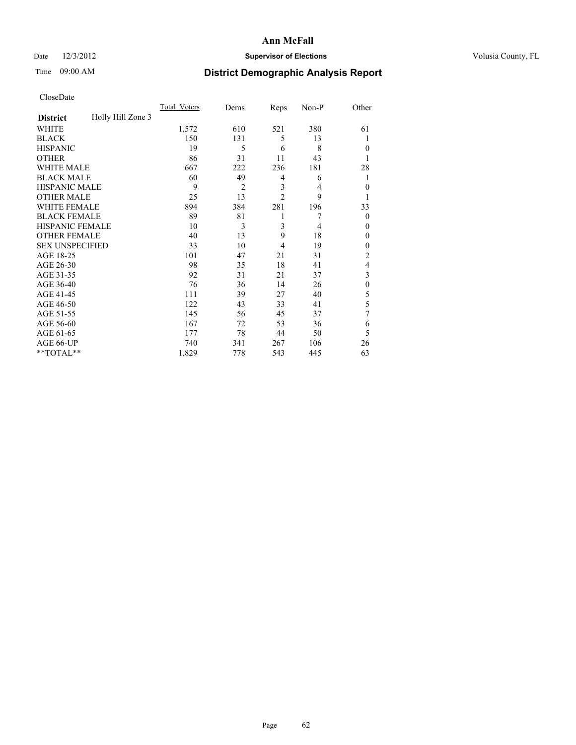## Date  $12/3/2012$  **Supervisor of Elections** Volusia County, FL

# Time 09:00 AM **District Demographic Analysis Report**

|                        |                   | <b>Total Voters</b> | Dems           | Reps                    | Non-P          | Other          |
|------------------------|-------------------|---------------------|----------------|-------------------------|----------------|----------------|
| <b>District</b>        | Holly Hill Zone 3 |                     |                |                         |                |                |
| WHITE                  |                   | 1,572               | 610            | 521                     | 380            | 61             |
| <b>BLACK</b>           |                   | 150                 | 131            | 5                       | 13             | 1              |
| <b>HISPANIC</b>        |                   | 19                  | 5              | 6                       | 8              | $\theta$       |
| <b>OTHER</b>           |                   | 86                  | 31             | 11                      | 43             | 1              |
| WHITE MALE             |                   | 667                 | 222            | 236                     | 181            | 28             |
| <b>BLACK MALE</b>      |                   | 60                  | 49             | 4                       | 6              | 1              |
| <b>HISPANIC MALE</b>   |                   | 9                   | $\overline{2}$ | $\overline{\mathbf{3}}$ | 4              | $\mathbf{0}$   |
| <b>OTHER MALE</b>      |                   | 25                  | 13             | $\overline{2}$          | 9              | 1              |
| <b>WHITE FEMALE</b>    |                   | 894                 | 384            | 281                     | 196            | 33             |
| <b>BLACK FEMALE</b>    |                   | 89                  | 81             | 1                       | 7              | $\theta$       |
| <b>HISPANIC FEMALE</b> |                   | 10                  | 3              | 3                       | $\overline{4}$ | $\theta$       |
| <b>OTHER FEMALE</b>    |                   | 40                  | 13             | 9                       | 18             | $\theta$       |
| <b>SEX UNSPECIFIED</b> |                   | 33                  | 10             | 4                       | 19             | $\theta$       |
| AGE 18-25              |                   | 101                 | 47             | 21                      | 31             | $\overline{2}$ |
| AGE 26-30              |                   | 98                  | 35             | 18                      | 41             | 4              |
| AGE 31-35              |                   | 92                  | 31             | 21                      | 37             | 3              |
| AGE 36-40              |                   | 76                  | 36             | 14                      | 26             | $\mathbf{0}$   |
| AGE 41-45              |                   | 111                 | 39             | 27                      | 40             | 5              |
| AGE 46-50              |                   | 122                 | 43             | 33                      | 41             | 5              |
| AGE 51-55              |                   | 145                 | 56             | 45                      | 37             | 7              |
| AGE 56-60              |                   | 167                 | 72             | 53                      | 36             | 6              |
| AGE 61-65              |                   | 177                 | 78             | 44                      | 50             | 5              |
| AGE 66-UP              |                   | 740                 | 341            | 267                     | 106            | 26             |
| **TOTAL**              |                   | 1,829               | 778            | 543                     | 445            | 63             |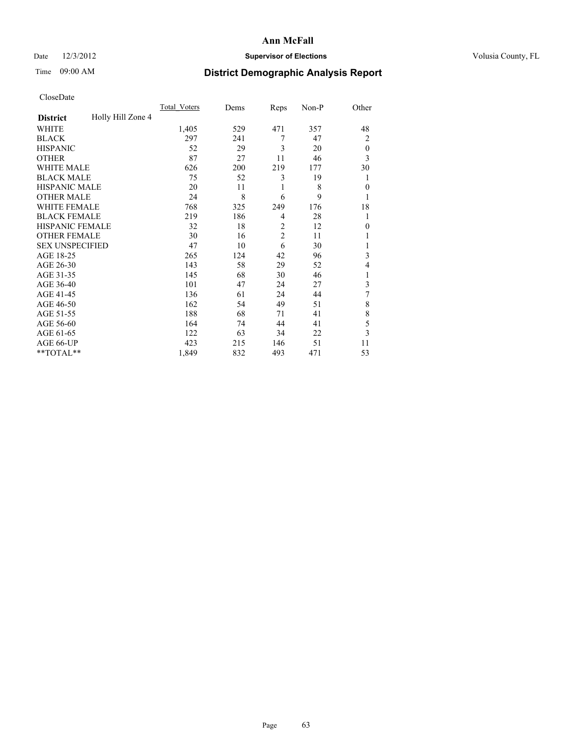## Date  $12/3/2012$  **Supervisor of Elections** Volusia County, FL

# Time 09:00 AM **District Demographic Analysis Report**

| Cioscivate             |                   |                     |      |                |       |                |
|------------------------|-------------------|---------------------|------|----------------|-------|----------------|
|                        |                   | <b>Total Voters</b> | Dems | Reps           | Non-P | Other          |
| <b>District</b>        | Holly Hill Zone 4 |                     |      |                |       |                |
| <b>WHITE</b>           |                   | 1,405               | 529  | 471            | 357   | 48             |
| <b>BLACK</b>           |                   | 297                 | 241  | 7              | 47    | $\overline{2}$ |
| <b>HISPANIC</b>        |                   | 52                  | 29   | 3              | 20    | $\theta$       |
| <b>OTHER</b>           |                   | 87                  | 27   | 11             | 46    | 3              |
| WHITE MALE             |                   | 626                 | 200  | 219            | 177   | 30             |
| <b>BLACK MALE</b>      |                   | 75                  | 52   | 3              | 19    |                |
| <b>HISPANIC MALE</b>   |                   | 20                  | 11   | 1              | 8     | $\Omega$       |
| <b>OTHER MALE</b>      |                   | 24                  | 8    | 6              | 9     | 1              |
| WHITE FEMALE           |                   | 768                 | 325  | 249            | 176   | 18             |
| <b>BLACK FEMALE</b>    |                   | 219                 | 186  | $\overline{4}$ | 28    | 1              |
| HISPANIC FEMALE        |                   | 32                  | 18   | $\overline{2}$ | 12    | $\Omega$       |
| <b>OTHER FEMALE</b>    |                   | 30                  | 16   | $\overline{2}$ | 11    |                |
| <b>SEX UNSPECIFIED</b> |                   | 47                  | 10   | 6              | 30    |                |
| AGE 18-25              |                   | 265                 | 124  | 42             | 96    | 3              |
| AGE 26-30              |                   | 143                 | 58   | 29             | 52    | $\overline{4}$ |
| AGE 31-35              |                   | 145                 | 68   | 30             | 46    |                |
| AGE 36-40              |                   | 101                 | 47   | 24             | 27    | 3              |
| AGE 41-45              |                   | 136                 | 61   | 24             | 44    | 7              |
| AGE 46-50              |                   | 162                 | 54   | 49             | 51    | 8              |
| AGE 51-55              |                   | 188                 | 68   | 71             | 41    | 8              |
| AGE 56-60              |                   | 164                 | 74   | 44             | 41    | 5              |
| AGE 61-65              |                   | 122                 | 63   | 34             | 22    | 3              |
| AGE 66-UP              |                   | 423                 | 215  | 146            | 51    | 11             |
| **TOTAL**              |                   | 1,849               | 832  | 493            | 471   | 53             |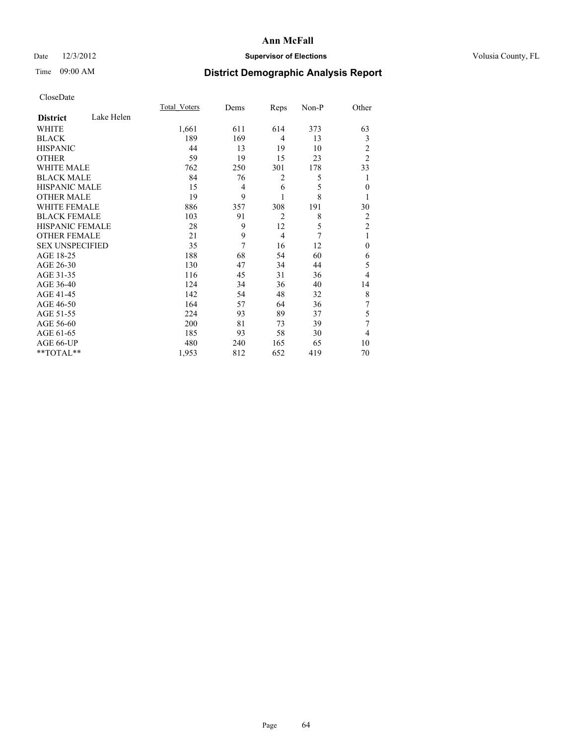## Date  $12/3/2012$  **Supervisor of Elections** Volusia County, FL

# Time 09:00 AM **District Demographic Analysis Report**

|                        |            | <b>Total Voters</b> | Dems | Reps           | Non-P | Other          |
|------------------------|------------|---------------------|------|----------------|-------|----------------|
| <b>District</b>        | Lake Helen |                     |      |                |       |                |
| WHITE                  |            | 1,661               | 611  | 614            | 373   | 63             |
| <b>BLACK</b>           |            | 189                 | 169  | $\overline{4}$ | 13    | 3              |
| <b>HISPANIC</b>        |            | 44                  | 13   | 19             | 10    | 2              |
| <b>OTHER</b>           |            | 59                  | 19   | 15             | 23    | $\overline{2}$ |
| WHITE MALE             |            | 762                 | 250  | 301            | 178   | 33             |
| <b>BLACK MALE</b>      |            | 84                  | 76   | 2              | 5     | 1              |
| <b>HISPANIC MALE</b>   |            | 15                  | 4    | 6              | 5     | $\mathbf{0}$   |
| <b>OTHER MALE</b>      |            | 19                  | 9    | 1              | 8     | 1              |
| WHITE FEMALE           |            | 886                 | 357  | 308            | 191   | 30             |
| <b>BLACK FEMALE</b>    |            | 103                 | 91   | $\overline{2}$ | 8     | $\overline{2}$ |
| <b>HISPANIC FEMALE</b> |            | 28                  | 9    | 12             | 5     | $\overline{2}$ |
| <b>OTHER FEMALE</b>    |            | 21                  | 9    | $\overline{4}$ | 7     | 1              |
| <b>SEX UNSPECIFIED</b> |            | 35                  | 7    | 16             | 12    | $\mathbf{0}$   |
| AGE 18-25              |            | 188                 | 68   | 54             | 60    | 6              |
| AGE 26-30              |            | 130                 | 47   | 34             | 44    | 5              |
| AGE 31-35              |            | 116                 | 45   | 31             | 36    | 4              |
| AGE 36-40              |            | 124                 | 34   | 36             | 40    | 14             |
| AGE 41-45              |            | 142                 | 54   | 48             | 32    | 8              |
| AGE 46-50              |            | 164                 | 57   | 64             | 36    | 7              |
| AGE 51-55              |            | 224                 | 93   | 89             | 37    | 5              |
| AGE 56-60              |            | 200                 | 81   | 73             | 39    | 7              |
| AGE 61-65              |            | 185                 | 93   | 58             | 30    | 4              |
| AGE 66-UP              |            | 480                 | 240  | 165            | 65    | 10             |
| **TOTAL**              |            | 1,953               | 812  | 652            | 419   | 70             |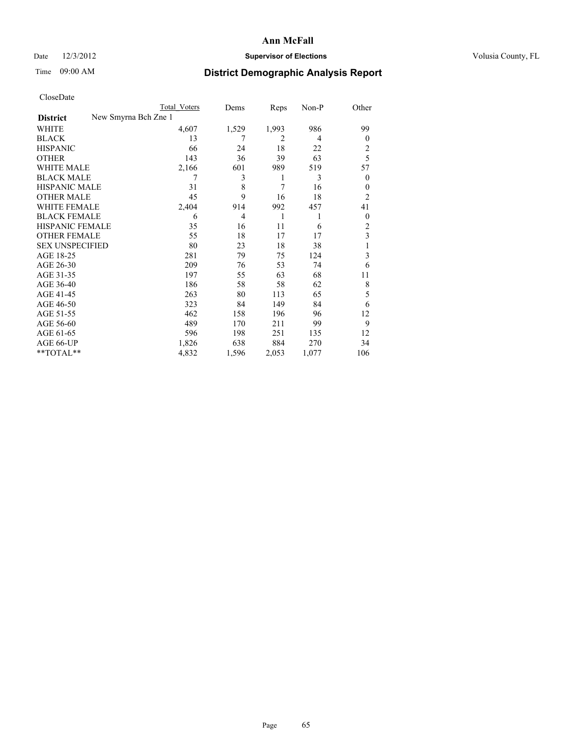## Date  $12/3/2012$  **Supervisor of Elections** Volusia County, FL

# Time 09:00 AM **District Demographic Analysis Report**

|                        |                      | <b>Total Voters</b> | Dems  | Reps           | Non-P          | Other          |
|------------------------|----------------------|---------------------|-------|----------------|----------------|----------------|
| <b>District</b>        | New Smyrna Bch Zne 1 |                     |       |                |                |                |
| WHITE                  |                      | 4,607               | 1,529 | 1,993          | 986            | 99             |
| <b>BLACK</b>           |                      | 13                  | 7     | $\overline{2}$ | $\overline{4}$ | $\overline{0}$ |
| <b>HISPANIC</b>        |                      | 66                  | 24    | 18             | 22             | 2              |
| <b>OTHER</b>           |                      | 143                 | 36    | 39             | 63             | 5              |
| WHITE MALE             |                      | 2,166               | 601   | 989            | 519            | 57             |
| <b>BLACK MALE</b>      |                      | 7                   | 3     | 1              | 3              | $\overline{0}$ |
| <b>HISPANIC MALE</b>   |                      | 31                  | 8     | 7              | 16             | $\theta$       |
| <b>OTHER MALE</b>      |                      | 45                  | 9     | 16             | 18             | 2              |
| <b>WHITE FEMALE</b>    |                      | 2,404               | 914   | 992            | 457            | 41             |
| <b>BLACK FEMALE</b>    |                      | 6                   | 4     | 1              | 1              | $\overline{0}$ |
| <b>HISPANIC FEMALE</b> |                      | 35                  | 16    | 11             | 6              | 2              |
| <b>OTHER FEMALE</b>    |                      | 55                  | 18    | 17             | 17             | 3              |
| <b>SEX UNSPECIFIED</b> |                      | 80                  | 23    | 18             | 38             |                |
| AGE 18-25              |                      | 281                 | 79    | 75             | 124            | 3              |
| AGE 26-30              |                      | 209                 | 76    | 53             | 74             | 6              |
| AGE 31-35              |                      | 197                 | 55    | 63             | 68             | 11             |
| AGE 36-40              |                      | 186                 | 58    | 58             | 62             | 8              |
| AGE 41-45              |                      | 263                 | 80    | 113            | 65             | 5              |
| AGE 46-50              |                      | 323                 | 84    | 149            | 84             | 6              |
| AGE 51-55              |                      | 462                 | 158   | 196            | 96             | 12             |
| AGE 56-60              |                      | 489                 | 170   | 211            | 99             | 9              |
| AGE 61-65              |                      | 596                 | 198   | 251            | 135            | 12             |
| AGE 66-UP              |                      | 1,826               | 638   | 884            | 270            | 34             |
| $*$ TOTAL $**$         |                      | 4,832               | 1,596 | 2,053          | 1,077          | 106            |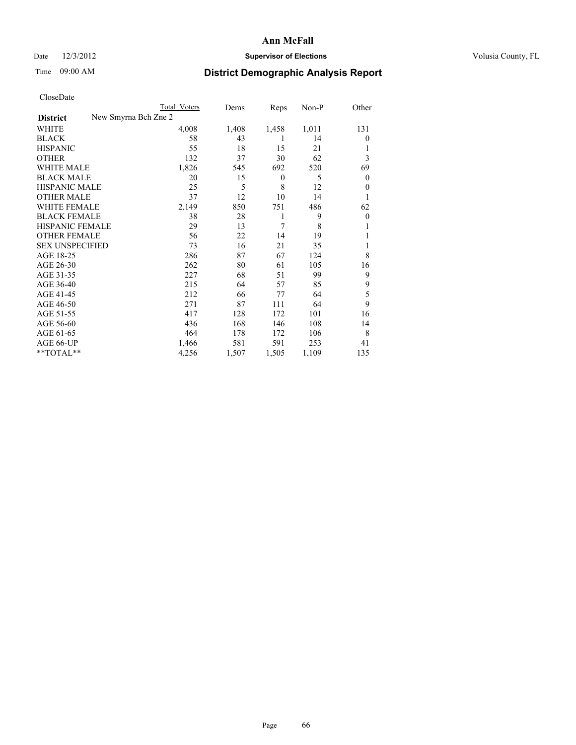## Date  $12/3/2012$  **Supervisor of Elections** Volusia County, FL

# Time 09:00 AM **District Demographic Analysis Report**

|                                         | Total Voters | Dems  | Reps             | Non-P | Other          |
|-----------------------------------------|--------------|-------|------------------|-------|----------------|
| New Smyrna Bch Zne 2<br><b>District</b> |              |       |                  |       |                |
| WHITE                                   | 4,008        | 1,408 | 1,458            | 1,011 | 131            |
| <b>BLACK</b>                            | 58           | 43    | 1                | 14    | $\theta$       |
| <b>HISPANIC</b>                         | 55           | 18    | 15               | 21    |                |
| <b>OTHER</b>                            | 132          | 37    | 30               | 62    | 3              |
| <b>WHITE MALE</b>                       | 1,826        | 545   | 692              | 520   | 69             |
| <b>BLACK MALE</b>                       | 20           | 15    | $\boldsymbol{0}$ | 5     | $\mathbf{0}$   |
| <b>HISPANIC MALE</b>                    | 25           | 5     | 8                | 12    | $\theta$       |
| <b>OTHER MALE</b>                       | 37           | 12    | 10               | 14    | 1              |
| <b>WHITE FEMALE</b>                     | 2,149        | 850   | 751              | 486   | 62             |
| <b>BLACK FEMALE</b>                     | 38           | 28    | 1                | 9     | $\overline{0}$ |
| HISPANIC FEMALE                         | 29           | 13    | 7                | 8     |                |
| <b>OTHER FEMALE</b>                     | 56           | 22    | 14               | 19    |                |
| <b>SEX UNSPECIFIED</b>                  | 73           | 16    | 21               | 35    |                |
| AGE 18-25                               | 286          | 87    | 67               | 124   | 8              |
| AGE 26-30                               | 262          | 80    | 61               | 105   | 16             |
| AGE 31-35                               | 227          | 68    | 51               | 99    | 9              |
| AGE 36-40                               | 215          | 64    | 57               | 85    | 9              |
| AGE 41-45                               | 212          | 66    | 77               | 64    | 5              |
| AGE 46-50                               | 271          | 87    | 111              | 64    | 9              |
| AGE 51-55                               | 417          | 128   | 172              | 101   | 16             |
| AGE 56-60                               | 436          | 168   | 146              | 108   | 14             |
| AGE 61-65                               | 464          | 178   | 172              | 106   | 8              |
| AGE 66-UP                               | 1,466        | 581   | 591              | 253   | 41             |
| **TOTAL**                               | 4,256        | 1,507 | 1,505            | 1,109 | 135            |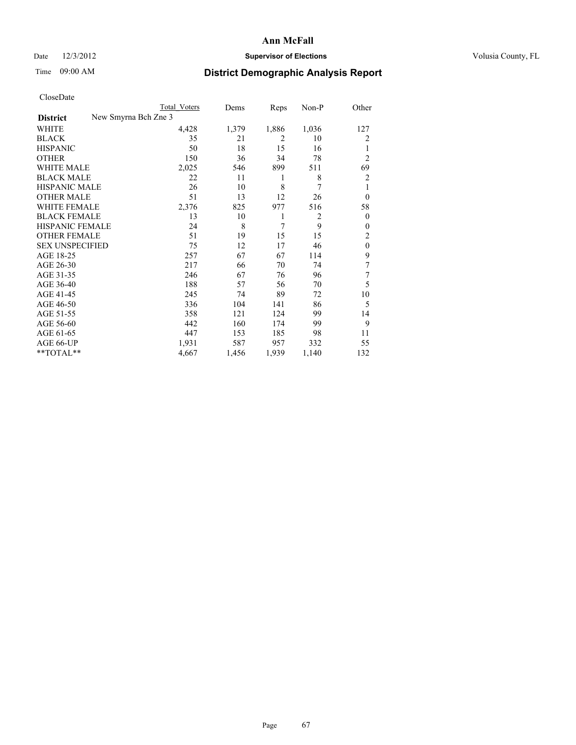## Date  $12/3/2012$  **Supervisor of Elections** Volusia County, FL

## Time 09:00 AM **District Demographic Analysis Report**

|                        | <b>Total Voters</b>  | Dems  | Reps           | Non-P          | Other          |
|------------------------|----------------------|-------|----------------|----------------|----------------|
| <b>District</b>        | New Smyrna Bch Zne 3 |       |                |                |                |
| WHITE                  | 4,428                | 1,379 | 1,886          | 1,036          | 127            |
| <b>BLACK</b>           | 35                   | 21    | $\overline{2}$ | 10             | 2              |
| <b>HISPANIC</b>        | 50                   | 18    | 15             | 16             | 1              |
| <b>OTHER</b>           | 150                  | 36    | 34             | 78             | $\overline{2}$ |
| WHITE MALE             | 2,025                | 546   | 899            | 511            | 69             |
| <b>BLACK MALE</b>      | 22                   | 11    | 1              | 8              | $\overline{2}$ |
| <b>HISPANIC MALE</b>   | 26                   | 10    | 8              | 7              | 1              |
| <b>OTHER MALE</b>      | 51                   | 13    | 12             | 26             | $\overline{0}$ |
| <b>WHITE FEMALE</b>    | 2,376                | 825   | 977            | 516            | 58             |
| <b>BLACK FEMALE</b>    | 13                   | 10    | 1              | $\overline{2}$ | $\overline{0}$ |
| <b>HISPANIC FEMALE</b> | 24                   | 8     | 7              | 9              | $\Omega$       |
| <b>OTHER FEMALE</b>    | 51                   | 19    | 15             | 15             | 2              |
| <b>SEX UNSPECIFIED</b> | 75                   | 12    | 17             | 46             | $\mathbf{0}$   |
| AGE 18-25              | 257                  | 67    | 67             | 114            | 9              |
| AGE 26-30              | 217                  | 66    | 70             | 74             | 7              |
| AGE 31-35              | 246                  | 67    | 76             | 96             | 7              |
| AGE 36-40              | 188                  | 57    | 56             | 70             | 5              |
| AGE 41-45              | 245                  | 74    | 89             | 72             | 10             |
| AGE 46-50              | 336                  | 104   | 141            | 86             | 5              |
| AGE 51-55              | 358                  | 121   | 124            | 99             | 14             |
| AGE 56-60              | 442                  | 160   | 174            | 99             | 9              |
| AGE 61-65              | 447                  | 153   | 185            | 98             | 11             |
| AGE 66-UP              | 1,931                | 587   | 957            | 332            | 55             |
| **TOTAL**              | 4,667                | 1,456 | 1,939          | 1,140          | 132            |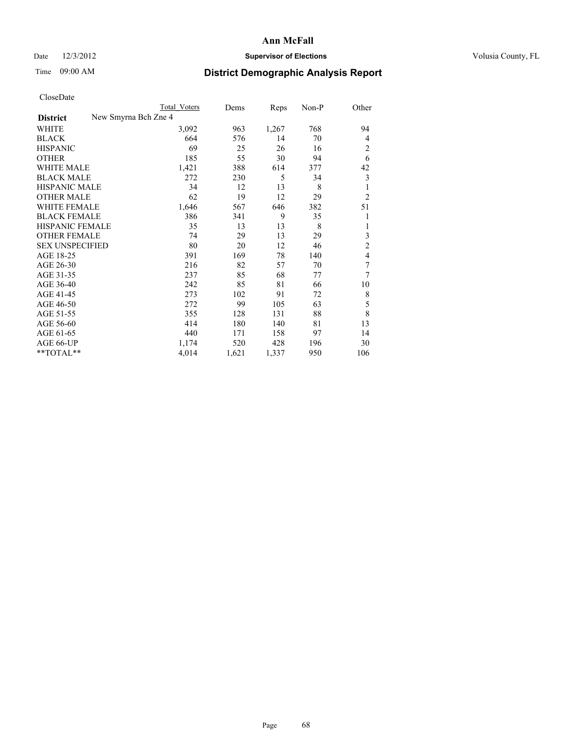## Date  $12/3/2012$  **Supervisor of Elections** Volusia County, FL

# Time 09:00 AM **District Demographic Analysis Report**

|                        |                      | <b>Total Voters</b> | Dems  | Reps  | $Non-P$ | Other          |
|------------------------|----------------------|---------------------|-------|-------|---------|----------------|
| <b>District</b>        | New Smyrna Bch Zne 4 |                     |       |       |         |                |
| WHITE                  |                      | 3,092               | 963   | 1,267 | 768     | 94             |
| <b>BLACK</b>           |                      | 664                 | 576   | 14    | 70      | 4              |
| <b>HISPANIC</b>        |                      | 69                  | 25    | 26    | 16      | $\overline{c}$ |
| <b>OTHER</b>           |                      | 185                 | 55    | 30    | 94      | 6              |
| <b>WHITE MALE</b>      |                      | 1,421               | 388   | 614   | 377     | 42             |
| <b>BLACK MALE</b>      |                      | 272                 | 230   | 5     | 34      | 3              |
| <b>HISPANIC MALE</b>   |                      | 34                  | 12    | 13    | 8       | 1              |
| <b>OTHER MALE</b>      |                      | 62                  | 19    | 12    | 29      | $\overline{2}$ |
| <b>WHITE FEMALE</b>    |                      | 1,646               | 567   | 646   | 382     | 51             |
| <b>BLACK FEMALE</b>    |                      | 386                 | 341   | 9     | 35      | 1              |
| <b>HISPANIC FEMALE</b> |                      | 35                  | 13    | 13    | 8       | 1              |
| <b>OTHER FEMALE</b>    |                      | 74                  | 29    | 13    | 29      | 3              |
| <b>SEX UNSPECIFIED</b> |                      | 80                  | 20    | 12    | 46      | $\overline{c}$ |
| AGE 18-25              |                      | 391                 | 169   | 78    | 140     | $\overline{4}$ |
| AGE 26-30              |                      | 216                 | 82    | 57    | 70      | 7              |
| AGE 31-35              |                      | 237                 | 85    | 68    | 77      | 7              |
| AGE 36-40              |                      | 242                 | 85    | 81    | 66      | 10             |
| AGE 41-45              |                      | 273                 | 102   | 91    | 72      | 8              |
| AGE 46-50              |                      | 272                 | 99    | 105   | 63      | 5              |
| AGE 51-55              |                      | 355                 | 128   | 131   | 88      | 8              |
| AGE 56-60              |                      | 414                 | 180   | 140   | 81      | 13             |
| AGE 61-65              |                      | 440                 | 171   | 158   | 97      | 14             |
| AGE 66-UP              |                      | 1,174               | 520   | 428   | 196     | 30             |
| **TOTAL**              |                      | 4,014               | 1,621 | 1,337 | 950     | 106            |
|                        |                      |                     |       |       |         |                |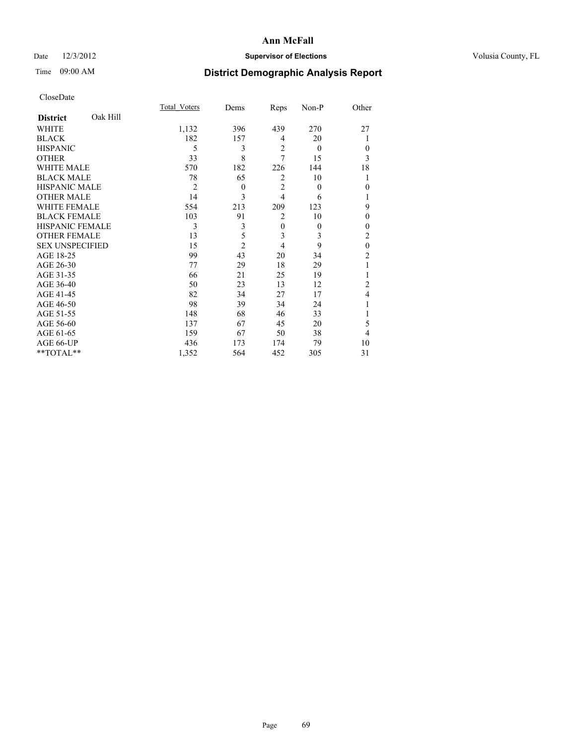## Date  $12/3/2012$  **Supervisor of Elections** Volusia County, FL

# Time 09:00 AM **District Demographic Analysis Report**

|                        |          | <b>Total Voters</b> | Dems           | Reps           | Non-P    | Other          |
|------------------------|----------|---------------------|----------------|----------------|----------|----------------|
| <b>District</b>        | Oak Hill |                     |                |                |          |                |
| WHITE                  |          | 1,132               | 396            | 439            | 270      | 27             |
| <b>BLACK</b>           |          | 182                 | 157            | $\overline{4}$ | 20       |                |
| <b>HISPANIC</b>        |          | 5                   | 3              | $\overline{2}$ | $\theta$ | $\Omega$       |
| <b>OTHER</b>           |          | 33                  | 8              | 7              | 15       | 3              |
| WHITE MALE             |          | 570                 | 182            | 226            | 144      | 18             |
| <b>BLACK MALE</b>      |          | 78                  | 65             | 2              | 10       | 1              |
| <b>HISPANIC MALE</b>   |          | $\overline{2}$      | $\theta$       | $\overline{2}$ | $\theta$ | $\theta$       |
| <b>OTHER MALE</b>      |          | 14                  | 3              | $\overline{4}$ | 6        |                |
| <b>WHITE FEMALE</b>    |          | 554                 | 213            | 209            | 123      | 9              |
| <b>BLACK FEMALE</b>    |          | 103                 | 91             | $\overline{2}$ | 10       | $\theta$       |
| HISPANIC FEMALE        |          | 3                   | 3              | $\mathbf{0}$   | $\theta$ | $\Omega$       |
| <b>OTHER FEMALE</b>    |          | 13                  | 5              | 3              | 3        | $\overline{c}$ |
| <b>SEX UNSPECIFIED</b> |          | 15                  | $\overline{c}$ | $\overline{4}$ | 9        | $\mathbf{0}$   |
| AGE 18-25              |          | 99                  | 43             | 20             | 34       | $\overline{c}$ |
| AGE 26-30              |          | 77                  | 29             | 18             | 29       | 1              |
| AGE 31-35              |          | 66                  | 21             | 25             | 19       |                |
| AGE 36-40              |          | 50                  | 23             | 13             | 12       | $\overline{c}$ |
| AGE 41-45              |          | 82                  | 34             | 27             | 17       | 4              |
| AGE 46-50              |          | 98                  | 39             | 34             | 24       | 1              |
| AGE 51-55              |          | 148                 | 68             | 46             | 33       |                |
| AGE 56-60              |          | 137                 | 67             | 45             | 20       | 5              |
| AGE 61-65              |          | 159                 | 67             | 50             | 38       | 4              |
| AGE 66-UP              |          | 436                 | 173            | 174            | 79       | 10             |
| **TOTAL**              |          | 1,352               | 564            | 452            | 305      | 31             |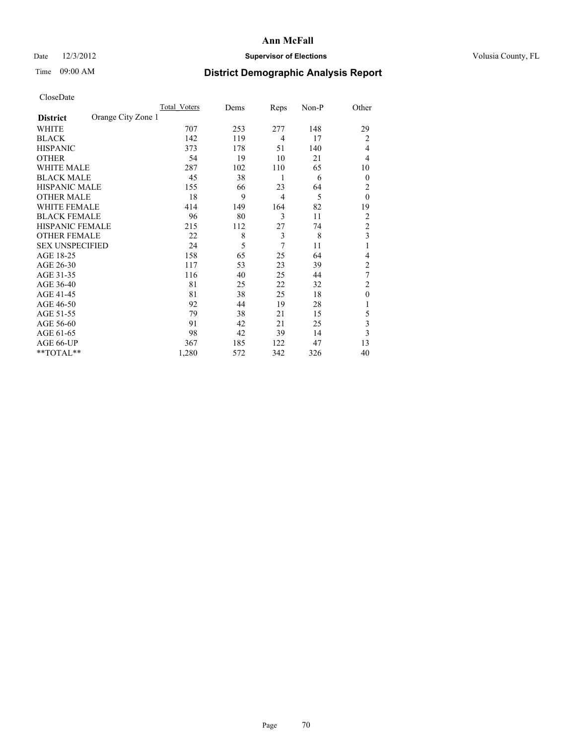## Date  $12/3/2012$  **Supervisor of Elections** Volusia County, FL

# Time 09:00 AM **District Demographic Analysis Report**

| <b>UIUSUDUI</b> U      |                    |              |      |                |       |                |
|------------------------|--------------------|--------------|------|----------------|-------|----------------|
|                        |                    | Total Voters | Dems | Reps           | Non-P | Other          |
| <b>District</b>        | Orange City Zone 1 |              |      |                |       |                |
| WHITE                  |                    | 707          | 253  | 277            | 148   | 29             |
| <b>BLACK</b>           |                    | 142          | 119  | $\overline{4}$ | 17    | $\overline{c}$ |
| <b>HISPANIC</b>        |                    | 373          | 178  | 51             | 140   | 4              |
| <b>OTHER</b>           |                    | 54           | 19   | 10             | 21    | 4              |
| WHITE MALE             |                    | 287          | 102  | 110            | 65    | 10             |
| <b>BLACK MALE</b>      |                    | 45           | 38   | 1              | 6     | $\theta$       |
| <b>HISPANIC MALE</b>   |                    | 155          | 66   | 23             | 64    | 2              |
| <b>OTHER MALE</b>      |                    | 18           | 9    | $\overline{4}$ | 5     | $\mathbf{0}$   |
| WHITE FEMALE           |                    | 414          | 149  | 164            | 82    | 19             |
| <b>BLACK FEMALE</b>    |                    | 96           | 80   | 3              | 11    | 2              |
| <b>HISPANIC FEMALE</b> |                    | 215          | 112  | 27             | 74    | $\overline{c}$ |
| <b>OTHER FEMALE</b>    |                    | 22           | 8    | 3              | 8     | 3              |
| <b>SEX UNSPECIFIED</b> |                    | 24           | 5    | $\overline{7}$ | 11    | 1              |
| AGE 18-25              |                    | 158          | 65   | 25             | 64    | 4              |
| AGE 26-30              |                    | 117          | 53   | 23             | 39    | $\overline{c}$ |
| AGE 31-35              |                    | 116          | 40   | 25             | 44    | 7              |
| AGE 36-40              |                    | 81           | 25   | 22             | 32    | $\overline{2}$ |
| AGE 41-45              |                    | 81           | 38   | 25             | 18    | $\mathbf{0}$   |
| AGE 46-50              |                    | 92           | 44   | 19             | 28    | 1              |
| AGE 51-55              |                    | 79           | 38   | 21             | 15    | 5              |
| AGE 56-60              |                    | 91           | 42   | 21             | 25    | 3              |
| AGE 61-65              |                    | 98           | 42   | 39             | 14    | 3              |
| AGE 66-UP              |                    | 367          | 185  | 122            | 47    | 13             |
| **TOTAL**              |                    | 1,280        | 572  | 342            | 326   | 40             |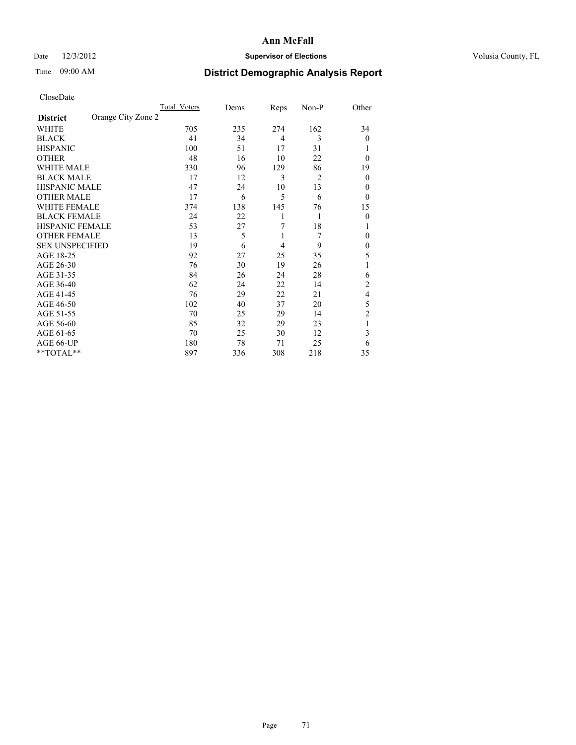## Date  $12/3/2012$  **Supervisor of Elections** Volusia County, FL

# Time 09:00 AM **District Demographic Analysis Report**

|                        |                    | Total Voters | Dems | Reps           | Non-P | Other          |
|------------------------|--------------------|--------------|------|----------------|-------|----------------|
| <b>District</b>        | Orange City Zone 2 |              |      |                |       |                |
| WHITE                  |                    | 705          | 235  | 274            | 162   | 34             |
| <b>BLACK</b>           |                    | 41           | 34   | $\overline{4}$ | 3     | $\theta$       |
| <b>HISPANIC</b>        |                    | 100          | 51   | 17             | 31    |                |
| <b>OTHER</b>           |                    | 48           | 16   | 10             | 22    | $\theta$       |
| WHITE MALE             |                    | 330          | 96   | 129            | 86    | 19             |
| <b>BLACK MALE</b>      |                    | 17           | 12   | 3              | 2     | $\theta$       |
| <b>HISPANIC MALE</b>   |                    | 47           | 24   | 10             | 13    | 0              |
| <b>OTHER MALE</b>      |                    | 17           | 6    | 5              | 6     | $\theta$       |
| WHITE FEMALE           |                    | 374          | 138  | 145            | 76    | 15             |
| <b>BLACK FEMALE</b>    |                    | 24           | 22   | 1              | 1     | $\theta$       |
| <b>HISPANIC FEMALE</b> |                    | 53           | 27   | 7              | 18    | 1              |
| <b>OTHER FEMALE</b>    |                    | 13           | 5    | 1              | 7     | $\theta$       |
| <b>SEX UNSPECIFIED</b> |                    | 19           | 6    | 4              | 9     | $\mathbf{0}$   |
| AGE 18-25              |                    | 92           | 27   | 25             | 35    | 5              |
| AGE 26-30              |                    | 76           | 30   | 19             | 26    | 1              |
| AGE 31-35              |                    | 84           | 26   | 24             | 28    | 6              |
| AGE 36-40              |                    | 62           | 24   | 22             | 14    | $\overline{c}$ |
| AGE 41-45              |                    | 76           | 29   | 22             | 21    | 4              |
| AGE 46-50              |                    | 102          | 40   | 37             | 20    | 5              |
| AGE 51-55              |                    | 70           | 25   | 29             | 14    | 2              |
| AGE 56-60              |                    | 85           | 32   | 29             | 23    |                |
| AGE 61-65              |                    | 70           | 25   | 30             | 12    | 3              |
| AGE 66-UP              |                    | 180          | 78   | 71             | 25    | 6              |
| **TOTAL**              |                    | 897          | 336  | 308            | 218   | 35             |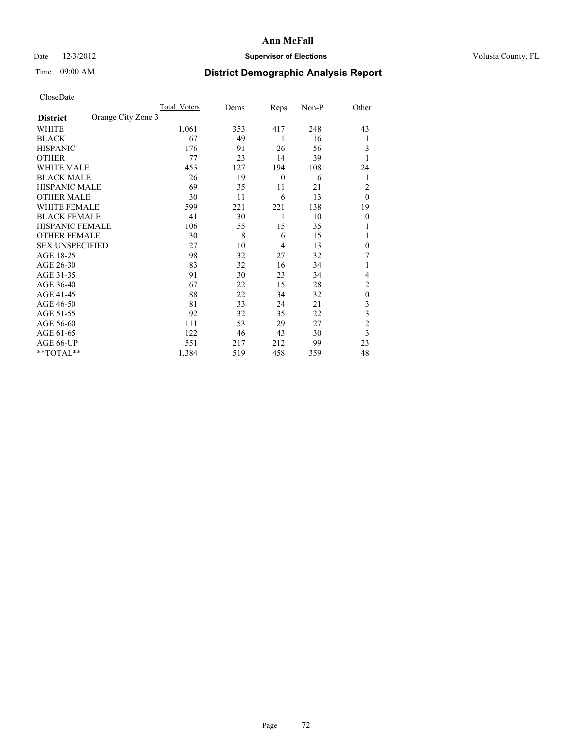## Date  $12/3/2012$  **Supervisor of Elections** Volusia County, FL

# Time 09:00 AM **District Demographic Analysis Report**

|                        |                    | <b>Total Voters</b> | Dems | Reps             | Non-P | Other            |
|------------------------|--------------------|---------------------|------|------------------|-------|------------------|
| <b>District</b>        | Orange City Zone 3 |                     |      |                  |       |                  |
| WHITE                  |                    | 1,061               | 353  | 417              | 248   | 43               |
| <b>BLACK</b>           |                    | 67                  | 49   | 1                | 16    | 1                |
| <b>HISPANIC</b>        |                    | 176                 | 91   | 26               | 56    | 3                |
| <b>OTHER</b>           |                    | 77                  | 23   | 14               | 39    | 1                |
| WHITE MALE             |                    | 453                 | 127  | 194              | 108   | 24               |
| <b>BLACK MALE</b>      |                    | 26                  | 19   | $\boldsymbol{0}$ | 6     | 1                |
| <b>HISPANIC MALE</b>   |                    | 69                  | 35   | 11               | 21    | 2                |
| <b>OTHER MALE</b>      |                    | 30                  | 11   | 6                | 13    | $\mathbf{0}$     |
| WHITE FEMALE           |                    | 599                 | 221  | 221              | 138   | 19               |
| <b>BLACK FEMALE</b>    |                    | 41                  | 30   | 1                | 10    | $\mathbf{0}$     |
| <b>HISPANIC FEMALE</b> |                    | 106                 | 55   | 15               | 35    |                  |
| <b>OTHER FEMALE</b>    |                    | 30                  | 8    | 6                | 15    |                  |
| <b>SEX UNSPECIFIED</b> |                    | 27                  | 10   | 4                | 13    | $\mathbf{0}$     |
| AGE 18-25              |                    | 98                  | 32   | 27               | 32    | 7                |
| AGE 26-30              |                    | 83                  | 32   | 16               | 34    | 1                |
| AGE 31-35              |                    | 91                  | 30   | 23               | 34    | 4                |
| AGE 36-40              |                    | 67                  | 22   | 15               | 28    | $\overline{c}$   |
| AGE 41-45              |                    | 88                  | 22   | 34               | 32    | $\boldsymbol{0}$ |
| AGE 46-50              |                    | 81                  | 33   | 24               | 21    | 3                |
| AGE 51-55              |                    | 92                  | 32   | 35               | 22    | 3                |
| AGE 56-60              |                    | 111                 | 53   | 29               | 27    | $\overline{c}$   |
| AGE 61-65              |                    | 122                 | 46   | 43               | 30    | 3                |
| AGE 66-UP              |                    | 551                 | 217  | 212              | 99    | 23               |
| **TOTAL**              |                    | 1,384               | 519  | 458              | 359   | 48               |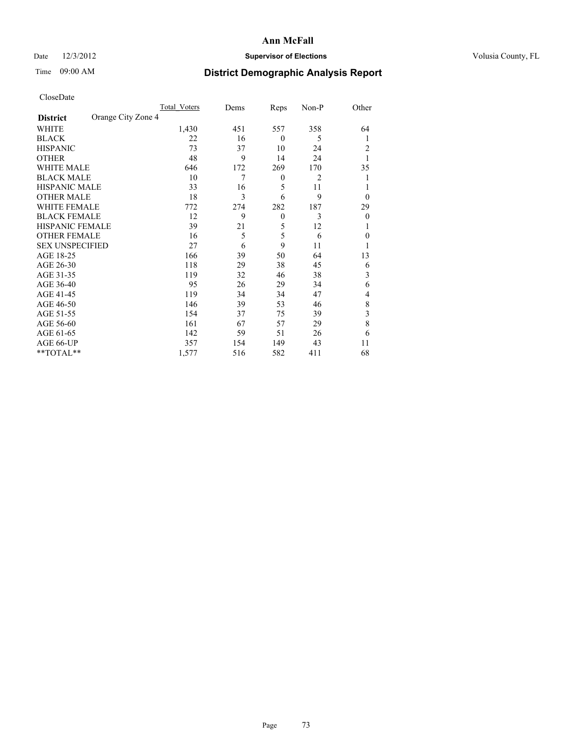## Date  $12/3/2012$  **Supervisor of Elections** Volusia County, FL

# Time 09:00 AM **District Demographic Analysis Report**

|                        |                    | <b>Total Voters</b> | Dems | Reps             | Non-P          | Other        |
|------------------------|--------------------|---------------------|------|------------------|----------------|--------------|
| <b>District</b>        | Orange City Zone 4 |                     |      |                  |                |              |
| WHITE                  |                    | 1,430               | 451  | 557              | 358            | 64           |
| <b>BLACK</b>           |                    | 22                  | 16   | $\theta$         | 5              | 1            |
| <b>HISPANIC</b>        |                    | 73                  | 37   | 10               | 24             | 2            |
| <b>OTHER</b>           |                    | 48                  | 9    | 14               | 24             |              |
| <b>WHITE MALE</b>      |                    | 646                 | 172  | 269              | 170            | 35           |
| <b>BLACK MALE</b>      |                    | 10                  | 7    | $\boldsymbol{0}$ | $\overline{c}$ | 1            |
| <b>HISPANIC MALE</b>   |                    | 33                  | 16   | 5                | 11             |              |
| <b>OTHER MALE</b>      |                    | 18                  | 3    | 6                | 9              | $\theta$     |
| WHITE FEMALE           |                    | 772                 | 274  | 282              | 187            | 29           |
| <b>BLACK FEMALE</b>    |                    | 12                  | 9    | $\mathbf{0}$     | 3              | $\mathbf{0}$ |
| HISPANIC FEMALE        |                    | 39                  | 21   | 5                | 12             | 1            |
| <b>OTHER FEMALE</b>    |                    | 16                  | 5    | 5                | 6              | $\theta$     |
| <b>SEX UNSPECIFIED</b> |                    | 27                  | 6    | 9                | 11             |              |
| AGE 18-25              |                    | 166                 | 39   | 50               | 64             | 13           |
| AGE 26-30              |                    | 118                 | 29   | 38               | 45             | 6            |
| AGE 31-35              |                    | 119                 | 32   | 46               | 38             | 3            |
| AGE 36-40              |                    | 95                  | 26   | 29               | 34             | 6            |
| AGE 41-45              |                    | 119                 | 34   | 34               | 47             | 4            |
| AGE 46-50              |                    | 146                 | 39   | 53               | 46             | 8            |
| AGE 51-55              |                    | 154                 | 37   | 75               | 39             | 3            |
| AGE 56-60              |                    | 161                 | 67   | 57               | 29             | 8            |
| AGE 61-65              |                    | 142                 | 59   | 51               | 26             | 6            |
| AGE 66-UP              |                    | 357                 | 154  | 149              | 43             | 11           |
| **TOTAL**              |                    | 1,577               | 516  | 582              | 411            | 68           |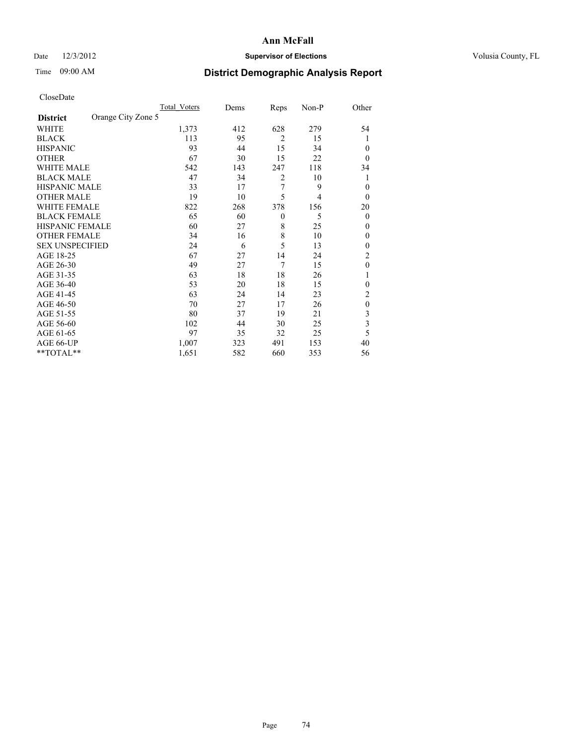## Date  $12/3/2012$  **Supervisor of Elections** Volusia County, FL

# Time 09:00 AM **District Demographic Analysis Report**

| <b>UIUSUDUI</b> U      |                    |                     |      |                |       |                |
|------------------------|--------------------|---------------------|------|----------------|-------|----------------|
|                        |                    | <b>Total Voters</b> | Dems | Reps           | Non-P | Other          |
| <b>District</b>        | Orange City Zone 5 |                     |      |                |       |                |
| WHITE                  |                    | 1,373               | 412  | 628            | 279   | 54             |
| <b>BLACK</b>           |                    | 113                 | 95   | $\overline{2}$ | 15    | 1              |
| <b>HISPANIC</b>        |                    | 93                  | 44   | 15             | 34    | $\theta$       |
| <b>OTHER</b>           |                    | 67                  | 30   | 15             | 22    | $\theta$       |
| WHITE MALE             |                    | 542                 | 143  | 247            | 118   | 34             |
| <b>BLACK MALE</b>      |                    | 47                  | 34   | $\overline{2}$ | 10    |                |
| <b>HISPANIC MALE</b>   |                    | 33                  | 17   | 7              | 9     | $\theta$       |
| <b>OTHER MALE</b>      |                    | 19                  | 10   | 5              | 4     | $\theta$       |
| WHITE FEMALE           |                    | 822                 | 268  | 378            | 156   | 20             |
| <b>BLACK FEMALE</b>    |                    | 65                  | 60   | $\theta$       | 5     | $\theta$       |
| HISPANIC FEMALE        |                    | 60                  | 27   | 8              | 25    | $\theta$       |
| <b>OTHER FEMALE</b>    |                    | 34                  | 16   | 8              | 10    | $\mathbf{0}$   |
| <b>SEX UNSPECIFIED</b> |                    | 24                  | 6    | 5              | 13    | $\mathbf{0}$   |
| AGE 18-25              |                    | 67                  | 27   | 14             | 24    | $\overline{c}$ |
| AGE 26-30              |                    | 49                  | 27   | 7              | 15    | $\mathbf{0}$   |
| AGE 31-35              |                    | 63                  | 18   | 18             | 26    |                |
| AGE 36-40              |                    | 53                  | 20   | 18             | 15    | $\mathbf{0}$   |
| AGE 41-45              |                    | 63                  | 24   | 14             | 23    | 2              |
| AGE 46-50              |                    | 70                  | 27   | 17             | 26    | $\mathbf{0}$   |
| AGE 51-55              |                    | 80                  | 37   | 19             | 21    | 3              |
| AGE 56-60              |                    | 102                 | 44   | 30             | 25    | 3              |
| AGE 61-65              |                    | 97                  | 35   | 32             | 25    | 5              |
| AGE 66-UP              |                    | 1,007               | 323  | 491            | 153   | 40             |
| $*$ TOTAL $*$          |                    | 1,651               | 582  | 660            | 353   | 56             |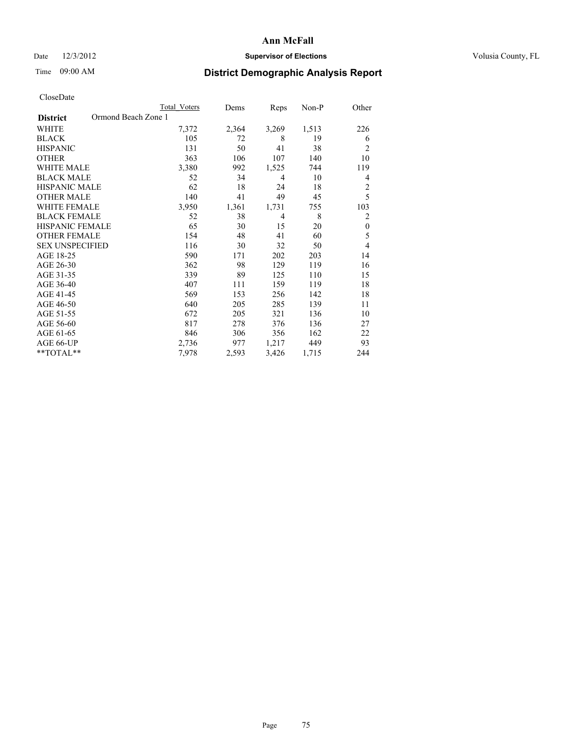## Date  $12/3/2012$  **Supervisor of Elections** Volusia County, FL

## Time 09:00 AM **District Demographic Analysis Report**

|                        | <b>Total Voters</b> | Dems  | Reps  | $Non-P$ | Other          |
|------------------------|---------------------|-------|-------|---------|----------------|
| <b>District</b>        | Ormond Beach Zone 1 |       |       |         |                |
| WHITE                  | 7,372               | 2,364 | 3,269 | 1,513   | 226            |
| <b>BLACK</b>           | 105                 | 72    | 8     | 19      | 6              |
| <b>HISPANIC</b>        | 131                 | 50    | 41    | 38      | $\overline{c}$ |
| <b>OTHER</b>           | 363                 | 106   | 107   | 140     | 10             |
| WHITE MALE             | 3,380               | 992   | 1,525 | 744     | 119            |
| <b>BLACK MALE</b>      | 52                  | 34    | 4     | 10      | 4              |
| <b>HISPANIC MALE</b>   | 62                  | 18    | 24    | 18      | $\overline{2}$ |
| <b>OTHER MALE</b>      | 140                 | 41    | 49    | 45      | 5              |
| <b>WHITE FEMALE</b>    | 3,950               | 1,361 | 1,731 | 755     | 103            |
| <b>BLACK FEMALE</b>    | 52                  | 38    | 4     | 8       | $\overline{2}$ |
| HISPANIC FEMALE        | 65                  | 30    | 15    | 20      | $\mathbf{0}$   |
| <b>OTHER FEMALE</b>    | 154                 | 48    | 41    | 60      | 5              |
| <b>SEX UNSPECIFIED</b> | 116                 | 30    | 32    | 50      | $\overline{4}$ |
| AGE 18-25              | 590                 | 171   | 202   | 203     | 14             |
| AGE 26-30              | 362                 | 98    | 129   | 119     | 16             |
| AGE 31-35              | 339                 | 89    | 125   | 110     | 15             |
| AGE 36-40              | 407                 | 111   | 159   | 119     | 18             |
| AGE 41-45              | 569                 | 153   | 256   | 142     | 18             |
| AGE 46-50              | 640                 | 205   | 285   | 139     | 11             |
| AGE 51-55              | 672                 | 205   | 321   | 136     | 10             |
| AGE 56-60              | 817                 | 278   | 376   | 136     | 27             |
| AGE 61-65              | 846                 | 306   | 356   | 162     | 22             |
| AGE 66-UP              | 2,736               | 977   | 1,217 | 449     | 93             |
| **TOTAL**              | 7,978               | 2,593 | 3,426 | 1,715   | 244            |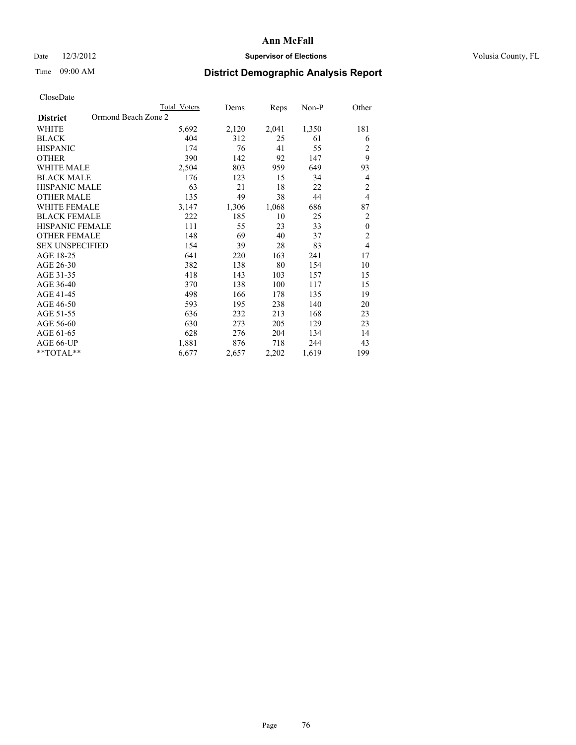## Date  $12/3/2012$  **Supervisor of Elections** Volusia County, FL

## Time 09:00 AM **District Demographic Analysis Report**

|                        | <b>Total Voters</b> | Dems  | Reps  | Non-P | Other          |
|------------------------|---------------------|-------|-------|-------|----------------|
| <b>District</b>        | Ormond Beach Zone 2 |       |       |       |                |
| WHITE                  | 5,692               | 2,120 | 2,041 | 1,350 | 181            |
| <b>BLACK</b>           | 404                 | 312   | 25    | 61    | 6              |
| <b>HISPANIC</b>        | 174                 | 76    | 41    | 55    | 2              |
| <b>OTHER</b>           | 390                 | 142   | 92    | 147   | 9              |
| WHITE MALE             | 2,504               | 803   | 959   | 649   | 93             |
| <b>BLACK MALE</b>      | 176                 | 123   | 15    | 34    | 4              |
| <b>HISPANIC MALE</b>   | 63                  | 21    | 18    | 22    | $\overline{2}$ |
| <b>OTHER MALE</b>      | 135                 | 49    | 38    | 44    | $\overline{4}$ |
| <b>WHITE FEMALE</b>    | 3,147               | 1,306 | 1,068 | 686   | 87             |
| <b>BLACK FEMALE</b>    | 222                 | 185   | 10    | 25    | $\overline{2}$ |
| <b>HISPANIC FEMALE</b> | 111                 | 55    | 23    | 33    | $\mathbf{0}$   |
| <b>OTHER FEMALE</b>    | 148                 | 69    | 40    | 37    | $\overline{c}$ |
| <b>SEX UNSPECIFIED</b> | 154                 | 39    | 28    | 83    | $\overline{4}$ |
| AGE 18-25              | 641                 | 220   | 163   | 241   | 17             |
| AGE 26-30              | 382                 | 138   | 80    | 154   | 10             |
| AGE 31-35              | 418                 | 143   | 103   | 157   | 15             |
| AGE 36-40              | 370                 | 138   | 100   | 117   | 15             |
| AGE 41-45              | 498                 | 166   | 178   | 135   | 19             |
| AGE 46-50              | 593                 | 195   | 238   | 140   | 20             |
| AGE 51-55              | 636                 | 232   | 213   | 168   | 23             |
| AGE 56-60              | 630                 | 273   | 205   | 129   | 23             |
| AGE 61-65              | 628                 | 276   | 204   | 134   | 14             |
| AGE 66-UP              | 1,881               | 876   | 718   | 244   | 43             |
| **TOTAL**              | 6,677               | 2,657 | 2,202 | 1,619 | 199            |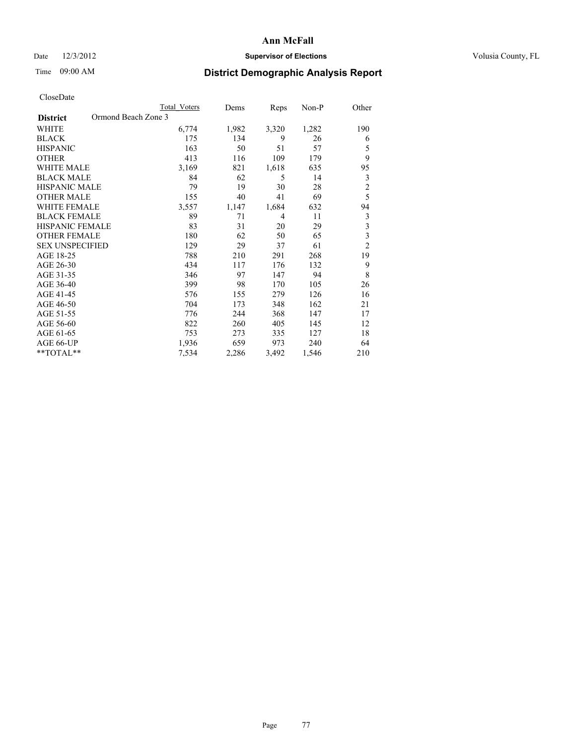## Date  $12/3/2012$  **Supervisor of Elections** Volusia County, FL

## Time 09:00 AM **District Demographic Analysis Report**

|                        | Total Voters        | Dems  | Reps  | Non-P | Other          |
|------------------------|---------------------|-------|-------|-------|----------------|
| <b>District</b>        | Ormond Beach Zone 3 |       |       |       |                |
| WHITE                  | 6,774               | 1,982 | 3,320 | 1,282 | 190            |
| <b>BLACK</b>           | 175                 | 134   | 9     | 26    | 6              |
| <b>HISPANIC</b>        | 163                 | 50    | 51    | 57    | 5              |
| <b>OTHER</b>           | 413                 | 116   | 109   | 179   | 9              |
| WHITE MALE             | 3,169               | 821   | 1,618 | 635   | 95             |
| <b>BLACK MALE</b>      | 84                  | 62    | 5     | 14    | 3              |
| <b>HISPANIC MALE</b>   | 79                  | 19    | 30    | 28    | $\overline{c}$ |
| <b>OTHER MALE</b>      | 155                 | 40    | 41    | 69    | 5              |
| <b>WHITE FEMALE</b>    | 3,557               | 1,147 | 1,684 | 632   | 94             |
| <b>BLACK FEMALE</b>    | 89                  | 71    | 4     | 11    | 3              |
| <b>HISPANIC FEMALE</b> | 83                  | 31    | 20    | 29    | 3              |
| <b>OTHER FEMALE</b>    | 180                 | 62    | 50    | 65    | 3              |
| <b>SEX UNSPECIFIED</b> | 129                 | 29    | 37    | 61    | $\overline{c}$ |
| AGE 18-25              | 788                 | 210   | 291   | 268   | 19             |
| AGE 26-30              | 434                 | 117   | 176   | 132   | 9              |
| AGE 31-35              | 346                 | 97    | 147   | 94    | 8              |
| AGE 36-40              | 399                 | 98    | 170   | 105   | 26             |
| AGE 41-45              | 576                 | 155   | 279   | 126   | 16             |
| AGE 46-50              | 704                 | 173   | 348   | 162   | 21             |
| AGE 51-55              | 776                 | 244   | 368   | 147   | 17             |
| AGE 56-60              | 822                 | 260   | 405   | 145   | 12             |
| AGE 61-65              | 753                 | 273   | 335   | 127   | 18             |
| AGE 66-UP              | 1,936               | 659   | 973   | 240   | 64             |
| **TOTAL**              | 7,534               | 2,286 | 3,492 | 1,546 | 210            |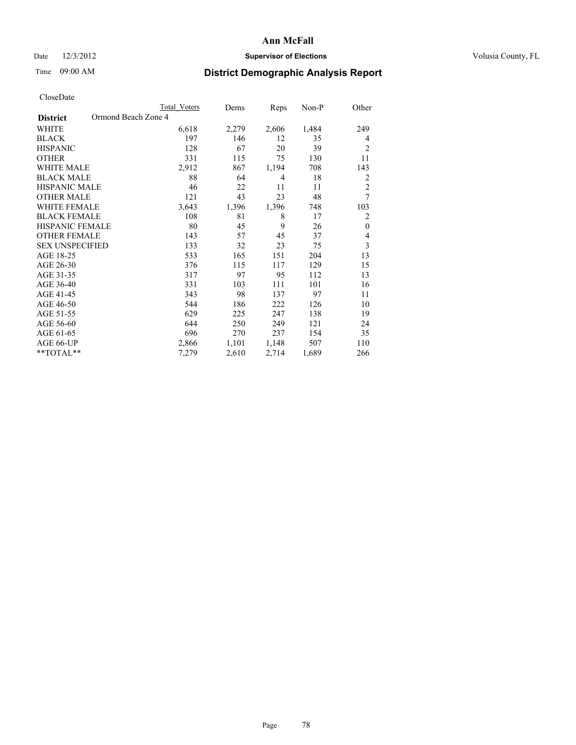## Date  $12/3/2012$  **Supervisor of Elections** Volusia County, FL

# Time 09:00 AM **District Demographic Analysis Report**

| <b>Total Voters</b> | Dems                | Reps  | Non-P | Other          |
|---------------------|---------------------|-------|-------|----------------|
|                     |                     |       |       |                |
| 6,618               | 2,279               | 2,606 | 1,484 | 249            |
| 197                 | 146                 | 12    | 35    | $\overline{4}$ |
| 128                 | 67                  | 20    | 39    | $\overline{2}$ |
| 331                 | 115                 | 75    | 130   | 11             |
| 2,912               | 867                 | 1,194 | 708   | 143            |
| 88                  | 64                  | 4     | 18    | $\overline{2}$ |
| 46                  | 22                  | 11    | 11    | $\overline{2}$ |
| 121                 | 43                  | 23    | 48    | $\overline{7}$ |
| 3,643               | 1,396               | 1,396 | 748   | 103            |
| 108                 | 81                  | 8     | 17    | $\overline{2}$ |
| 80                  | 45                  | 9     | 26    | $\mathbf{0}$   |
| 143                 | 57                  | 45    | 37    | $\overline{4}$ |
| 133                 | 32                  | 23    | 75    | $\mathfrak{Z}$ |
| 533                 | 165                 | 151   | 204   | 13             |
| 376                 | 115                 | 117   | 129   | 15             |
| 317                 | 97                  | 95    | 112   | 13             |
| 331                 | 103                 | 111   | 101   | 16             |
| 343                 | 98                  | 137   | 97    | 11             |
| 544                 | 186                 | 222   | 126   | 10             |
| 629                 | 225                 | 247   | 138   | 19             |
| 644                 | 250                 | 249   | 121   | 24             |
| 696                 | 270                 | 237   | 154   | 35             |
| 2,866               | 1,101               | 1,148 | 507   | 110            |
| 7,279               | 2,610               | 2,714 | 1,689 | 266            |
|                     | Ormond Beach Zone 4 |       |       |                |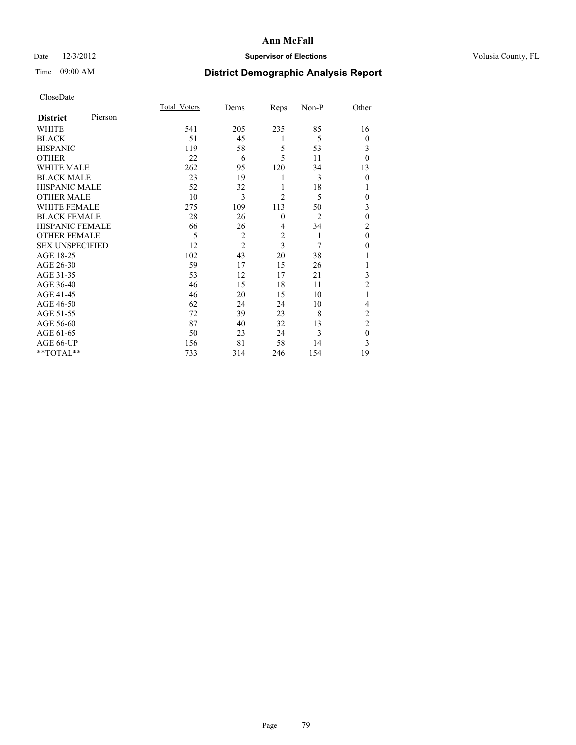## Date  $12/3/2012$  **Supervisor of Elections** Volusia County, FL

# Time 09:00 AM **District Demographic Analysis Report**

|                        |         | <b>Total Voters</b> | Dems           | Reps           | Non-P          | Other          |
|------------------------|---------|---------------------|----------------|----------------|----------------|----------------|
| <b>District</b>        | Pierson |                     |                |                |                |                |
| <b>WHITE</b>           |         | 541                 | 205            | 235            | 85             | 16             |
| <b>BLACK</b>           |         | 51                  | 45             | 1              | 5              | $\overline{0}$ |
| <b>HISPANIC</b>        |         | 119                 | 58             | 5              | 53             | 3              |
| <b>OTHER</b>           |         | 22                  | 6              | 5              | 11             | $\theta$       |
| WHITE MALE             |         | 262                 | 95             | 120            | 34             | 13             |
| <b>BLACK MALE</b>      |         | 23                  | 19             | 1              | 3              | $\mathbf{0}$   |
| <b>HISPANIC MALE</b>   |         | 52                  | 32             | 1              | 18             | 1              |
| <b>OTHER MALE</b>      |         | 10                  | 3              | $\overline{2}$ | 5              | 0              |
| WHITE FEMALE           |         | 275                 | 109            | 113            | 50             | 3              |
| <b>BLACK FEMALE</b>    |         | 28                  | 26             | $\mathbf{0}$   | $\overline{2}$ | $\mathbf{0}$   |
| <b>HISPANIC FEMALE</b> |         | 66                  | 26             | $\overline{4}$ | 34             | $\overline{c}$ |
| <b>OTHER FEMALE</b>    |         | 5                   | $\overline{c}$ | $\overline{c}$ | 1              | $\theta$       |
| <b>SEX UNSPECIFIED</b> |         | 12                  | $\overline{2}$ | 3              | 7              | $\theta$       |
| AGE 18-25              |         | 102                 | 43             | 20             | 38             |                |
| AGE 26-30              |         | 59                  | 17             | 15             | 26             | 1              |
| AGE 31-35              |         | 53                  | 12             | 17             | 21             | 3              |
| AGE 36-40              |         | 46                  | 15             | 18             | 11             | $\overline{2}$ |
| AGE 41-45              |         | 46                  | 20             | 15             | 10             |                |
| AGE 46-50              |         | 62                  | 24             | 24             | 10             | 4              |
| AGE 51-55              |         | 72                  | 39             | 23             | 8              | $\overline{c}$ |
| AGE 56-60              |         | 87                  | 40             | 32             | 13             | $\overline{c}$ |
| AGE 61-65              |         | 50                  | 23             | 24             | 3              | $\mathbf{0}$   |
| AGE 66-UP              |         | 156                 | 81             | 58             | 14             | 3              |
| **TOTAL**              |         | 733                 | 314            | 246            | 154            | 19             |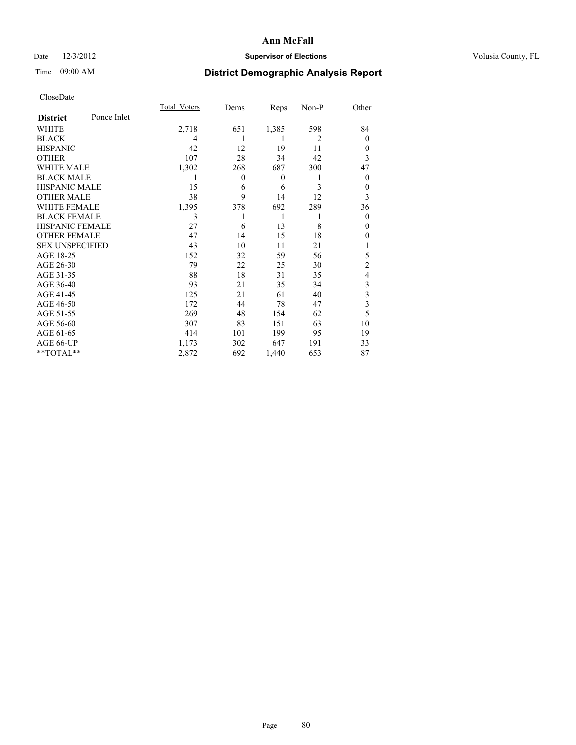## Date  $12/3/2012$  **Supervisor of Elections** Volusia County, FL

# Time 09:00 AM **District Demographic Analysis Report**

|                        |             | <b>Total Voters</b> | Dems             | Reps         | Non-P          | Other          |
|------------------------|-------------|---------------------|------------------|--------------|----------------|----------------|
| <b>District</b>        | Ponce Inlet |                     |                  |              |                |                |
| WHITE                  |             | 2,718               | 651              | 1,385        | 598            | 84             |
| <b>BLACK</b>           |             | 4                   |                  | 1            | $\overline{c}$ | $\Omega$       |
| <b>HISPANIC</b>        |             | 42                  | 12               | 19           | 11             | $\Omega$       |
| <b>OTHER</b>           |             | 107                 | 28               | 34           | 42             | 3              |
| WHITE MALE             |             | 1,302               | 268              | 687          | 300            | 47             |
| <b>BLACK MALE</b>      |             | 1                   | $\boldsymbol{0}$ | $\mathbf{0}$ | 1              | $\overline{0}$ |
| <b>HISPANIC MALE</b>   |             | 15                  | 6                | 6            | 3              | $\overline{0}$ |
| <b>OTHER MALE</b>      |             | 38                  | 9                | 14           | 12             | 3              |
| WHITE FEMALE           |             | 1,395               | 378              | 692          | 289            | 36             |
| <b>BLACK FEMALE</b>    |             | 3                   |                  | 1            | 1              | $\overline{0}$ |
| <b>HISPANIC FEMALE</b> |             | 27                  | 6                | 13           | 8              | $\Omega$       |
| <b>OTHER FEMALE</b>    |             | 47                  | 14               | 15           | 18             | $\theta$       |
| <b>SEX UNSPECIFIED</b> |             | 43                  | 10               | 11           | 21             |                |
| AGE 18-25              |             | 152                 | 32               | 59           | 56             | 5              |
| AGE 26-30              |             | 79                  | 22               | 25           | 30             | $\overline{2}$ |
| AGE 31-35              |             | 88                  | 18               | 31           | 35             | 4              |
| AGE 36-40              |             | 93                  | 21               | 35           | 34             | 3              |
| AGE 41-45              |             | 125                 | 21               | 61           | 40             | 3              |
| AGE 46-50              |             | 172                 | 44               | 78           | 47             | 3              |
| AGE 51-55              |             | 269                 | 48               | 154          | 62             | 5              |
| AGE 56-60              |             | 307                 | 83               | 151          | 63             | 10             |
| AGE 61-65              |             | 414                 | 101              | 199          | 95             | 19             |
| AGE 66-UP              |             | 1,173               | 302              | 647          | 191            | 33             |
| **TOTAL**              |             | 2,872               | 692              | 1,440        | 653            | 87             |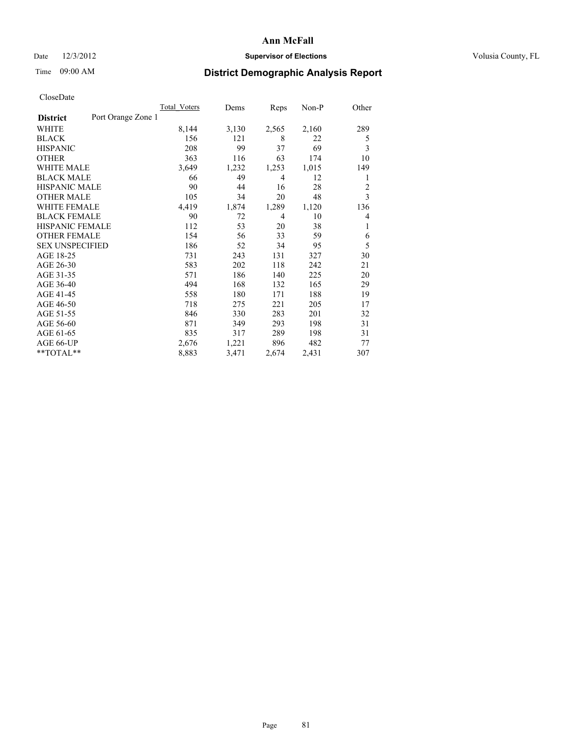## Date  $12/3/2012$  **Supervisor of Elections Supervisor of Elections** Volusia County, FL

# Time 09:00 AM **District Demographic Analysis Report**

|                                       | <b>Total Voters</b> | Dems  | Reps  | $Non-P$ | Other          |
|---------------------------------------|---------------------|-------|-------|---------|----------------|
| Port Orange Zone 1<br><b>District</b> |                     |       |       |         |                |
| WHITE                                 | 8,144               | 3,130 | 2,565 | 2,160   | 289            |
| <b>BLACK</b>                          | 156                 | 121   | 8     | 22      | 5              |
| <b>HISPANIC</b>                       | 208                 | 99    | 37    | 69      | 3              |
| <b>OTHER</b>                          | 363                 | 116   | 63    | 174     | 10             |
| <b>WHITE MALE</b>                     | 3,649               | 1,232 | 1,253 | 1,015   | 149            |
| <b>BLACK MALE</b>                     | 66                  | 49    | 4     | 12      | 1              |
| <b>HISPANIC MALE</b>                  | 90                  | 44    | 16    | 28      | $\overline{2}$ |
| <b>OTHER MALE</b>                     | 105                 | 34    | 20    | 48      | 3              |
| <b>WHITE FEMALE</b>                   | 4,419               | 1,874 | 1,289 | 1,120   | 136            |
| <b>BLACK FEMALE</b>                   | 90                  | 72    | 4     | 10      | 4              |
| HISPANIC FEMALE                       | 112                 | 53    | 20    | 38      | 1              |
| <b>OTHER FEMALE</b>                   | 154                 | 56    | 33    | 59      | 6              |
| <b>SEX UNSPECIFIED</b>                | 186                 | 52    | 34    | 95      | 5              |
| AGE 18-25                             | 731                 | 243   | 131   | 327     | 30             |
| AGE 26-30                             | 583                 | 202   | 118   | 242     | 21             |
| AGE 31-35                             | 571                 | 186   | 140   | 225     | 20             |
| AGE 36-40                             | 494                 | 168   | 132   | 165     | 29             |
| AGE 41-45                             | 558                 | 180   | 171   | 188     | 19             |
| AGE 46-50                             | 718                 | 275   | 221   | 205     | 17             |
| AGE 51-55                             | 846                 | 330   | 283   | 201     | 32             |
| AGE 56-60                             | 871                 | 349   | 293   | 198     | 31             |
| AGE 61-65                             | 835                 | 317   | 289   | 198     | 31             |
| AGE 66-UP                             | 2,676               | 1,221 | 896   | 482     | 77             |
| **TOTAL**                             | 8,883               | 3,471 | 2,674 | 2,431   | 307            |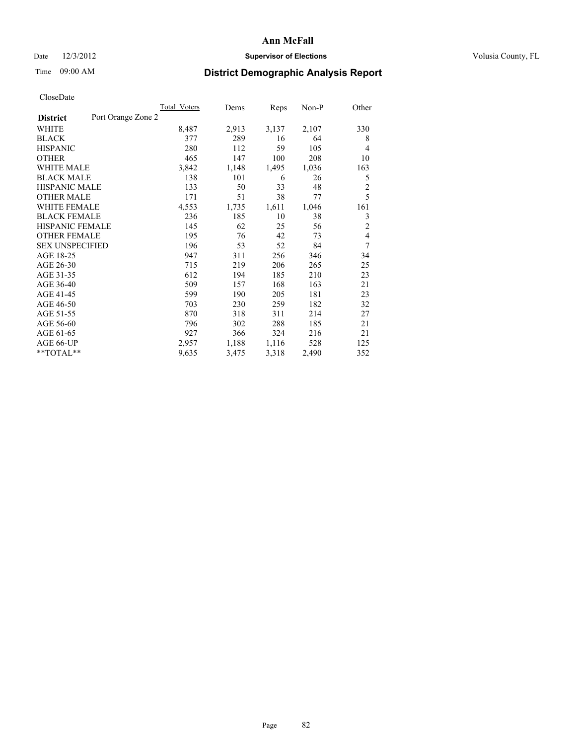## Date  $12/3/2012$  **Supervisor of Elections Supervisor of Elections** Volusia County, FL

# Time 09:00 AM **District Demographic Analysis Report**

| <b>Total Voters</b> | Dems  | Reps  | Non-P | Other          |
|---------------------|-------|-------|-------|----------------|
| Port Orange Zone 2  |       |       |       |                |
| 8,487               | 2,913 | 3,137 | 2,107 | 330            |
| 377                 | 289   | 16    | 64    | 8              |
| 280                 | 112   | 59    | 105   | 4              |
| 465                 | 147   | 100   | 208   | 10             |
| 3,842               | 1,148 | 1,495 | 1,036 | 163            |
| 138                 | 101   | 6     | 26    | 5              |
| 133                 | 50    | 33    | 48    | $\overline{c}$ |
| 171                 | 51    | 38    | 77    | 5              |
| 4,553               | 1,735 | 1,611 | 1,046 | 161            |
| 236                 | 185   | 10    | 38    | 3              |
| 145                 | 62    | 25    | 56    | $\overline{2}$ |
| 195                 | 76    | 42    | 73    | $\overline{4}$ |
| 196                 | 53    | 52    | 84    | 7              |
| 947                 | 311   | 256   | 346   | 34             |
| 715                 | 219   | 206   | 265   | 25             |
| 612                 | 194   | 185   | 210   | 23             |
| 509                 | 157   | 168   | 163   | 21             |
| 599                 | 190   | 205   | 181   | 23             |
| 703                 | 230   | 259   | 182   | 32             |
| 870                 | 318   | 311   | 214   | 27             |
| 796                 | 302   | 288   | 185   | 21             |
| 927                 | 366   | 324   | 216   | 21             |
| 2,957               | 1,188 | 1,116 | 528   | 125            |
| 9,635               | 3,475 | 3,318 | 2,490 | 352            |
|                     |       |       |       |                |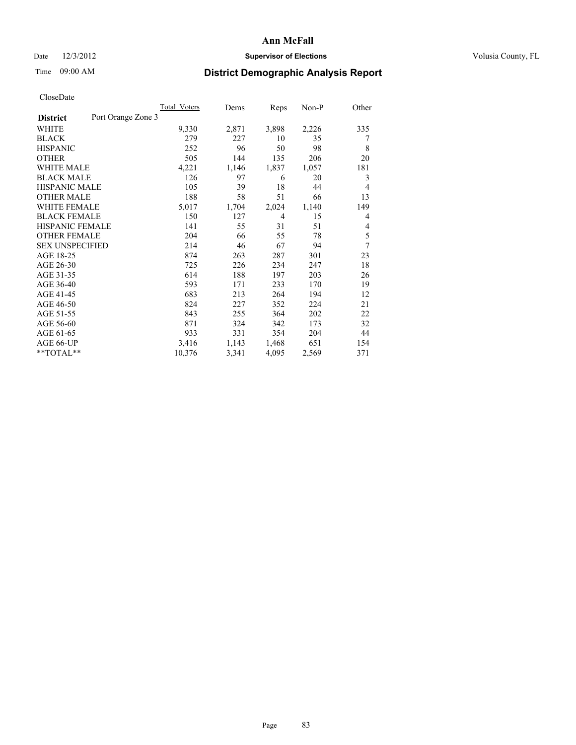## Date  $12/3/2012$  **Supervisor of Elections Supervisor of Elections** Volusia County, FL

## Time 09:00 AM **District Demographic Analysis Report**

|                        |                    | Total Voters | Dems  | Reps  | $Non-P$ | Other |
|------------------------|--------------------|--------------|-------|-------|---------|-------|
| <b>District</b>        | Port Orange Zone 3 |              |       |       |         |       |
| WHITE                  |                    | 9,330        | 2,871 | 3,898 | 2,226   | 335   |
| <b>BLACK</b>           |                    | 279          | 227   | 10    | 35      | 7     |
| <b>HISPANIC</b>        |                    | 252          | 96    | 50    | 98      | 8     |
| <b>OTHER</b>           |                    | 505          | 144   | 135   | 206     | 20    |
| WHITE MALE             |                    | 4,221        | 1,146 | 1,837 | 1,057   | 181   |
| <b>BLACK MALE</b>      |                    | 126          | 97    | 6     | 20      | 3     |
| <b>HISPANIC MALE</b>   |                    | 105          | 39    | 18    | 44      | 4     |
| <b>OTHER MALE</b>      |                    | 188          | 58    | 51    | 66      | 13    |
| <b>WHITE FEMALE</b>    |                    | 5,017        | 1,704 | 2,024 | 1,140   | 149   |
| <b>BLACK FEMALE</b>    |                    | 150          | 127   | 4     | 15      | 4     |
| HISPANIC FEMALE        |                    | 141          | 55    | 31    | 51      | 4     |
| <b>OTHER FEMALE</b>    |                    | 204          | 66    | 55    | 78      | 5     |
| <b>SEX UNSPECIFIED</b> |                    | 214          | 46    | 67    | 94      | 7     |
| AGE 18-25              |                    | 874          | 263   | 287   | 301     | 23    |
| AGE 26-30              |                    | 725          | 226   | 234   | 247     | 18    |
| AGE 31-35              |                    | 614          | 188   | 197   | 203     | 26    |
| AGE 36-40              |                    | 593          | 171   | 233   | 170     | 19    |
| AGE 41-45              |                    | 683          | 213   | 264   | 194     | 12    |
| AGE 46-50              |                    | 824          | 227   | 352   | 224     | 21    |
| AGE 51-55              |                    | 843          | 255   | 364   | 202     | 22    |
| AGE 56-60              |                    | 871          | 324   | 342   | 173     | 32    |
| AGE 61-65              |                    | 933          | 331   | 354   | 204     | 44    |
| AGE 66-UP              |                    | 3,416        | 1,143 | 1,468 | 651     | 154   |
| **TOTAL**              |                    | 10,376       | 3,341 | 4,095 | 2,569   | 371   |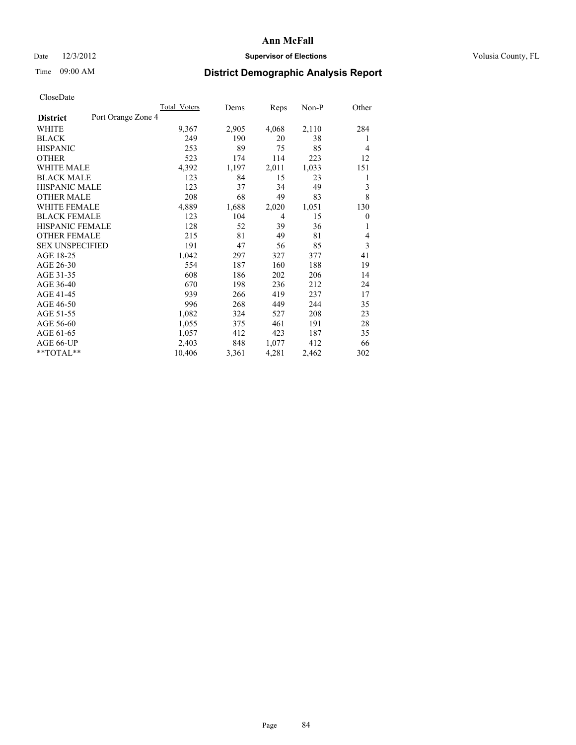## Date  $12/3/2012$  **Supervisor of Elections** Volusia County, FL

# Time 09:00 AM **District Demographic Analysis Report**

|                        |                    | Total Voters | Dems  | Reps  | $Non-P$ | Other          |
|------------------------|--------------------|--------------|-------|-------|---------|----------------|
| <b>District</b>        | Port Orange Zone 4 |              |       |       |         |                |
| WHITE                  |                    | 9,367        | 2,905 | 4,068 | 2,110   | 284            |
| <b>BLACK</b>           |                    | 249          | 190   | 20    | 38      | 1              |
| <b>HISPANIC</b>        |                    | 253          | 89    | 75    | 85      | $\overline{4}$ |
| <b>OTHER</b>           |                    | 523          | 174   | 114   | 223     | 12             |
| WHITE MALE             |                    | 4,392        | 1,197 | 2,011 | 1,033   | 151            |
| <b>BLACK MALE</b>      |                    | 123          | 84    | 15    | 23      | 1              |
| <b>HISPANIC MALE</b>   |                    | 123          | 37    | 34    | 49      | 3              |
| <b>OTHER MALE</b>      |                    | 208          | 68    | 49    | 83      | 8              |
| <b>WHITE FEMALE</b>    |                    | 4,889        | 1,688 | 2,020 | 1,051   | 130            |
| <b>BLACK FEMALE</b>    |                    | 123          | 104   | 4     | 15      | $\theta$       |
| HISPANIC FEMALE        |                    | 128          | 52    | 39    | 36      | 1              |
| <b>OTHER FEMALE</b>    |                    | 215          | 81    | 49    | 81      | 4              |
| <b>SEX UNSPECIFIED</b> |                    | 191          | 47    | 56    | 85      | 3              |
| AGE 18-25              |                    | 1,042        | 297   | 327   | 377     | 41             |
| AGE 26-30              |                    | 554          | 187   | 160   | 188     | 19             |
| AGE 31-35              |                    | 608          | 186   | 202   | 206     | 14             |
| AGE 36-40              |                    | 670          | 198   | 236   | 212     | 24             |
| AGE 41-45              |                    | 939          | 266   | 419   | 237     | 17             |
| AGE 46-50              |                    | 996          | 268   | 449   | 244     | 35             |
| AGE 51-55              |                    | 1,082        | 324   | 527   | 208     | 23             |
| AGE 56-60              |                    | 1,055        | 375   | 461   | 191     | 28             |
| AGE 61-65              |                    | 1,057        | 412   | 423   | 187     | 35             |
| AGE 66-UP              |                    | 2,403        | 848   | 1,077 | 412     | 66             |
| **TOTAL**              |                    | 10,406       | 3,361 | 4,281 | 2,462   | 302            |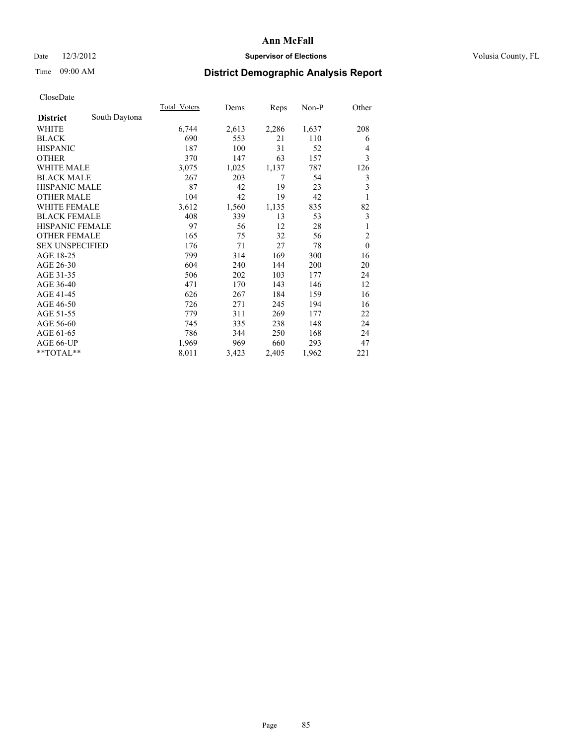## Date  $12/3/2012$  **Supervisor of Elections** Volusia County, FL

# Time 09:00 AM **District Demographic Analysis Report**

|                        |               | Total Voters | Dems  | Reps  | Non-P | Other          |
|------------------------|---------------|--------------|-------|-------|-------|----------------|
| <b>District</b>        | South Daytona |              |       |       |       |                |
| WHITE                  |               | 6,744        | 2,613 | 2,286 | 1,637 | 208            |
| <b>BLACK</b>           |               | 690          | 553   | 21    | 110   | 6              |
| <b>HISPANIC</b>        |               | 187          | 100   | 31    | 52    | 4              |
| <b>OTHER</b>           |               | 370          | 147   | 63    | 157   | 3              |
| <b>WHITE MALE</b>      |               | 3,075        | 1,025 | 1,137 | 787   | 126            |
| <b>BLACK MALE</b>      |               | 267          | 203   | 7     | 54    | 3              |
| HISPANIC MALE          |               | 87           | 42    | 19    | 23    | 3              |
| <b>OTHER MALE</b>      |               | 104          | 42    | 19    | 42    | 1              |
| <b>WHITE FEMALE</b>    |               | 3,612        | 1,560 | 1,135 | 835   | 82             |
| <b>BLACK FEMALE</b>    |               | 408          | 339   | 13    | 53    | 3              |
| <b>HISPANIC FEMALE</b> |               | 97           | 56    | 12    | 28    | 1              |
| <b>OTHER FEMALE</b>    |               | 165          | 75    | 32    | 56    | $\overline{2}$ |
| <b>SEX UNSPECIFIED</b> |               | 176          | 71    | 27    | 78    | $\mathbf{0}$   |
| AGE 18-25              |               | 799          | 314   | 169   | 300   | 16             |
| AGE 26-30              |               | 604          | 240   | 144   | 200   | 20             |
| AGE 31-35              |               | 506          | 202   | 103   | 177   | 24             |
| AGE 36-40              |               | 471          | 170   | 143   | 146   | 12             |
| AGE 41-45              |               | 626          | 267   | 184   | 159   | 16             |
| AGE 46-50              |               | 726          | 271   | 245   | 194   | 16             |
| AGE 51-55              |               | 779          | 311   | 269   | 177   | 22             |
| AGE 56-60              |               | 745          | 335   | 238   | 148   | 24             |
| AGE 61-65              |               | 786          | 344   | 250   | 168   | 24             |
| AGE 66-UP              |               | 1,969        | 969   | 660   | 293   | 47             |
| **TOTAL**              |               | 8,011        | 3,423 | 2,405 | 1,962 | 221            |